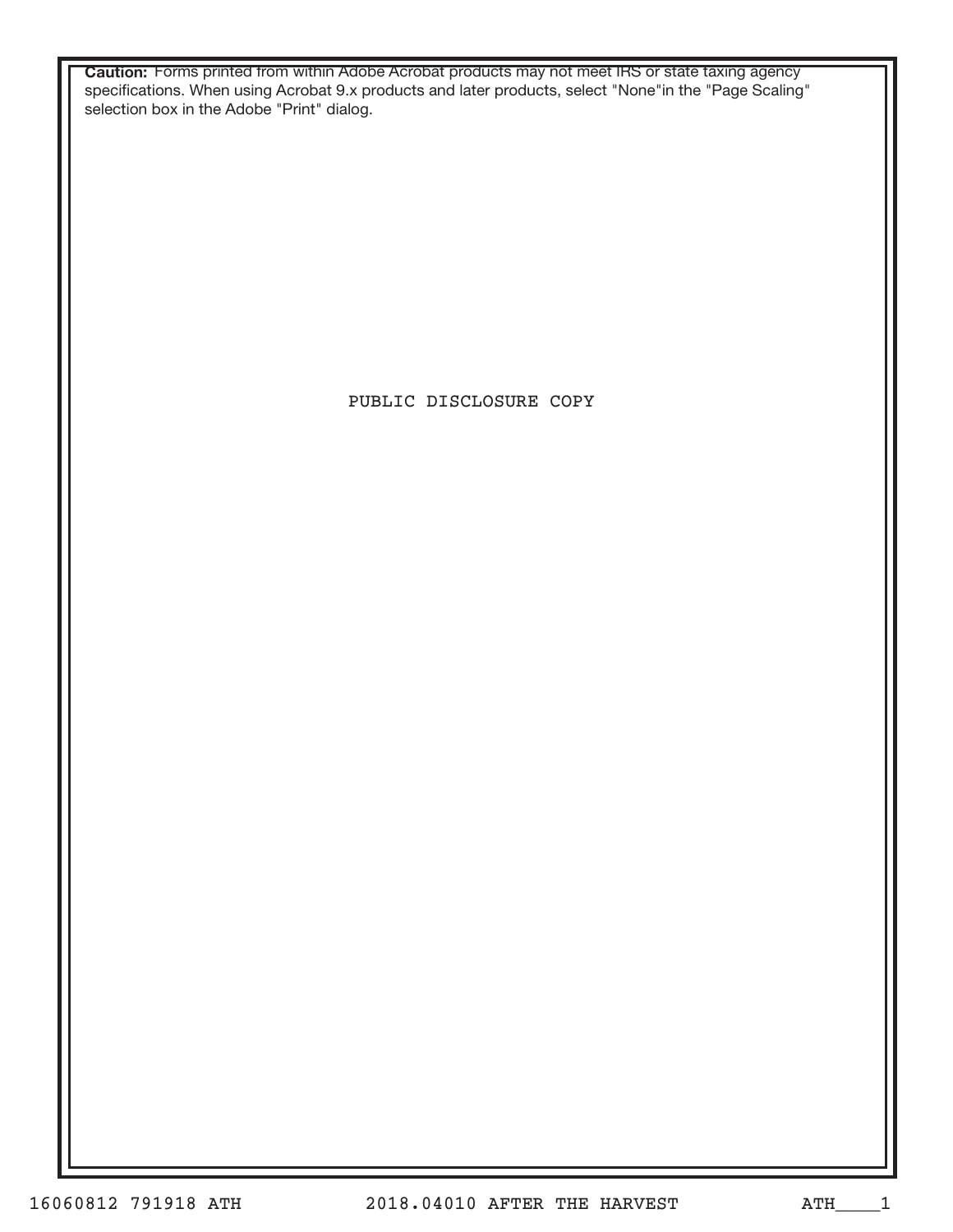**Caution:** Forms printed from within Adobe Acrobat products may not meet IRS or state taxing agency specifications. When using Acrobat 9.x products and later products, select "None"in the "Page Scaling" selection box in the Adobe "Print" dialog.

PUBLIC DISCLOSURE COPY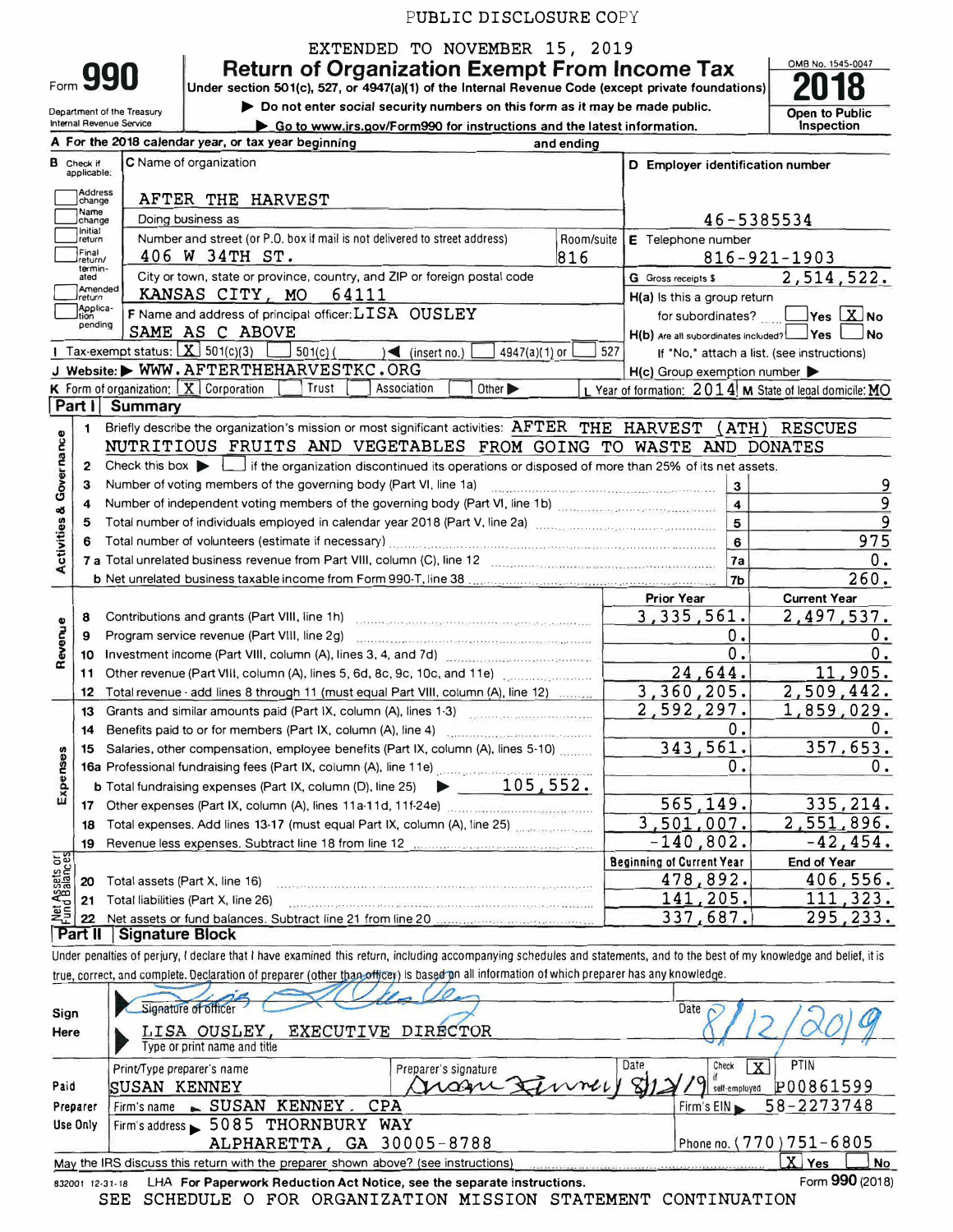EXTENDED TO NOVEMBER 15, 2019

**Return of Organization Exempt From Income Tax** 

**Under section 501(c}, 527, or 4947(a}(1} of the Internal Revenue Code (except private foundations)** 

Department of the Treasury Internal Revenue Secvice

Form **990** 

► **Do not enter** *social* **security numbers on this form as** *it* **may be made public.** 

**Open to Public** 

0MB No. 1545-0047 **2018** 

|                                    |                                  | Internal Revenue Service<br>Go to www.irs.gov/Form990 for instructions and the latest information.                                                                                                                             |            |                                                     | Inspection                                              |
|------------------------------------|----------------------------------|--------------------------------------------------------------------------------------------------------------------------------------------------------------------------------------------------------------------------------|------------|-----------------------------------------------------|---------------------------------------------------------|
|                                    |                                  | A For the 2018 calendar year, or tax year beginning<br>and ending                                                                                                                                                              |            |                                                     |                                                         |
|                                    | <b>B</b> Check if<br>applicable: | C Name of organization                                                                                                                                                                                                         |            | D Employer identification number                    |                                                         |
|                                    | Address<br>change                | AFTER THE HARVEST                                                                                                                                                                                                              |            |                                                     |                                                         |
|                                    | Name<br>change                   | Doing business as                                                                                                                                                                                                              |            |                                                     | 46-5385534                                              |
|                                    | Initial<br>return                | Number and street (or P.O. box if mail is not delivered to street address)                                                                                                                                                     | Room/suite | E Telephone number                                  |                                                         |
|                                    | Final<br>return/                 | 406 W 34TH ST.                                                                                                                                                                                                                 | 816        |                                                     | $816 - 921 - 1903$                                      |
|                                    | termin-<br>ated                  | City or town, state or province, country, and ZIP or foreign postal code                                                                                                                                                       |            | G Gross receipts \$                                 | 2,514,522.                                              |
|                                    | Amended<br>Ireturn               | KANSAS CITY, MO<br>64111                                                                                                                                                                                                       |            | H(a) Is this a group return                         |                                                         |
|                                    | Applica-<br>pending              | F Name and address of principal officer: LISA OUSLEY                                                                                                                                                                           |            | for subordinates?                                   | $\sqrt{}$ Yes $\boxed{\text{X}}$ No                     |
|                                    |                                  | SAME AS C ABOVE                                                                                                                                                                                                                |            | H(b) Are all subordinates included? Yes             | No.                                                     |
|                                    |                                  | 1 Tax-exempt status: $X$ 501(c)(3)<br>$501(c)$ (<br>$\leq$ (insert no.)<br>4947(a)(1) or                                                                                                                                       | 527        |                                                     | If "No," attach a list. (see instructions)              |
|                                    |                                  | J Website: WWW.AFTERTHEHARVESTKC.ORG                                                                                                                                                                                           |            | $H(c)$ Group exemption number $\blacktriangleright$ |                                                         |
|                                    |                                  | <b>K</b> Form of organization: $X$ Corporation<br>Trust<br>Association<br>Other $\blacktriangleright$                                                                                                                          |            |                                                     | L Year of formation: 2014 M State of legal domicile: MO |
|                                    | Part I                           | <b>Summary</b>                                                                                                                                                                                                                 |            |                                                     |                                                         |
|                                    | $\mathbf{1}$                     | Briefly describe the organization's mission or most significant activities: AFTER THE HARVEST (ATH) RESCUES                                                                                                                    |            |                                                     |                                                         |
|                                    |                                  | NUTRITIOUS FRUITS AND VEGETABLES FROM GOING TO WASTE AND DONATES                                                                                                                                                               |            |                                                     |                                                         |
| <b>Activities &amp; Governance</b> | $\overline{2}$                   | Check this box $\blacktriangleright$ $\bot$ if the organization discontinued its operations or disposed of more than 25% of its net assets.                                                                                    |            |                                                     |                                                         |
|                                    | 3                                | Number of voting members of the governing body (Part VI, line 1a)                                                                                                                                                              |            | 3                                                   | 9                                                       |
|                                    | 4                                | Number of independent voting members of the governing body (Part VI, line 1b) [100]                                                                                                                                            |            | $\overline{\mathbf{4}}$                             | 9<br>9                                                  |
|                                    | 5                                | Total number of individuals employed in calendar year 2018 (Part V, line 2a) [10] [10] Total number of individuals employed in calendar year 2018 (Part V, line 2a)                                                            |            | 5<br>$6\phantom{a}$                                 | 975                                                     |
|                                    | 6                                | Total number of volunteers (estimate if necessary) [11] The material content of the material content of the material content of the material content of the material content of the material content of the material content o |            | 7a                                                  | 0.                                                      |
|                                    |                                  |                                                                                                                                                                                                                                |            | 7 <sub>b</sub>                                      | 260.                                                    |
|                                    |                                  |                                                                                                                                                                                                                                |            | <b>Prior Year</b>                                   | <b>Current Year</b>                                     |
|                                    | 8                                |                                                                                                                                                                                                                                |            | 3,335,561.                                          | 2,497,537.                                              |
| Revenue                            | 9                                | Program service revenue (Part VIII, line 2g)                                                                                                                                                                                   |            | 0.                                                  | 0.                                                      |
|                                    | 10                               | Investment income (Part VIII, column (A), lines 3, 4, and 7d)                                                                                                                                                                  |            | 0.                                                  | 0.                                                      |
|                                    | 11                               | Other revenue (Part VIII, column (A), lines 5, 6d, 8c, 9c, 10c, and 11e)                                                                                                                                                       |            | 24,644.                                             | 11,905.                                                 |
|                                    | 12                               | Total revenue - add lines 8 through 11 (must equal Part VIII, column (A), line 12)                                                                                                                                             |            | 3,360,205.                                          | 2,509,442.                                              |
|                                    | 13                               | Grants and similar amounts paid (Part IX, column (A), lines 1-3)                                                                                                                                                               |            | 2,592,297.                                          | 1,859,029.                                              |
|                                    | 14                               |                                                                                                                                                                                                                                |            | 0.                                                  | 0.                                                      |
|                                    | 15                               | Salaries, other compensation, employee benefits (Part IX, column (A), lines 5-10)                                                                                                                                              |            | 343,561.                                            | 357,653.                                                |
| Expenses                           |                                  |                                                                                                                                                                                                                                |            | 0.                                                  | 0.                                                      |
|                                    |                                  | $\blacktriangleright$ 105,552.<br><b>b</b> Total fundraising expenses (Part IX, column (D), line 25)                                                                                                                           |            |                                                     |                                                         |
|                                    |                                  |                                                                                                                                                                                                                                |            | 565, 149.                                           | 335, 214.                                               |
|                                    | 18                               | Total expenses. Add lines 13-17 (must equal Part IX, column (A), line 25)                                                                                                                                                      |            | 3,501,007.                                          | <u>2,551,896.</u>                                       |
|                                    | 19                               |                                                                                                                                                                                                                                |            | $-140,802.$                                         | $-42, 454.$                                             |
| Net Assets or                      |                                  |                                                                                                                                                                                                                                |            | <b>Beginning of Current Year</b>                    | <b>End of Year</b>                                      |
|                                    | 20                               | Total assets (Part X, line 16)                                                                                                                                                                                                 |            | 478,892.                                            | 406,556.                                                |
|                                    | 21                               | Total liabilities (Part X, line 26)<br>.<br>Stalica a cathair agus Black Composition an Clina an Fall an China a Christian                                                                                                     |            | 141,205.                                            | 111,323.                                                |
|                                    | 22                               |                                                                                                                                                                                                                                |            | 337,687.                                            | 295,233.                                                |
|                                    | Part II                          | <b>Signature Block</b>                                                                                                                                                                                                         |            |                                                     |                                                         |
|                                    |                                  | Under penalties of perjury, I declare that I have examined this return, including accompanying schedules and statements, and to the best of my knowledge and belief, it is                                                     |            |                                                     |                                                         |

true, correct, and complete. Declaration of preparer (other than officer) is based on all information of which preparer has any knowled ge.

| Sign<br>Here         | Signature of officer<br>LISA OUSLEY<br>Type or print name and title                                                                                         | EXECUTIVE DIRECTOR                         | Date                                                                                                |
|----------------------|-------------------------------------------------------------------------------------------------------------------------------------------------------------|--------------------------------------------|-----------------------------------------------------------------------------------------------------|
| Paid                 | Print/Type preparer's name<br><b>SUSAN KENNEY</b>                                                                                                           | Preparer's signature<br>Grazie Finney 812. | <b>PTIN</b><br>Date<br>X<br>Check<br>$\sqrt{9}$ self-employed<br>P00861599<br>Firm's EIN 58-2273748 |
| Preparer<br>Use Only | Firm's name - SUSAN KENNEY.<br>CPA<br>Firm's address 5085 THORNBURY WAY<br>ALPHARETTA, GA 30005-8788                                                        |                                            | Phone no. (770) 751-6805                                                                            |
| 832001 12-31-18      | May the IRS discuss this return with the preparer shown above? (see instructions)<br>LHA For Paperwork Reduction Act Notice, see the separate instructions. |                                            | $\mathbf{X}$<br>J No<br>Yes<br>Form 990 (2018)                                                      |

SEE SCHEDULE O FOR ORGANIZATION MISSION STATEMENT CONTINUATION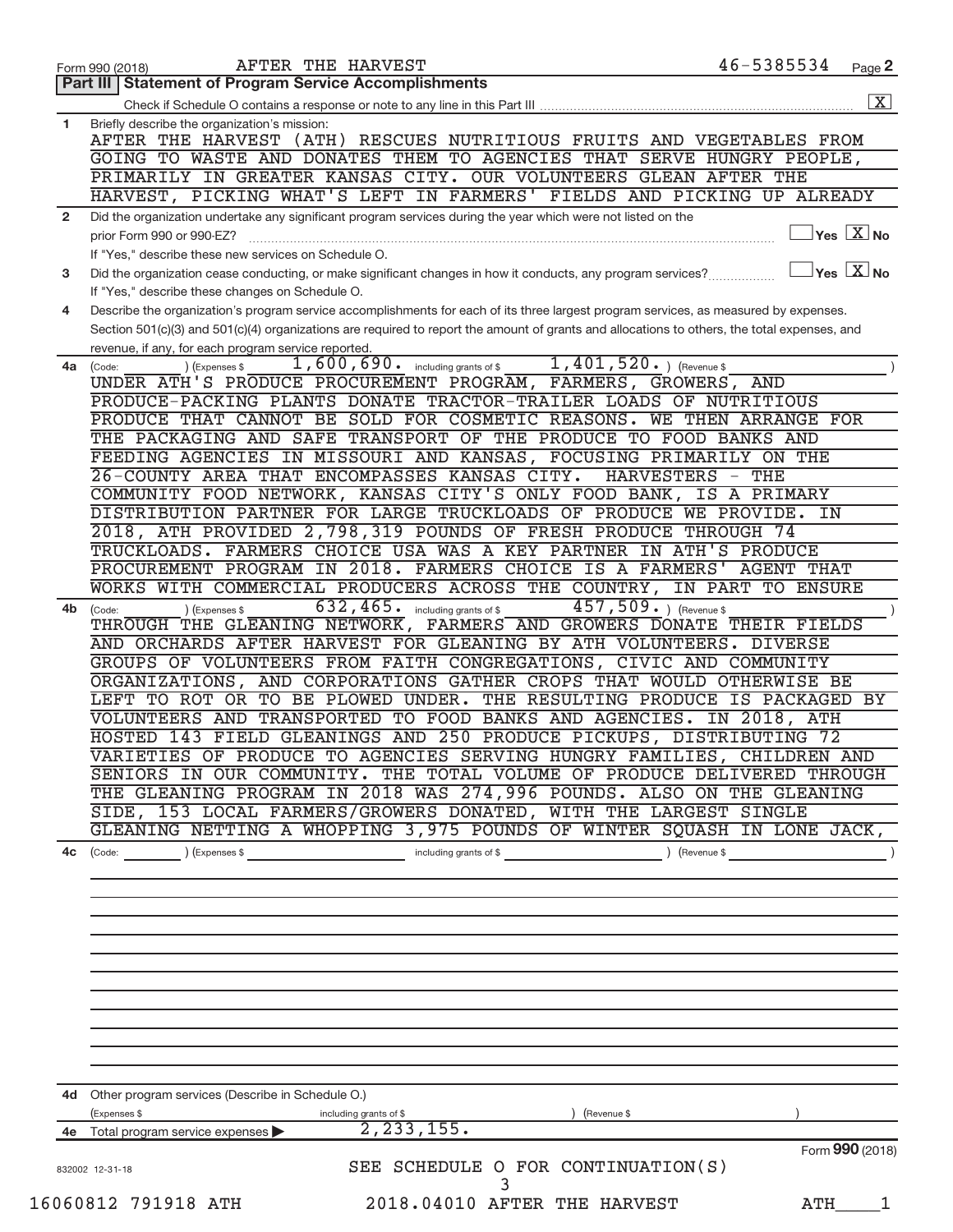|                | AFTER THE HARVEST<br>Form 990 (2018)                                                                                                                                                                                                                               | 46-5385534                      | Page 2                                                                  |
|----------------|--------------------------------------------------------------------------------------------------------------------------------------------------------------------------------------------------------------------------------------------------------------------|---------------------------------|-------------------------------------------------------------------------|
|                | <b>Part III   Statement of Program Service Accomplishments</b>                                                                                                                                                                                                     |                                 |                                                                         |
|                |                                                                                                                                                                                                                                                                    |                                 | $\overline{\mathbf{X}}$                                                 |
| $\mathbf{1}$   | Briefly describe the organization's mission:<br>AFTER THE HARVEST (ATH) RESCUES NUTRITIOUS FRUITS AND VEGETABLES FROM<br>GOING TO WASTE AND DONATES THEM TO AGENCIES THAT SERVE HUNGRY PEOPLE,<br>PRIMARILY IN GREATER KANSAS CITY. OUR VOLUNTEERS GLEAN AFTER THE |                                 |                                                                         |
|                | HARVEST, PICKING WHAT'S LEFT IN FARMERS' FIELDS AND PICKING UP ALREADY                                                                                                                                                                                             |                                 |                                                                         |
| $\overline{2}$ | Did the organization undertake any significant program services during the year which were not listed on the                                                                                                                                                       |                                 |                                                                         |
|                | prior Form 990 or 990-EZ?<br>If "Yes," describe these new services on Schedule O.                                                                                                                                                                                  |                                 | $Yes$ $\boxed{X}$ No                                                    |
| 3              | Did the organization cease conducting, or make significant changes in how it conducts, any program services?                                                                                                                                                       |                                 | $ {\mathsf Y}\mathsf{es}\,\,\lfloor \overline{{\mathrm X}}\,\,\vert$ No |
| 4              | If "Yes," describe these changes on Schedule O.<br>Describe the organization's program service accomplishments for each of its three largest program services, as measured by expenses.                                                                            |                                 |                                                                         |
|                | Section 501(c)(3) and 501(c)(4) organizations are required to report the amount of grants and allocations to others, the total expenses, and                                                                                                                       |                                 |                                                                         |
| 4a l           | revenue, if any, for each program service reported.<br>$1,401,520.$ (Revenue \$)<br>1,600,690. including grants of \$<br>(Code:<br>(Expenses \$                                                                                                                    |                                 |                                                                         |
|                | UNDER ATH'S PRODUCE PROCUREMENT PROGRAM, FARMERS, GROWERS,                                                                                                                                                                                                         | AND                             |                                                                         |
|                | PRODUCE-PACKING PLANTS DONATE TRACTOR-TRAILER LOADS OF NUTRITIOUS                                                                                                                                                                                                  |                                 |                                                                         |
|                | PRODUCE THAT CANNOT BE SOLD FOR COSMETIC REASONS.                                                                                                                                                                                                                  | WE THEN ARRANGE FOR             |                                                                         |
|                | THE PACKAGING AND SAFE TRANSPORT OF THE PRODUCE TO FOOD BANKS AND                                                                                                                                                                                                  |                                 |                                                                         |
|                | FEEDING AGENCIES IN MISSOURI AND KANSAS, FOCUSING PRIMARILY ON THE                                                                                                                                                                                                 |                                 |                                                                         |
|                | 26-COUNTY AREA THAT ENCOMPASSES KANSAS CITY.<br><b>HARVESTERS</b><br>COMMUNITY FOOD NETWORK, KANSAS CITY'S ONLY FOOD BANK,                                                                                                                                         | THE<br>$\overline{\phantom{m}}$ |                                                                         |
|                | DISTRIBUTION PARTNER FOR LARGE TRUCKLOADS OF PRODUCE WE PROVIDE.                                                                                                                                                                                                   | IS A PRIMARY<br>IN              |                                                                         |
|                | 2018, ATH PROVIDED 2,798,319 POUNDS OF FRESH PRODUCE THROUGH 74                                                                                                                                                                                                    |                                 |                                                                         |
|                | TRUCKLOADS. FARMERS CHOICE USA WAS A KEY PARTNER IN ATH'S PRODUCE                                                                                                                                                                                                  |                                 |                                                                         |
|                | PROCUREMENT PROGRAM IN 2018. FARMERS CHOICE IS A FARMERS'                                                                                                                                                                                                          | <b>AGENT THAT</b>               |                                                                         |
|                | WORKS WITH COMMERCIAL PRODUCERS ACROSS THE COUNTRY, IN PART TO ENSURE                                                                                                                                                                                              |                                 |                                                                         |
| 4b             | 632,465.<br>457,509. ) (Revenue \$<br>including grants of \$<br>(Expenses \$<br>(Code:                                                                                                                                                                             |                                 |                                                                         |
|                | THROUGH THE GLEANING NETWORK, FARMERS AND GROWERS DONATE                                                                                                                                                                                                           | THEIR FIELDS                    |                                                                         |
|                | AND ORCHARDS AFTER HARVEST FOR GLEANING BY ATH VOLUNTEERS.                                                                                                                                                                                                         | DIVERSE                         |                                                                         |
|                | GROUPS OF VOLUNTEERS FROM FAITH CONGREGATIONS, CIVIC AND COMMUNITY                                                                                                                                                                                                 |                                 |                                                                         |
|                | ORGANIZATIONS, AND CORPORATIONS GATHER CROPS THAT WOULD OTHERWISE BE                                                                                                                                                                                               |                                 |                                                                         |
|                | LEFT TO ROT OR TO BE PLOWED UNDER.<br>THE RESULTING PRODUCE                                                                                                                                                                                                        | IS PACKAGED                     | BY                                                                      |
|                | VOLUNTEERS AND TRANSPORTED TO FOOD BANKS AND AGENCIES.                                                                                                                                                                                                             | IN 2018, ATH                    |                                                                         |
|                | HOSTED 143 FIELD GLEANINGS AND 250 PRODUCE PICKUPS, DISTRIBUTING 72                                                                                                                                                                                                |                                 |                                                                         |
|                | VARIETIES OF PRODUCE TO AGENCIES SERVING HUNGRY FAMILIES, CHILDREN AND                                                                                                                                                                                             |                                 |                                                                         |
|                | SENIORS IN OUR COMMUNITY. THE TOTAL VOLUME OF PRODUCE DELIVERED THROUGH                                                                                                                                                                                            |                                 |                                                                         |
|                | THE GLEANING PROGRAM IN 2018 WAS 274,996 POUNDS. ALSO ON THE GLEANING                                                                                                                                                                                              |                                 |                                                                         |
|                | SIDE, 153 LOCAL FARMERS/GROWERS DONATED, WITH THE LARGEST SINGLE                                                                                                                                                                                                   |                                 |                                                                         |
|                | GLEANING NETTING A WHOPPING 3,975 POUNDS OF WINTER SQUASH IN LONE JACK,                                                                                                                                                                                            |                                 |                                                                         |
|                |                                                                                                                                                                                                                                                                    |                                 |                                                                         |
|                |                                                                                                                                                                                                                                                                    |                                 |                                                                         |
|                |                                                                                                                                                                                                                                                                    |                                 |                                                                         |
|                |                                                                                                                                                                                                                                                                    |                                 |                                                                         |
|                |                                                                                                                                                                                                                                                                    |                                 |                                                                         |
|                |                                                                                                                                                                                                                                                                    |                                 |                                                                         |
|                |                                                                                                                                                                                                                                                                    |                                 |                                                                         |
|                |                                                                                                                                                                                                                                                                    |                                 |                                                                         |
|                |                                                                                                                                                                                                                                                                    |                                 |                                                                         |
|                |                                                                                                                                                                                                                                                                    |                                 |                                                                         |
|                |                                                                                                                                                                                                                                                                    |                                 |                                                                         |
|                |                                                                                                                                                                                                                                                                    |                                 |                                                                         |
|                | 4d Other program services (Describe in Schedule O.)                                                                                                                                                                                                                |                                 |                                                                         |
|                | (Expenses \$<br>including grants of \$<br>) (Revenue \$                                                                                                                                                                                                            |                                 |                                                                         |
|                | 2, 233, 155.<br>4e Total program service expenses                                                                                                                                                                                                                  |                                 |                                                                         |
|                |                                                                                                                                                                                                                                                                    | Form 990 (2018)                 |                                                                         |
|                | SEE SCHEDULE O FOR CONTINUATION(S)<br>832002 12-31-18                                                                                                                                                                                                              |                                 |                                                                         |
|                |                                                                                                                                                                                                                                                                    |                                 |                                                                         |
|                | 16060812 791918 ATH<br>2018.04010 AFTER THE HARVEST                                                                                                                                                                                                                | ATH                             | 1                                                                       |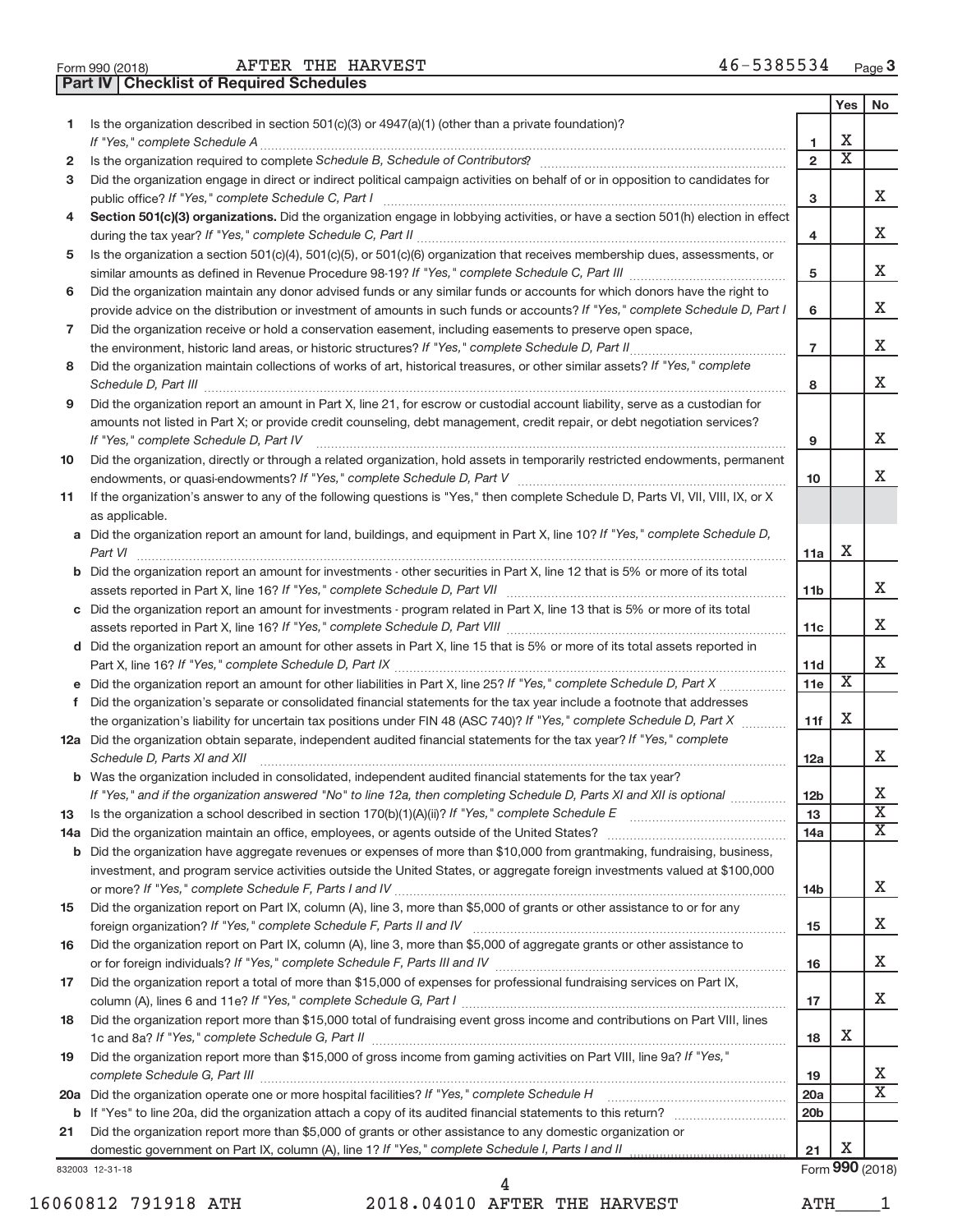| Form 990 (2018) |  |  |
|-----------------|--|--|

**Part IV Checklist of Required Schedules**

|    |                                                                                                                                                                                                                                     |                 | Yes                         | No                           |
|----|-------------------------------------------------------------------------------------------------------------------------------------------------------------------------------------------------------------------------------------|-----------------|-----------------------------|------------------------------|
| 1. | Is the organization described in section 501(c)(3) or 4947(a)(1) (other than a private foundation)?                                                                                                                                 |                 |                             |                              |
|    | If "Yes," complete Schedule A                                                                                                                                                                                                       | 1               | х                           |                              |
| 2  |                                                                                                                                                                                                                                     | $\overline{2}$  | $\overline{\textnormal{x}}$ |                              |
| з  | Did the organization engage in direct or indirect political campaign activities on behalf of or in opposition to candidates for                                                                                                     |                 |                             |                              |
|    |                                                                                                                                                                                                                                     | 3               |                             | x                            |
| 4  | Section 501(c)(3) organizations. Did the organization engage in lobbying activities, or have a section 501(h) election in effect                                                                                                    | 4               |                             | x                            |
| 5  | Is the organization a section 501(c)(4), 501(c)(5), or 501(c)(6) organization that receives membership dues, assessments, or                                                                                                        |                 |                             |                              |
|    |                                                                                                                                                                                                                                     | 5               |                             | x                            |
| 6  | Did the organization maintain any donor advised funds or any similar funds or accounts for which donors have the right to                                                                                                           |                 |                             |                              |
|    | provide advice on the distribution or investment of amounts in such funds or accounts? If "Yes," complete Schedule D, Part I                                                                                                        | 6               |                             | x                            |
| 7  | Did the organization receive or hold a conservation easement, including easements to preserve open space,                                                                                                                           |                 |                             |                              |
|    |                                                                                                                                                                                                                                     | $\overline{7}$  |                             | x                            |
| 8  | Did the organization maintain collections of works of art, historical treasures, or other similar assets? If "Yes," complete                                                                                                        |                 |                             |                              |
|    | Schedule D, Part III <b>Process Construction Construction Construction</b> Construction Construction Construction Construction Construction Construction Construction Construction Construction Construction Construction Construct | 8               |                             | Х                            |
| 9  | Did the organization report an amount in Part X, line 21, for escrow or custodial account liability, serve as a custodian for                                                                                                       |                 |                             |                              |
|    | amounts not listed in Part X; or provide credit counseling, debt management, credit repair, or debt negotiation services?                                                                                                           |                 |                             |                              |
|    | If "Yes," complete Schedule D, Part IV                                                                                                                                                                                              | 9               |                             | Χ                            |
| 10 | Did the organization, directly or through a related organization, hold assets in temporarily restricted endowments, permanent                                                                                                       |                 |                             |                              |
|    |                                                                                                                                                                                                                                     | 10              |                             | Χ                            |
| 11 | If the organization's answer to any of the following questions is "Yes," then complete Schedule D, Parts VI, VII, VIII, IX, or X                                                                                                    |                 |                             |                              |
|    | as applicable.<br>a Did the organization report an amount for land, buildings, and equipment in Part X, line 10? If "Yes," complete Schedule D,                                                                                     |                 |                             |                              |
|    |                                                                                                                                                                                                                                     | 11a             | Χ                           |                              |
|    | <b>b</b> Did the organization report an amount for investments - other securities in Part X, line 12 that is 5% or more of its total                                                                                                |                 |                             |                              |
|    |                                                                                                                                                                                                                                     | 11b             |                             | x                            |
|    | c Did the organization report an amount for investments - program related in Part X, line 13 that is 5% or more of its total                                                                                                        |                 |                             |                              |
|    |                                                                                                                                                                                                                                     | 11c             |                             | x                            |
|    | d Did the organization report an amount for other assets in Part X, line 15 that is 5% or more of its total assets reported in                                                                                                      |                 |                             |                              |
|    |                                                                                                                                                                                                                                     | 11d             |                             | Χ                            |
|    |                                                                                                                                                                                                                                     | 11e             | Χ                           |                              |
| f  | Did the organization's separate or consolidated financial statements for the tax year include a footnote that addresses                                                                                                             |                 |                             |                              |
|    | the organization's liability for uncertain tax positions under FIN 48 (ASC 740)? If "Yes," complete Schedule D, Part X                                                                                                              | 11f             | X                           |                              |
|    | 12a Did the organization obtain separate, independent audited financial statements for the tax year? If "Yes," complete                                                                                                             |                 |                             |                              |
|    | Schedule D, Parts XI and XII                                                                                                                                                                                                        | 12a             |                             | x                            |
|    | <b>b</b> Was the organization included in consolidated, independent audited financial statements for the tax year?                                                                                                                  |                 |                             |                              |
|    | If "Yes," and if the organization answered "No" to line 12a, then completing Schedule D, Parts XI and XII is optional                                                                                                               | 12 <sub>b</sub> |                             | х<br>$\overline{\mathbf{X}}$ |
| 13 |                                                                                                                                                                                                                                     | 13              |                             | х                            |
|    | <b>b</b> Did the organization have aggregate revenues or expenses of more than \$10,000 from grantmaking, fundraising, business,                                                                                                    | 14a             |                             |                              |
|    | investment, and program service activities outside the United States, or aggregate foreign investments valued at \$100,000                                                                                                          |                 |                             |                              |
|    |                                                                                                                                                                                                                                     | 14b             |                             | x                            |
| 15 | Did the organization report on Part IX, column (A), line 3, more than \$5,000 of grants or other assistance to or for any                                                                                                           |                 |                             |                              |
|    |                                                                                                                                                                                                                                     | 15              |                             | x                            |
| 16 | Did the organization report on Part IX, column (A), line 3, more than \$5,000 of aggregate grants or other assistance to                                                                                                            |                 |                             |                              |
|    |                                                                                                                                                                                                                                     | 16              |                             | x                            |
| 17 | Did the organization report a total of more than \$15,000 of expenses for professional fundraising services on Part IX,                                                                                                             |                 |                             |                              |
|    |                                                                                                                                                                                                                                     | 17              |                             | x                            |
| 18 | Did the organization report more than \$15,000 total of fundraising event gross income and contributions on Part VIII, lines                                                                                                        |                 |                             |                              |
|    |                                                                                                                                                                                                                                     | 18              | Х                           |                              |
| 19 | Did the organization report more than \$15,000 of gross income from gaming activities on Part VIII, line 9a? If "Yes,"                                                                                                              |                 |                             |                              |
|    |                                                                                                                                                                                                                                     | 19              |                             | х                            |
|    |                                                                                                                                                                                                                                     | 20a             |                             | X                            |
|    |                                                                                                                                                                                                                                     | 20 <sub>b</sub> |                             |                              |
| 21 | Did the organization report more than \$5,000 of grants or other assistance to any domestic organization or                                                                                                                         | 21              | X                           |                              |
|    | 832003 12-31-18                                                                                                                                                                                                                     |                 |                             | Form 990 (2018)              |
|    |                                                                                                                                                                                                                                     |                 |                             |                              |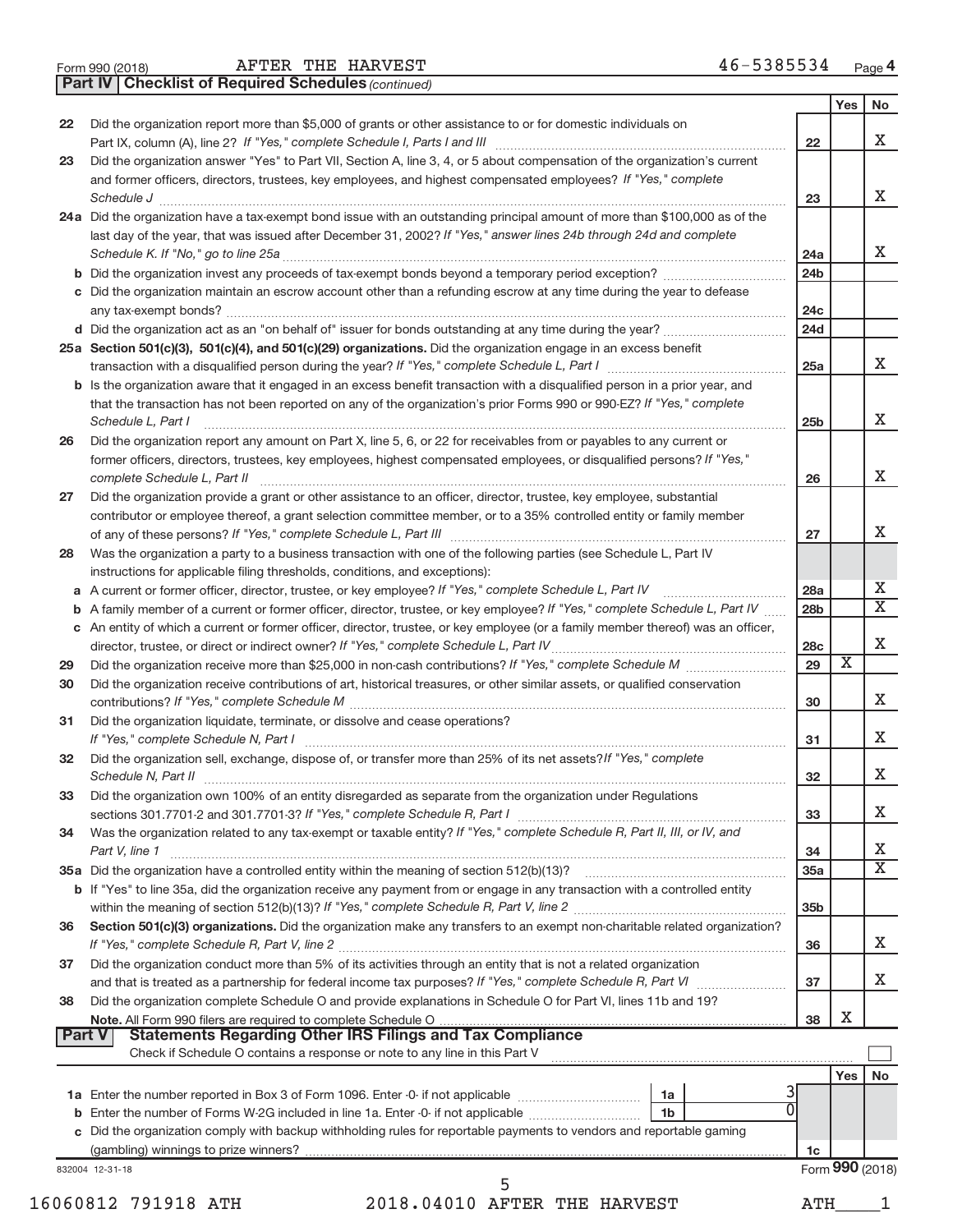|  | Form 990 (2018) |  |
|--|-----------------|--|
|  |                 |  |

*(continued)* **Part IV Checklist of Required Schedules**

|    |                                                                                                                                                                                                                                                                                                                                                                                                                                                                                                                                                                                                                                               |                        | Yes                     | No                      |
|----|-----------------------------------------------------------------------------------------------------------------------------------------------------------------------------------------------------------------------------------------------------------------------------------------------------------------------------------------------------------------------------------------------------------------------------------------------------------------------------------------------------------------------------------------------------------------------------------------------------------------------------------------------|------------------------|-------------------------|-------------------------|
| 22 | Did the organization report more than \$5,000 of grants or other assistance to or for domestic individuals on                                                                                                                                                                                                                                                                                                                                                                                                                                                                                                                                 | 22                     |                         | X                       |
| 23 | Did the organization answer "Yes" to Part VII, Section A, line 3, 4, or 5 about compensation of the organization's current                                                                                                                                                                                                                                                                                                                                                                                                                                                                                                                    |                        |                         |                         |
|    | and former officers, directors, trustees, key employees, and highest compensated employees? If "Yes," complete                                                                                                                                                                                                                                                                                                                                                                                                                                                                                                                                | 23                     |                         | X                       |
|    | $\textit{Schedule J} \textit{ \textbf{} \textbf{} \textbf{} \textbf{} \textbf{} \textbf{} \textbf{} \textbf{} \textbf{} \textbf{} \textbf{} \textbf{} \textbf{} \textbf{} \textbf{} \textbf{} \textbf{} \textbf{} \textbf{} \textbf{} \textbf{} \textbf{} \textbf{} \textbf{} \textbf{} \textbf{} \textbf{} \textbf{} \textbf{} \textbf{} \textbf{} \textbf{} \textbf{} \textbf{} \text$<br>24a Did the organization have a tax-exempt bond issue with an outstanding principal amount of more than \$100,000 as of the<br>last day of the year, that was issued after December 31, 2002? If "Yes," answer lines 24b through 24d and complete |                        |                         |                         |
|    | b Did the organization invest any proceeds of tax-exempt bonds beyond a temporary period exception?                                                                                                                                                                                                                                                                                                                                                                                                                                                                                                                                           | 24a<br>24 <sub>b</sub> |                         | X                       |
|    | c Did the organization maintain an escrow account other than a refunding escrow at any time during the year to defease                                                                                                                                                                                                                                                                                                                                                                                                                                                                                                                        | 24c                    |                         |                         |
|    |                                                                                                                                                                                                                                                                                                                                                                                                                                                                                                                                                                                                                                               | 24d                    |                         |                         |
|    | 25a Section 501(c)(3), 501(c)(4), and 501(c)(29) organizations. Did the organization engage in an excess benefit                                                                                                                                                                                                                                                                                                                                                                                                                                                                                                                              | 25a                    |                         | X                       |
|    | <b>b</b> Is the organization aware that it engaged in an excess benefit transaction with a disqualified person in a prior year, and<br>that the transaction has not been reported on any of the organization's prior Forms 990 or 990-EZ? If "Yes," complete<br>Schedule L, Part I                                                                                                                                                                                                                                                                                                                                                            | 25 <sub>b</sub>        |                         | X                       |
| 26 | Did the organization report any amount on Part X, line 5, 6, or 22 for receivables from or payables to any current or<br>former officers, directors, trustees, key employees, highest compensated employees, or disqualified persons? If "Yes,"                                                                                                                                                                                                                                                                                                                                                                                               |                        |                         |                         |
| 27 | Did the organization provide a grant or other assistance to an officer, director, trustee, key employee, substantial<br>contributor or employee thereof, a grant selection committee member, or to a 35% controlled entity or family member                                                                                                                                                                                                                                                                                                                                                                                                   | 26<br>27               |                         | X<br>X                  |
| 28 | Was the organization a party to a business transaction with one of the following parties (see Schedule L, Part IV<br>instructions for applicable filing thresholds, conditions, and exceptions):                                                                                                                                                                                                                                                                                                                                                                                                                                              |                        |                         |                         |
|    | a A current or former officer, director, trustee, or key employee? If "Yes," complete Schedule L, Part IV                                                                                                                                                                                                                                                                                                                                                                                                                                                                                                                                     | 28a                    |                         | х                       |
|    | <b>b</b> A family member of a current or former officer, director, trustee, or key employee? If "Yes," complete Schedule L, Part IV                                                                                                                                                                                                                                                                                                                                                                                                                                                                                                           | 28 <sub>b</sub>        |                         | $\overline{\mathtt{x}}$ |
|    | c An entity of which a current or former officer, director, trustee, or key employee (or a family member thereof) was an officer,                                                                                                                                                                                                                                                                                                                                                                                                                                                                                                             | 28c                    |                         | X                       |
| 29 |                                                                                                                                                                                                                                                                                                                                                                                                                                                                                                                                                                                                                                               | 29                     | $\overline{\mathbf{X}}$ |                         |
| 30 | Did the organization receive contributions of art, historical treasures, or other similar assets, or qualified conservation                                                                                                                                                                                                                                                                                                                                                                                                                                                                                                                   | 30                     |                         | X                       |
| 31 | Did the organization liquidate, terminate, or dissolve and cease operations?                                                                                                                                                                                                                                                                                                                                                                                                                                                                                                                                                                  | 31                     |                         | X                       |
| 32 | Did the organization sell, exchange, dispose of, or transfer more than 25% of its net assets? If "Yes," complete<br>Schedule N, Part II <b>Election Construction Construction</b> Construction Construction Construction Construction Construction Construction Construction Construction Construction Construction Construction Construction Construct                                                                                                                                                                                                                                                                                       | 32                     |                         | X                       |
| 33 | Did the organization own 100% of an entity disregarded as separate from the organization under Regulations                                                                                                                                                                                                                                                                                                                                                                                                                                                                                                                                    | 33                     |                         | X.                      |
| 34 | Was the organization related to any tax-exempt or taxable entity? If "Yes," complete Schedule R, Part II, III, or IV, and<br>Part V, line 1                                                                                                                                                                                                                                                                                                                                                                                                                                                                                                   | 34                     |                         | х                       |
|    | b If "Yes" to line 35a, did the organization receive any payment from or engage in any transaction with a controlled entity                                                                                                                                                                                                                                                                                                                                                                                                                                                                                                                   | 35a                    |                         | $\overline{\text{X}}$   |
| 36 | Section 501(c)(3) organizations. Did the organization make any transfers to an exempt non-charitable related organization?                                                                                                                                                                                                                                                                                                                                                                                                                                                                                                                    | 35b                    |                         | X                       |
| 37 | Did the organization conduct more than 5% of its activities through an entity that is not a related organization                                                                                                                                                                                                                                                                                                                                                                                                                                                                                                                              | 36                     |                         | X                       |
| 38 | Did the organization complete Schedule O and provide explanations in Schedule O for Part VI, lines 11b and 19?                                                                                                                                                                                                                                                                                                                                                                                                                                                                                                                                | 37<br>38               | х                       |                         |
|    | Note. All Form 990 filers are required to complete Schedule O.<br><b>Part V</b><br>Check if Schedule O contains a response or note to any line in this Part V                                                                                                                                                                                                                                                                                                                                                                                                                                                                                 |                        |                         |                         |
|    |                                                                                                                                                                                                                                                                                                                                                                                                                                                                                                                                                                                                                                               |                        | Yes                     | No                      |
|    | 1a<br><b>b</b> Enter the number of Forms W-2G included in line 1a. Enter -0 if not applicable <i>manumention</i> [1b]                                                                                                                                                                                                                                                                                                                                                                                                                                                                                                                         |                        |                         |                         |
|    | c Did the organization comply with backup withholding rules for reportable payments to vendors and reportable gaming                                                                                                                                                                                                                                                                                                                                                                                                                                                                                                                          | 1c                     |                         |                         |
|    | 832004 12-31-18                                                                                                                                                                                                                                                                                                                                                                                                                                                                                                                                                                                                                               |                        | Form 990 (2018)         |                         |
|    |                                                                                                                                                                                                                                                                                                                                                                                                                                                                                                                                                                                                                                               |                        |                         |                         |
|    | 16060812 791918 ATH<br>2018.04010 AFTER THE HARVEST                                                                                                                                                                                                                                                                                                                                                                                                                                                                                                                                                                                           | ATH                    |                         |                         |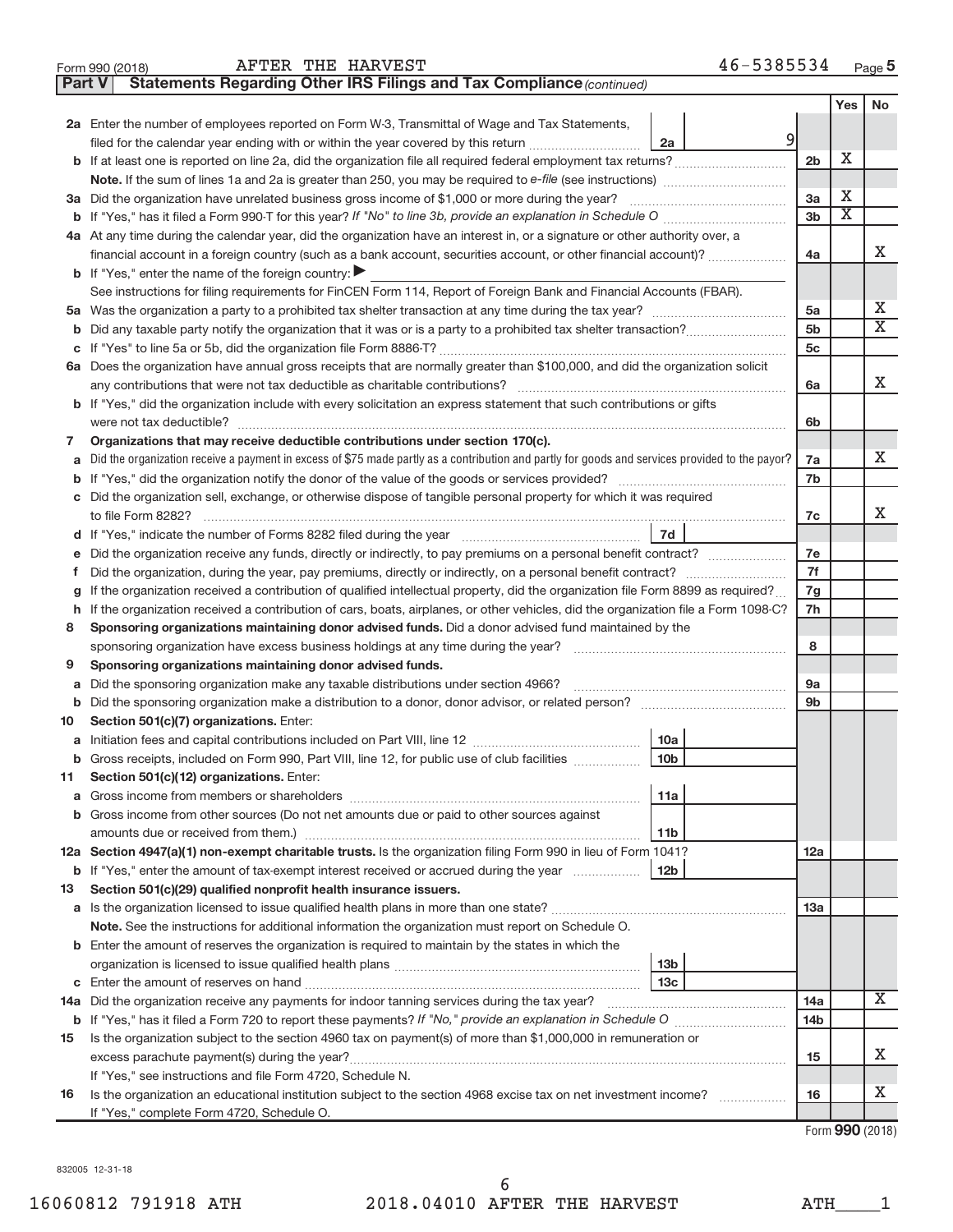| 46-5385534<br>Page $5$ |
|------------------------|
|------------------------|

|         | 46-5385534<br>AFTER THE HARVEST<br>Form 990 (2018)                                                                                              |                             |                             | Page 5 |
|---------|-------------------------------------------------------------------------------------------------------------------------------------------------|-----------------------------|-----------------------------|--------|
| Part V  | Statements Regarding Other IRS Filings and Tax Compliance (continued)                                                                           |                             |                             |        |
|         |                                                                                                                                                 |                             | <b>Yes</b>                  | No     |
|         | 2a Enter the number of employees reported on Form W-3, Transmittal of Wage and Tax Statements,                                                  |                             |                             |        |
|         | $\overline{9}$<br>filed for the calendar year ending with or within the year covered by this return<br>2a                                       |                             |                             |        |
| b       | If at least one is reported on line 2a, did the organization file all required federal employment tax returns?                                  | 2 <sub>b</sub>              | X                           |        |
|         | Note. If the sum of lines 1a and 2a is greater than 250, you may be required to e-file (see instructions) <i>marrouum</i> manus                 |                             |                             |        |
|         | 3a Did the organization have unrelated business gross income of \$1,000 or more during the year?                                                | 3a                          | х                           |        |
| b       |                                                                                                                                                 | 3 <sub>b</sub>              | $\overline{\textnormal{x}}$ |        |
|         | 4a At any time during the calendar year, did the organization have an interest in, or a signature or other authority over, a                    |                             |                             |        |
|         | financial account in a foreign country (such as a bank account, securities account, or other financial account)?                                | 4a                          |                             | x      |
| b       | If "Yes," enter the name of the foreign country: ▶                                                                                              |                             |                             |        |
|         | See instructions for filing requirements for FinCEN Form 114, Report of Foreign Bank and Financial Accounts (FBAR).                             |                             |                             |        |
|         |                                                                                                                                                 | 5a                          |                             | Х      |
| b       |                                                                                                                                                 | 5 <sub>b</sub>              |                             | X      |
| С       |                                                                                                                                                 | 5 <sub>c</sub>              |                             |        |
|         | 6a Does the organization have annual gross receipts that are normally greater than \$100,000, and did the organization solicit                  |                             |                             |        |
|         | any contributions that were not tax deductible as charitable contributions?                                                                     | 6a                          |                             | X      |
| b       | If "Yes," did the organization include with every solicitation an express statement that such contributions or gifts                            |                             |                             |        |
|         | were not tax deductible?                                                                                                                        | 6b                          |                             |        |
| 7       | Organizations that may receive deductible contributions under section 170(c).                                                                   |                             |                             |        |
| a       | Did the organization receive a payment in excess of \$75 made partly as a contribution and partly for goods and services provided to the payor? | 7a                          |                             | X.     |
| b       |                                                                                                                                                 | 7b                          |                             |        |
| С       | Did the organization sell, exchange, or otherwise dispose of tangible personal property for which it was required                               |                             |                             |        |
|         | to file Form 8282?                                                                                                                              | 7c                          |                             | x      |
| d       | 7d                                                                                                                                              |                             |                             |        |
| е       | Did the organization receive any funds, directly or indirectly, to pay premiums on a personal benefit contract?                                 | 7e                          |                             |        |
| f       | Did the organization, during the year, pay premiums, directly or indirectly, on a personal benefit contract?                                    | 7f                          |                             |        |
| g       | If the organization received a contribution of qualified intellectual property, did the organization file Form 8899 as required?                | 7g                          |                             |        |
| h       | If the organization received a contribution of cars, boats, airplanes, or other vehicles, did the organization file a Form 1098-C?              | 7h                          |                             |        |
| 8       | Sponsoring organizations maintaining donor advised funds. Did a donor advised fund maintained by the                                            |                             |                             |        |
|         | sponsoring organization have excess business holdings at any time during the year?                                                              | 8                           |                             |        |
| 9       | Sponsoring organizations maintaining donor advised funds.                                                                                       |                             |                             |        |
| а       | Did the sponsoring organization make any taxable distributions under section 4966?                                                              | <b>9a</b><br>9 <sub>b</sub> |                             |        |
| b<br>10 | Section 501(c)(7) organizations. Enter:                                                                                                         |                             |                             |        |
| а       | 10a                                                                                                                                             |                             |                             |        |
| b       | Gross receipts, included on Form 990, Part VIII, line 12, for public use of club facilities<br>10 <sub>b</sub>                                  |                             |                             |        |
| 11      | Section 501(c)(12) organizations. Enter:                                                                                                        |                             |                             |        |
| a       | 11a                                                                                                                                             |                             |                             |        |
| b       | Gross income from other sources (Do not net amounts due or paid to other sources against                                                        |                             |                             |        |
|         | amounts due or received from them.)<br>11b                                                                                                      |                             |                             |        |
|         | 12a Section 4947(a)(1) non-exempt charitable trusts. Is the organization filing Form 990 in lieu of Form 1041?                                  | 12a                         |                             |        |
| b       | If "Yes," enter the amount of tax-exempt interest received or accrued during the year<br>12 <sub>b</sub>                                        |                             |                             |        |
| 13      | Section 501(c)(29) qualified nonprofit health insurance issuers.                                                                                |                             |                             |        |
|         | <b>a</b> Is the organization licensed to issue qualified health plans in more than one state?                                                   | 13a                         |                             |        |
|         | Note. See the instructions for additional information the organization must report on Schedule O.                                               |                             |                             |        |
| b       | Enter the amount of reserves the organization is required to maintain by the states in which the                                                |                             |                             |        |
|         | 13 <sub>b</sub>                                                                                                                                 |                             |                             |        |
| С       | 13c<br>Enter the amount of reserves on hand                                                                                                     |                             |                             |        |
|         |                                                                                                                                                 | 14a                         |                             | X      |
|         | Form $720$ to report these pourrented If $\mathbb{R}$ provide an evalenction in Cahadule O                                                      |                             |                             |        |

|    | <b>b</b> If "Yes," has it filed a Form 720 to report these payments? If "No," provide an explanation in Schedule O | 14 <sub>b</sub> |  |
|----|--------------------------------------------------------------------------------------------------------------------|-----------------|--|
| 15 | Is the organization subject to the section 4960 tax on payment(s) of more than \$1,000,000 in remuneration or      |                 |  |
|    | excess parachute payment(s) during the year?                                                                       | 15              |  |
|    | If "Yes," see instructions and file Form 4720, Schedule N.                                                         |                 |  |
| 16 | Is the organization an educational institution subject to the section 4968 excise tax on net investment income?    | 16              |  |
|    | If "Yes," complete Form 4720, Schedule O.                                                                          |                 |  |

Form (2018) **990**

X

X

832005 12-31-18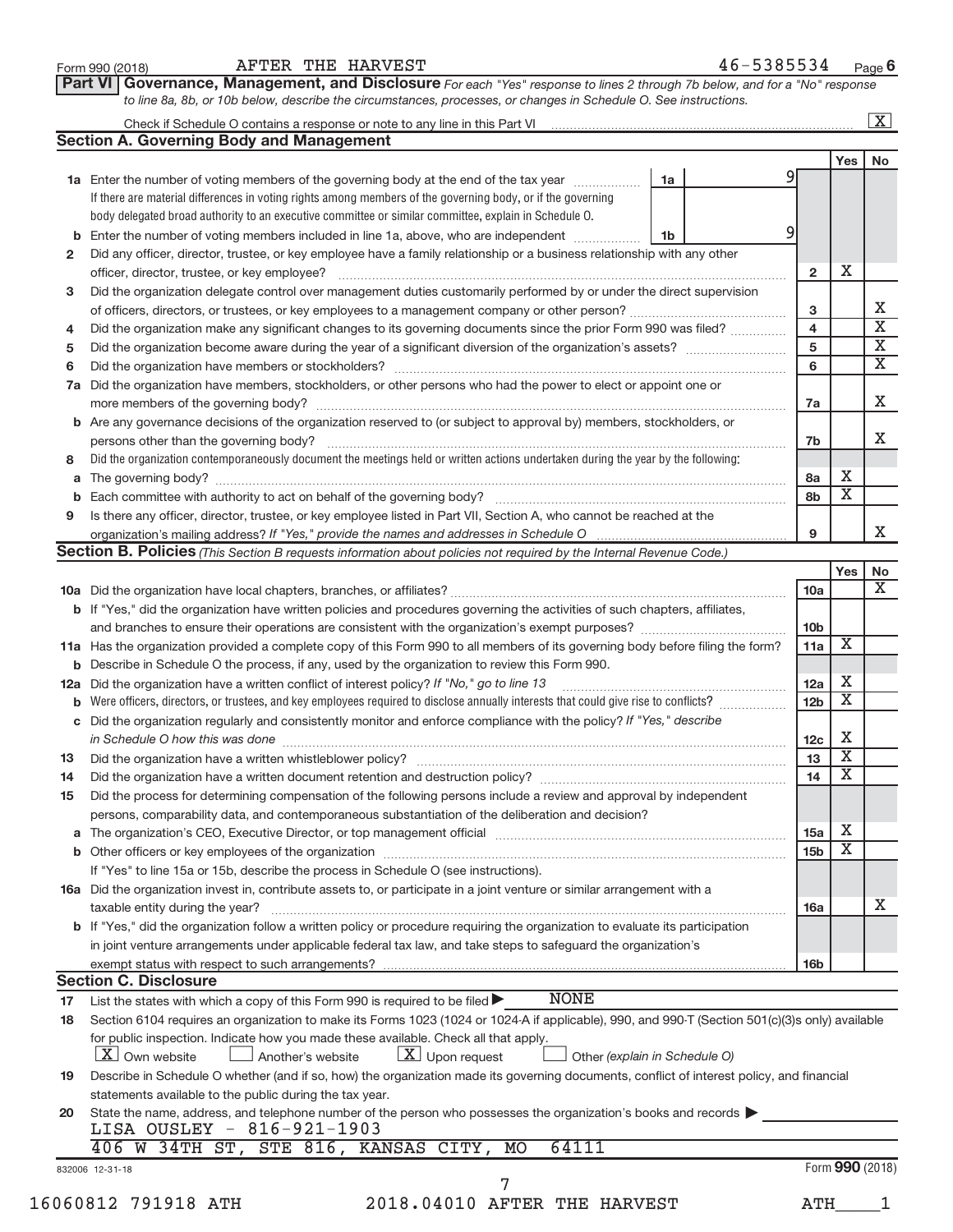|             |                                                                                                                                                                                                                                |                 | Yes                     | No                      |
|-------------|--------------------------------------------------------------------------------------------------------------------------------------------------------------------------------------------------------------------------------|-----------------|-------------------------|-------------------------|
|             | 1a Enter the number of voting members of the governing body at the end of the tax year<br>1a                                                                                                                                   | 9               |                         |                         |
|             | If there are material differences in voting rights among members of the governing body, or if the governing                                                                                                                    |                 |                         |                         |
|             | body delegated broad authority to an executive committee or similar committee, explain in Schedule O.                                                                                                                          |                 |                         |                         |
| $\mathbf b$ | Enter the number of voting members included in line 1a, above, who are independent <i>manumum</i><br>1b                                                                                                                        | 9               |                         |                         |
| 2           | Did any officer, director, trustee, or key employee have a family relationship or a business relationship with any other                                                                                                       |                 |                         |                         |
|             | officer, director, trustee, or key employee?                                                                                                                                                                                   | $\mathbf{2}$    | Х                       |                         |
| з           | Did the organization delegate control over management duties customarily performed by or under the direct supervision                                                                                                          |                 |                         |                         |
|             |                                                                                                                                                                                                                                | 3               |                         | Х                       |
| 4           | Did the organization make any significant changes to its governing documents since the prior Form 990 was filed?                                                                                                               | 4               |                         | $\overline{\mathbf{x}}$ |
| 5           |                                                                                                                                                                                                                                | 5               |                         | $\overline{\mathbf{X}}$ |
| 6           |                                                                                                                                                                                                                                | 6               |                         | $\overline{\mathbf{x}}$ |
| 7a          | Did the organization have members, stockholders, or other persons who had the power to elect or appoint one or                                                                                                                 | 7a              |                         | Χ                       |
|             | <b>b</b> Are any governance decisions of the organization reserved to (or subject to approval by) members, stockholders, or                                                                                                    |                 |                         |                         |
|             | persons other than the governing body?                                                                                                                                                                                         | 7b              |                         | X                       |
| 8           | Did the organization contemporaneously document the meetings held or written actions undertaken during the year by the following:                                                                                              |                 |                         |                         |
|             |                                                                                                                                                                                                                                | 8a              | х                       |                         |
| b           |                                                                                                                                                                                                                                | 8b              | $\overline{\textbf{x}}$ |                         |
| 9           | Is there any officer, director, trustee, or key employee listed in Part VII, Section A, who cannot be reached at the                                                                                                           |                 |                         |                         |
|             |                                                                                                                                                                                                                                | 9               |                         | X                       |
|             | Section B. Policies (This Section B requests information about policies not required by the Internal Revenue Code.)                                                                                                            |                 |                         |                         |
|             |                                                                                                                                                                                                                                |                 | Yes                     | No                      |
|             |                                                                                                                                                                                                                                | 10a             |                         | X                       |
|             | <b>b</b> If "Yes," did the organization have written policies and procedures governing the activities of such chapters, affiliates,                                                                                            |                 |                         |                         |
|             |                                                                                                                                                                                                                                | 10 <sub>b</sub> |                         |                         |
|             | 11a Has the organization provided a complete copy of this Form 990 to all members of its governing body before filing the form?                                                                                                | 11a             | Χ                       |                         |
|             | <b>b</b> Describe in Schedule O the process, if any, used by the organization to review this Form 990.                                                                                                                         |                 |                         |                         |
| 12a         | Did the organization have a written conflict of interest policy? If "No," go to line 13                                                                                                                                        | 12a             | х                       |                         |
| b           |                                                                                                                                                                                                                                | 12 <sub>b</sub> | X                       |                         |
|             | c Did the organization regularly and consistently monitor and enforce compliance with the policy? If "Yes," describe                                                                                                           |                 |                         |                         |
|             | in Schedule O how this was done manufactured and continuum and contract the way of the state of the state of t                                                                                                                 | 12c             | х                       |                         |
| 13          |                                                                                                                                                                                                                                | 13              | $\overline{\text{X}}$   |                         |
| 14          | Did the organization have a written document retention and destruction policy? [11] manuscription manuscription manuscription of the organization have a written document retention and destruction policy?                    | 14              | X                       |                         |
| 15          | Did the process for determining compensation of the following persons include a review and approval by independent                                                                                                             |                 |                         |                         |
|             | persons, comparability data, and contemporaneous substantiation of the deliberation and decision?                                                                                                                              |                 |                         |                         |
|             | The organization's CEO, Executive Director, or top management official [111] [12] manuscriptions of the organization's CEO, Executive Director, or top management official [12] manuscriptions or the original manuscription o | 15a             | Χ                       |                         |
|             |                                                                                                                                                                                                                                | 15b             | X                       |                         |
|             | If "Yes" to line 15a or 15b, describe the process in Schedule O (see instructions).                                                                                                                                            |                 |                         |                         |
|             | 16a Did the organization invest in, contribute assets to, or participate in a joint venture or similar arrangement with a                                                                                                      |                 |                         |                         |
|             | taxable entity during the year?                                                                                                                                                                                                | 16a             |                         | X                       |
|             | b If "Yes," did the organization follow a written policy or procedure requiring the organization to evaluate its participation                                                                                                 |                 |                         |                         |
|             | in joint venture arrangements under applicable federal tax law, and take steps to safeguard the organization's                                                                                                                 |                 |                         |                         |
|             | exempt status with respect to such arrangements?<br><b>Section C. Disclosure</b>                                                                                                                                               | 16 <sub>b</sub> |                         |                         |
|             |                                                                                                                                                                                                                                |                 |                         |                         |
|             |                                                                                                                                                                                                                                |                 |                         |                         |
|             | <b>NONE</b><br>List the states with which a copy of this Form 990 is required to be filed $\blacktriangleright$                                                                                                                |                 |                         |                         |
|             | Section 6104 requires an organization to make its Forms 1023 (1024 or 1024 A if applicable), 990, and 990-T (Section 501(c)(3)s only) available                                                                                |                 |                         |                         |
| 17<br>18    | for public inspection. Indicate how you made these available. Check all that apply.<br>$X$ Upon request<br><b>X</b> Own website<br>Another's website<br>Other (explain in Schedule O)                                          |                 |                         |                         |
|             | Describe in Schedule O whether (and if so, how) the organization made its governing documents, conflict of interest policy, and financial                                                                                      |                 |                         |                         |
|             | statements available to the public during the tax year.                                                                                                                                                                        |                 |                         |                         |
|             | State the name, address, and telephone number of the person who possesses the organization's books and records<br>LISA OUSLEY - 816-921-1903                                                                                   |                 |                         |                         |
| 19<br>20    | 406 W 34TH ST, STE 816, KANSAS CITY,<br>64111<br>MO                                                                                                                                                                            |                 |                         |                         |
|             | 832006 12-31-18<br>7                                                                                                                                                                                                           |                 |                         | Form 990 (2018)         |

**Part VI** Governance, Management, and Disclosure For each "Yes" response to lines 2 through 7b below, and for a "No" response

Form 990 (2018)  $\begin{array}{cccc} \text{AFTER} & \text{THE} & \text{HARYEST} \end{array}$   $\begin{array}{cccc} 46-5385534 & \text{Page} \end{array}$ 

**6**

-X

*to line 8a, 8b, or 10b below, describe the circumstances, processes, or changes in Schedule O. See instructions.*

Check if Schedule O contains a response or note to any line in this Part VI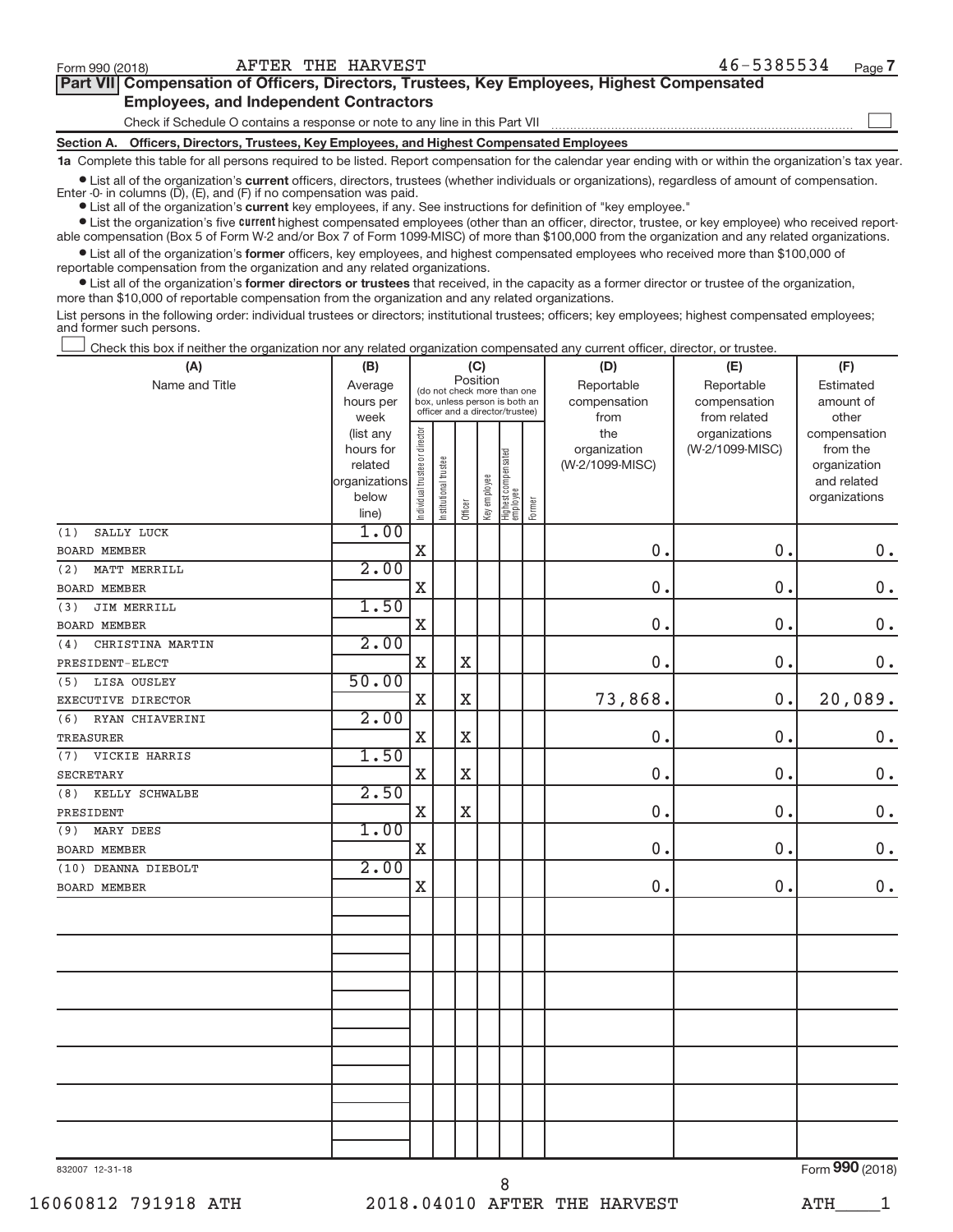-

| Part VII Compensation of Officers, Directors, Trustees, Key Employees, Highest Compensated |
|--------------------------------------------------------------------------------------------|
| <b>Employees, and Independent Contractors</b>                                              |

Check if Schedule O contains a response or note to any line in this Part VII

**Section A. Officers, Directors, Trustees, Key Employees, and Highest Compensated Employees**

**1a** Complete this table for all persons required to be listed. Report compensation for the calendar year ending with or within the organization's tax year.

● List all of the organization's current officers, directors, trustees (whether individuals or organizations), regardless of amount of compensation. Enter -0- in columns (D), (E), and (F) if no compensation was paid.

**•** List all of the organization's current key employees, if any. See instructions for definition of "key employee."

**Examber 1** Current Lightest compensated employees (other than an officer, director, trustee, or key employee) who received reportable compensation (Box 5 of Form W-2 and/or Box 7 of Form 1099-MISC) of more than \$100,000 from the organization and any related organizations.

● List all of the organization's former officers, key employees, and highest compensated employees who received more than \$100,000 of reportable compensation from the organization and any related organizations.

**•** List all of the organization's former directors or trustees that received, in the capacity as a former director or trustee of the organization, more than \$10,000 of reportable compensation from the organization and any related organizations.

List persons in the following order: individual trustees or directors; institutional trustees; officers; key employees; highest compensated employees; and former such persons.

Check this box if neither the organization nor any related organization compensated any current officer, director, or trustee. -

| (A)                     | (B)                    |                                |                                                                  |             | (C)          |                                 |        | (D)                 |                                                                                                                                     | (F)                      |
|-------------------------|------------------------|--------------------------------|------------------------------------------------------------------|-------------|--------------|---------------------------------|--------|---------------------|-------------------------------------------------------------------------------------------------------------------------------------|--------------------------|
| Name and Title          | Average                |                                | (do not check more than one                                      | Position    |              |                                 |        | Reportable          | Reportable                                                                                                                          | Estimated                |
|                         | hours per              |                                | box, unless person is both an<br>officer and a director/trustee) |             |              |                                 |        | compensation        |                                                                                                                                     | amount of                |
|                         | week                   |                                |                                                                  |             |              |                                 |        | from                | (E)<br>compensation<br>from related<br>organizations<br>(W-2/1099-MISC)<br>0.<br>0.<br>0.<br>0.<br>0.<br>0.<br>0.<br>0.<br>0.<br>0. | other                    |
|                         | (list any<br>hours for |                                |                                                                  |             |              |                                 |        | the<br>organization |                                                                                                                                     | compensation<br>from the |
|                         | related                |                                |                                                                  |             |              |                                 |        | (W-2/1099-MISC)     |                                                                                                                                     | organization             |
|                         | organizations          |                                |                                                                  |             |              |                                 |        |                     |                                                                                                                                     | and related              |
|                         | below                  | Individual trustee or director | Institutional trustee                                            |             | Key employee | Highest compensated<br>employee |        |                     |                                                                                                                                     | organizations            |
|                         | line)                  |                                |                                                                  | Officer     |              |                                 | Former |                     |                                                                                                                                     |                          |
| SALLY LUCK<br>(1)       | 1.00                   |                                |                                                                  |             |              |                                 |        |                     |                                                                                                                                     |                          |
| <b>BOARD MEMBER</b>     |                        | X                              |                                                                  |             |              |                                 |        | 0.                  |                                                                                                                                     | $0$ .                    |
| (2)<br>MATT MERRILL     | 2.00                   |                                |                                                                  |             |              |                                 |        |                     |                                                                                                                                     |                          |
| <b>BOARD MEMBER</b>     |                        | X                              |                                                                  |             |              |                                 |        | 0.                  |                                                                                                                                     | $0$ .                    |
| JIM MERRILL<br>(3)      | 1.50                   |                                |                                                                  |             |              |                                 |        |                     |                                                                                                                                     |                          |
| <b>BOARD MEMBER</b>     |                        | X                              |                                                                  |             |              |                                 |        | 0.                  |                                                                                                                                     | $0$ .                    |
| (4)<br>CHRISTINA MARTIN | 2.00                   |                                |                                                                  |             |              |                                 |        |                     |                                                                                                                                     |                          |
| PRESIDENT-ELECT         |                        | X                              |                                                                  | $\mathbf X$ |              |                                 |        | 0.                  |                                                                                                                                     | 0.                       |
| LISA OUSLEY<br>(5)      | 50.00                  |                                |                                                                  |             |              |                                 |        |                     |                                                                                                                                     |                          |
| EXECUTIVE DIRECTOR      |                        | $\mathbf X$                    |                                                                  | $\mathbf X$ |              |                                 |        | 73,868.             |                                                                                                                                     | 20,089.                  |
| (6)<br>RYAN CHIAVERINI  | 2.00                   |                                |                                                                  |             |              |                                 |        |                     |                                                                                                                                     |                          |
| TREASURER               |                        | X                              |                                                                  | $\mathbf X$ |              |                                 |        | 0.                  |                                                                                                                                     | $0$ .                    |
| (7) VICKIE HARRIS       | 1.50                   |                                |                                                                  |             |              |                                 |        |                     |                                                                                                                                     |                          |
| <b>SECRETARY</b>        |                        | $\mathbf X$                    |                                                                  | $\mathbf X$ |              |                                 |        | 0.                  |                                                                                                                                     | $0$ .                    |
| KELLY SCHWALBE<br>(8)   | 2.50                   |                                |                                                                  |             |              |                                 |        |                     |                                                                                                                                     |                          |
| PRESIDENT               |                        | $\mathbf X$                    |                                                                  | $\mathbf X$ |              |                                 |        | 0.                  |                                                                                                                                     | $0$ .                    |
| MARY DEES<br>(9)        | 1.00                   |                                |                                                                  |             |              |                                 |        |                     |                                                                                                                                     |                          |
| <b>BOARD MEMBER</b>     |                        | $\mathbf X$                    |                                                                  |             |              |                                 |        | 0.                  |                                                                                                                                     | $\boldsymbol{0}$ .       |
| (10) DEANNA DIEBOLT     | 2.00                   |                                |                                                                  |             |              |                                 |        |                     |                                                                                                                                     |                          |
| <b>BOARD MEMBER</b>     |                        | $\mathbf X$                    |                                                                  |             |              |                                 |        | 0.                  |                                                                                                                                     | $0$ .                    |
|                         |                        |                                |                                                                  |             |              |                                 |        |                     |                                                                                                                                     |                          |
|                         |                        |                                |                                                                  |             |              |                                 |        |                     |                                                                                                                                     |                          |
|                         |                        |                                |                                                                  |             |              |                                 |        |                     |                                                                                                                                     |                          |
|                         |                        |                                |                                                                  |             |              |                                 |        |                     |                                                                                                                                     |                          |
|                         |                        |                                |                                                                  |             |              |                                 |        |                     |                                                                                                                                     |                          |
|                         |                        |                                |                                                                  |             |              |                                 |        |                     |                                                                                                                                     |                          |
|                         |                        |                                |                                                                  |             |              |                                 |        |                     |                                                                                                                                     |                          |
|                         |                        |                                |                                                                  |             |              |                                 |        |                     |                                                                                                                                     |                          |
|                         |                        |                                |                                                                  |             |              |                                 |        |                     |                                                                                                                                     |                          |
|                         |                        |                                |                                                                  |             |              |                                 |        |                     |                                                                                                                                     |                          |
|                         |                        |                                |                                                                  |             |              |                                 |        |                     |                                                                                                                                     |                          |
|                         |                        |                                |                                                                  |             |              |                                 |        |                     |                                                                                                                                     |                          |
|                         |                        |                                |                                                                  |             |              |                                 |        |                     |                                                                                                                                     |                          |
|                         |                        |                                |                                                                  |             |              |                                 |        |                     |                                                                                                                                     |                          |

832007 12-31-18

Form **990** (2018)

8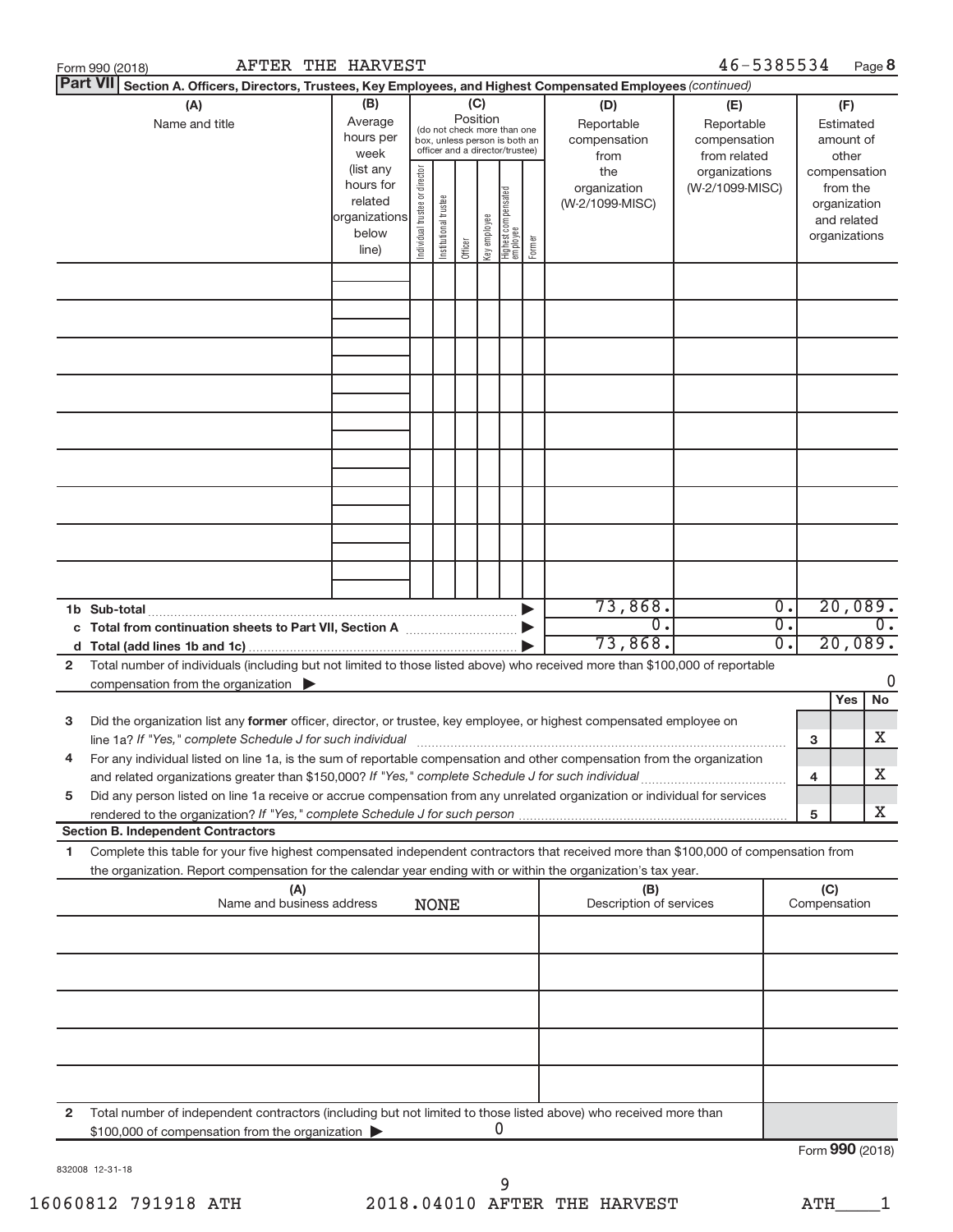|              | Form 990 (2018)                                                                                                                                                                                                                                                        |  | <b>AFTER THE HARVEST</b> |  |             |                                                                                                                                                                                                                                                                                                             |              |   |        |                             | 46-5385534                                                                            |                        |                 |                                                                                                   | Page 8                      |
|--------------|------------------------------------------------------------------------------------------------------------------------------------------------------------------------------------------------------------------------------------------------------------------------|--|--------------------------|--|-------------|-------------------------------------------------------------------------------------------------------------------------------------------------------------------------------------------------------------------------------------------------------------------------------------------------------------|--------------|---|--------|-----------------------------|---------------------------------------------------------------------------------------|------------------------|-----------------|---------------------------------------------------------------------------------------------------|-----------------------------|
|              | <b>Part VII</b><br>Section A. Officers, Directors, Trustees, Key Employees, and Highest Compensated Employees (continued)                                                                                                                                              |  |                          |  |             |                                                                                                                                                                                                                                                                                                             |              |   |        |                             |                                                                                       |                        |                 |                                                                                                   |                             |
|              | (B)<br>(A)<br>Average<br>Name and title<br>hours per<br>week<br>(list any<br>hours for<br>related<br>organizations<br>below                                                                                                                                            |  |                          |  |             | (C)<br>(D)<br>Position<br>Reportable<br>(do not check more than one<br>compensation<br>box, unless person is both an<br>officer and a director/trustee)<br>from<br>Individual trustee or director<br>the<br>organization<br>  Highest compensated<br>  employee<br>Institutional trustee<br>(W-2/1099-MISC) |              |   |        |                             | (E)<br>Reportable<br>compensation<br>from related<br>organizations<br>(W-2/1099-MISC) |                        |                 | (F)<br>Estimated<br>amount of<br>other<br>compensation<br>from the<br>organization<br>and related |                             |
|              |                                                                                                                                                                                                                                                                        |  | line)                    |  |             | Officer                                                                                                                                                                                                                                                                                                     | key employee |   | Former |                             |                                                                                       |                        |                 | organizations                                                                                     |                             |
|              |                                                                                                                                                                                                                                                                        |  |                          |  |             |                                                                                                                                                                                                                                                                                                             |              |   |        |                             |                                                                                       |                        |                 |                                                                                                   |                             |
|              |                                                                                                                                                                                                                                                                        |  |                          |  |             |                                                                                                                                                                                                                                                                                                             |              |   |        |                             |                                                                                       |                        |                 |                                                                                                   |                             |
|              |                                                                                                                                                                                                                                                                        |  |                          |  |             |                                                                                                                                                                                                                                                                                                             |              |   |        |                             |                                                                                       |                        |                 |                                                                                                   |                             |
|              |                                                                                                                                                                                                                                                                        |  |                          |  |             |                                                                                                                                                                                                                                                                                                             |              |   |        |                             |                                                                                       |                        |                 |                                                                                                   |                             |
|              |                                                                                                                                                                                                                                                                        |  |                          |  |             |                                                                                                                                                                                                                                                                                                             |              |   |        |                             |                                                                                       |                        |                 |                                                                                                   |                             |
|              |                                                                                                                                                                                                                                                                        |  |                          |  |             |                                                                                                                                                                                                                                                                                                             |              |   |        |                             |                                                                                       |                        |                 |                                                                                                   |                             |
|              |                                                                                                                                                                                                                                                                        |  |                          |  |             |                                                                                                                                                                                                                                                                                                             |              |   |        |                             |                                                                                       |                        |                 |                                                                                                   |                             |
|              |                                                                                                                                                                                                                                                                        |  |                          |  |             |                                                                                                                                                                                                                                                                                                             |              |   |        |                             |                                                                                       |                        |                 |                                                                                                   |                             |
|              |                                                                                                                                                                                                                                                                        |  |                          |  |             |                                                                                                                                                                                                                                                                                                             |              |   |        |                             |                                                                                       |                        |                 |                                                                                                   |                             |
|              |                                                                                                                                                                                                                                                                        |  |                          |  |             |                                                                                                                                                                                                                                                                                                             |              |   |        | 73,868.                     |                                                                                       | 0.                     |                 |                                                                                                   | 20,089.                     |
|              | c Total from continuation sheets to Part VII, Section A [11, 11, 2010]                                                                                                                                                                                                 |  |                          |  |             |                                                                                                                                                                                                                                                                                                             |              |   |        | $\overline{0}$ .<br>73,868. |                                                                                       | $\overline{0}$ .<br>σ. |                 |                                                                                                   | $\overline{0}$ .<br>20,089. |
| $\mathbf{2}$ | Total number of individuals (including but not limited to those listed above) who received more than \$100,000 of reportable                                                                                                                                           |  |                          |  |             |                                                                                                                                                                                                                                                                                                             |              |   |        |                             |                                                                                       |                        |                 |                                                                                                   |                             |
|              | compensation from the organization $\blacktriangleright$                                                                                                                                                                                                               |  |                          |  |             |                                                                                                                                                                                                                                                                                                             |              |   |        |                             |                                                                                       |                        |                 | Yes                                                                                               | 0<br><b>No</b>              |
| з            | Did the organization list any former officer, director, or trustee, key employee, or highest compensated employee on                                                                                                                                                   |  |                          |  |             |                                                                                                                                                                                                                                                                                                             |              |   |        |                             |                                                                                       |                        |                 |                                                                                                   |                             |
| 4            | line 1a? If "Yes," complete Schedule J for such individual manufacture content to the set of the set of the schedule J for such individual<br>For any individual listed on line 1a, is the sum of reportable compensation and other compensation from the organization |  |                          |  |             |                                                                                                                                                                                                                                                                                                             |              |   |        |                             |                                                                                       |                        | 3               |                                                                                                   | Х                           |
| 5            | Did any person listed on line 1a receive or accrue compensation from any unrelated organization or individual for services                                                                                                                                             |  |                          |  |             |                                                                                                                                                                                                                                                                                                             |              |   |        |                             |                                                                                       |                        | 4               |                                                                                                   | Х                           |
|              | <b>Section B. Independent Contractors</b>                                                                                                                                                                                                                              |  |                          |  |             |                                                                                                                                                                                                                                                                                                             |              |   |        |                             |                                                                                       |                        | 5               |                                                                                                   | Χ                           |
| 1            | Complete this table for your five highest compensated independent contractors that received more than \$100,000 of compensation from<br>the organization. Report compensation for the calendar year ending with or within the organization's tax year.                 |  |                          |  |             |                                                                                                                                                                                                                                                                                                             |              |   |        |                             |                                                                                       |                        |                 |                                                                                                   |                             |
|              | (A)                                                                                                                                                                                                                                                                    |  |                          |  |             |                                                                                                                                                                                                                                                                                                             |              |   |        | (B)                         |                                                                                       |                        | (C)             |                                                                                                   |                             |
|              | Name and business address                                                                                                                                                                                                                                              |  |                          |  | <b>NONE</b> |                                                                                                                                                                                                                                                                                                             |              |   |        | Description of services     |                                                                                       |                        | Compensation    |                                                                                                   |                             |
|              |                                                                                                                                                                                                                                                                        |  |                          |  |             |                                                                                                                                                                                                                                                                                                             |              |   |        |                             |                                                                                       |                        |                 |                                                                                                   |                             |
|              |                                                                                                                                                                                                                                                                        |  |                          |  |             |                                                                                                                                                                                                                                                                                                             |              |   |        |                             |                                                                                       |                        |                 |                                                                                                   |                             |
|              |                                                                                                                                                                                                                                                                        |  |                          |  |             |                                                                                                                                                                                                                                                                                                             |              |   |        |                             |                                                                                       |                        |                 |                                                                                                   |                             |
|              |                                                                                                                                                                                                                                                                        |  |                          |  |             |                                                                                                                                                                                                                                                                                                             |              |   |        |                             |                                                                                       |                        |                 |                                                                                                   |                             |
|              |                                                                                                                                                                                                                                                                        |  |                          |  |             |                                                                                                                                                                                                                                                                                                             |              |   |        |                             |                                                                                       |                        |                 |                                                                                                   |                             |
| $\mathbf{2}$ | Total number of independent contractors (including but not limited to those listed above) who received more than<br>\$100,000 of compensation from the organization                                                                                                    |  |                          |  |             |                                                                                                                                                                                                                                                                                                             |              | 0 |        |                             |                                                                                       |                        |                 |                                                                                                   |                             |
|              |                                                                                                                                                                                                                                                                        |  |                          |  |             |                                                                                                                                                                                                                                                                                                             |              |   |        |                             |                                                                                       |                        | Form 990 (2018) |                                                                                                   |                             |

832008 12-31-18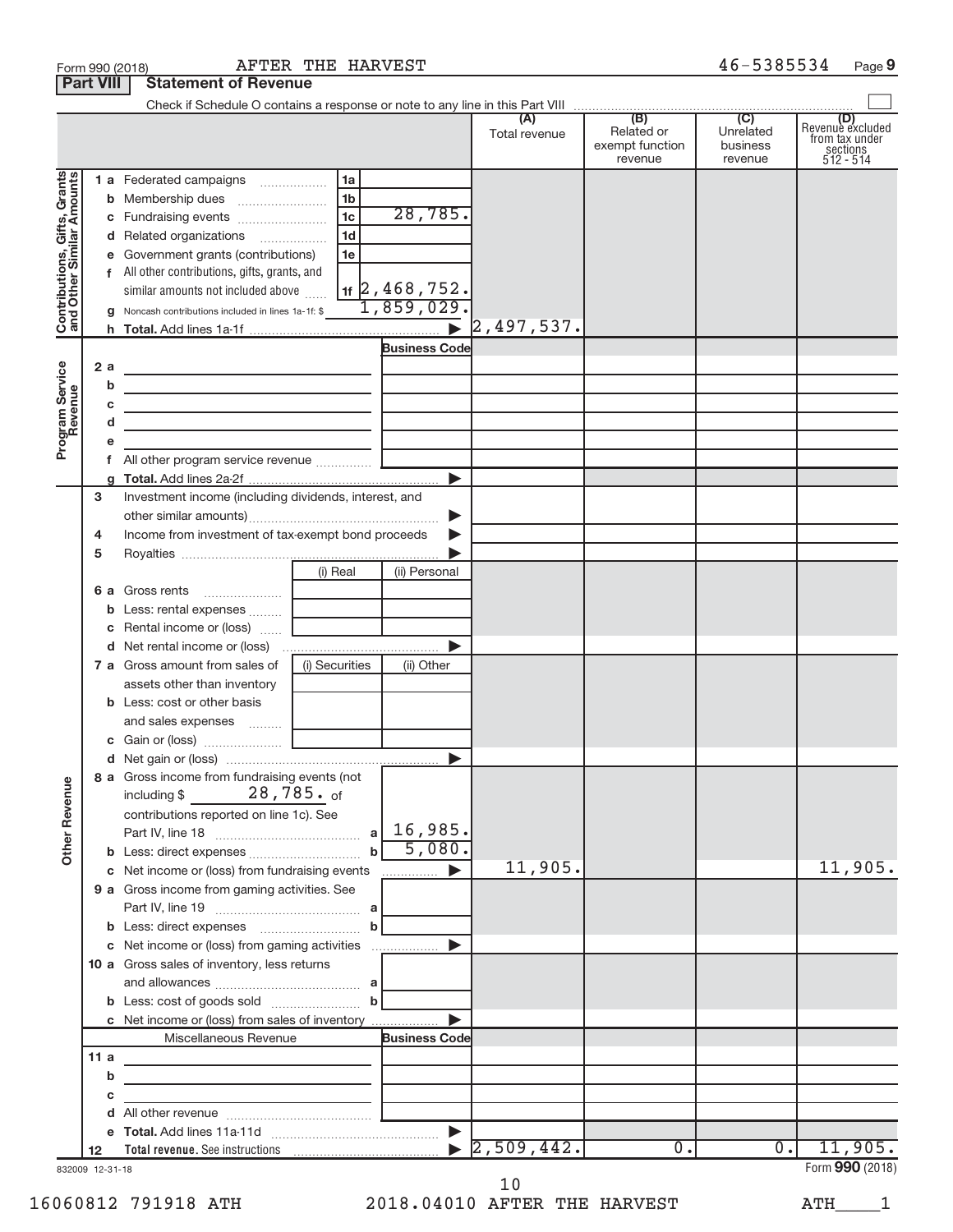| (B)<br>(C)<br>(A)<br>Related or<br>Unrelated<br>Total revenue<br>exempt function<br>business<br>revenue<br>revenue<br>Contributions, Gifts, Grants<br>and Other Similar Amounts<br>1a<br>1 a Federated campaigns<br>1 <sub>b</sub><br>28,785.<br>1 <sub>c</sub><br>1 <sub>d</sub><br>d Related organizations<br>1e<br>e Government grants (contributions)<br>f All other contributions, gifts, grants, and<br>$1$ + $2$ , 468, 752.<br>similar amounts not included above<br>1,859,029.<br><b>g</b> Noncash contributions included in lines 1a-1f: \$<br>$\triangleright$ 2,497,537.<br><b>Business Code</b><br>Program Service<br>Revenue<br>2a<br>the control of the control of the control of the control of the control of the control of<br>b<br>the control of the control of the control of the control of the control of the control of<br>с<br>the control of the control of the control of the control of the control of the control of<br>d<br>the control of the control of the control of the control of the control of<br>е<br>Investment income (including dividends, interest, and<br>3<br>▶<br>Income from investment of tax-exempt bond proceeds<br>4<br>5<br>(i) Real<br>(ii) Personal<br><b>6 a</b> Gross rents<br>Less: rental expenses<br><b>c</b> Rental income or (loss) $\ldots$<br>(i) Securities<br>7 a Gross amount from sales of<br>(ii) Other<br>assets other than inventory<br><b>b</b> Less: cost or other basis<br>and sales expenses<br>8 a Gross income from fundraising events (not<br><b>Other Revenue</b><br>28,785. <sub>of</sub><br>including \$<br>contributions reported on line 1c). See<br>5,080.<br>11,905.<br>c Net income or (loss) from fundraising events<br>9 a Gross income from gaming activities. See<br>c Net income or (loss) from gaming activities<br>$\blacktriangleright$<br>10 a Gross sales of inventory, less returns<br>$\mathbf b$<br>c Net income or (loss) from sales of inventory<br><b>Business Code</b><br>Miscellaneous Revenue |                                                             |  |  | <b>Statement of Revenue</b> | <b>Part VIII</b> |  |
|-------------------------------------------------------------------------------------------------------------------------------------------------------------------------------------------------------------------------------------------------------------------------------------------------------------------------------------------------------------------------------------------------------------------------------------------------------------------------------------------------------------------------------------------------------------------------------------------------------------------------------------------------------------------------------------------------------------------------------------------------------------------------------------------------------------------------------------------------------------------------------------------------------------------------------------------------------------------------------------------------------------------------------------------------------------------------------------------------------------------------------------------------------------------------------------------------------------------------------------------------------------------------------------------------------------------------------------------------------------------------------------------------------------------------------------------------------------------------------------------------------------------------------------------------------------------------------------------------------------------------------------------------------------------------------------------------------------------------------------------------------------------------------------------------------------------------------------------------------------------------------------------------------------------------------------------------------------------------------------------------------|-------------------------------------------------------------|--|--|-----------------------------|------------------|--|
|                                                                                                                                                                                                                                                                                                                                                                                                                                                                                                                                                                                                                                                                                                                                                                                                                                                                                                                                                                                                                                                                                                                                                                                                                                                                                                                                                                                                                                                                                                                                                                                                                                                                                                                                                                                                                                                                                                                                                                                                       |                                                             |  |  |                             |                  |  |
|                                                                                                                                                                                                                                                                                                                                                                                                                                                                                                                                                                                                                                                                                                                                                                                                                                                                                                                                                                                                                                                                                                                                                                                                                                                                                                                                                                                                                                                                                                                                                                                                                                                                                                                                                                                                                                                                                                                                                                                                       | Revenue excluded<br>from tax under<br>sections<br>512 - 514 |  |  |                             |                  |  |
|                                                                                                                                                                                                                                                                                                                                                                                                                                                                                                                                                                                                                                                                                                                                                                                                                                                                                                                                                                                                                                                                                                                                                                                                                                                                                                                                                                                                                                                                                                                                                                                                                                                                                                                                                                                                                                                                                                                                                                                                       |                                                             |  |  |                             |                  |  |
|                                                                                                                                                                                                                                                                                                                                                                                                                                                                                                                                                                                                                                                                                                                                                                                                                                                                                                                                                                                                                                                                                                                                                                                                                                                                                                                                                                                                                                                                                                                                                                                                                                                                                                                                                                                                                                                                                                                                                                                                       |                                                             |  |  |                             |                  |  |
|                                                                                                                                                                                                                                                                                                                                                                                                                                                                                                                                                                                                                                                                                                                                                                                                                                                                                                                                                                                                                                                                                                                                                                                                                                                                                                                                                                                                                                                                                                                                                                                                                                                                                                                                                                                                                                                                                                                                                                                                       |                                                             |  |  |                             |                  |  |
|                                                                                                                                                                                                                                                                                                                                                                                                                                                                                                                                                                                                                                                                                                                                                                                                                                                                                                                                                                                                                                                                                                                                                                                                                                                                                                                                                                                                                                                                                                                                                                                                                                                                                                                                                                                                                                                                                                                                                                                                       |                                                             |  |  |                             |                  |  |
|                                                                                                                                                                                                                                                                                                                                                                                                                                                                                                                                                                                                                                                                                                                                                                                                                                                                                                                                                                                                                                                                                                                                                                                                                                                                                                                                                                                                                                                                                                                                                                                                                                                                                                                                                                                                                                                                                                                                                                                                       |                                                             |  |  |                             |                  |  |
|                                                                                                                                                                                                                                                                                                                                                                                                                                                                                                                                                                                                                                                                                                                                                                                                                                                                                                                                                                                                                                                                                                                                                                                                                                                                                                                                                                                                                                                                                                                                                                                                                                                                                                                                                                                                                                                                                                                                                                                                       |                                                             |  |  |                             |                  |  |
|                                                                                                                                                                                                                                                                                                                                                                                                                                                                                                                                                                                                                                                                                                                                                                                                                                                                                                                                                                                                                                                                                                                                                                                                                                                                                                                                                                                                                                                                                                                                                                                                                                                                                                                                                                                                                                                                                                                                                                                                       |                                                             |  |  |                             |                  |  |
|                                                                                                                                                                                                                                                                                                                                                                                                                                                                                                                                                                                                                                                                                                                                                                                                                                                                                                                                                                                                                                                                                                                                                                                                                                                                                                                                                                                                                                                                                                                                                                                                                                                                                                                                                                                                                                                                                                                                                                                                       |                                                             |  |  |                             |                  |  |
|                                                                                                                                                                                                                                                                                                                                                                                                                                                                                                                                                                                                                                                                                                                                                                                                                                                                                                                                                                                                                                                                                                                                                                                                                                                                                                                                                                                                                                                                                                                                                                                                                                                                                                                                                                                                                                                                                                                                                                                                       | 11,905.                                                     |  |  |                             |                  |  |
|                                                                                                                                                                                                                                                                                                                                                                                                                                                                                                                                                                                                                                                                                                                                                                                                                                                                                                                                                                                                                                                                                                                                                                                                                                                                                                                                                                                                                                                                                                                                                                                                                                                                                                                                                                                                                                                                                                                                                                                                       |                                                             |  |  |                             |                  |  |
|                                                                                                                                                                                                                                                                                                                                                                                                                                                                                                                                                                                                                                                                                                                                                                                                                                                                                                                                                                                                                                                                                                                                                                                                                                                                                                                                                                                                                                                                                                                                                                                                                                                                                                                                                                                                                                                                                                                                                                                                       |                                                             |  |  |                             |                  |  |
|                                                                                                                                                                                                                                                                                                                                                                                                                                                                                                                                                                                                                                                                                                                                                                                                                                                                                                                                                                                                                                                                                                                                                                                                                                                                                                                                                                                                                                                                                                                                                                                                                                                                                                                                                                                                                                                                                                                                                                                                       |                                                             |  |  |                             |                  |  |
|                                                                                                                                                                                                                                                                                                                                                                                                                                                                                                                                                                                                                                                                                                                                                                                                                                                                                                                                                                                                                                                                                                                                                                                                                                                                                                                                                                                                                                                                                                                                                                                                                                                                                                                                                                                                                                                                                                                                                                                                       |                                                             |  |  |                             |                  |  |
| 11 a                                                                                                                                                                                                                                                                                                                                                                                                                                                                                                                                                                                                                                                                                                                                                                                                                                                                                                                                                                                                                                                                                                                                                                                                                                                                                                                                                                                                                                                                                                                                                                                                                                                                                                                                                                                                                                                                                                                                                                                                  |                                                             |  |  |                             |                  |  |
| the control of the control of the control of the control of<br>b                                                                                                                                                                                                                                                                                                                                                                                                                                                                                                                                                                                                                                                                                                                                                                                                                                                                                                                                                                                                                                                                                                                                                                                                                                                                                                                                                                                                                                                                                                                                                                                                                                                                                                                                                                                                                                                                                                                                      |                                                             |  |  |                             |                  |  |
| с<br><u> 1989 - Johann John Stein, mars an deus Amerikaansk kommunister (</u>                                                                                                                                                                                                                                                                                                                                                                                                                                                                                                                                                                                                                                                                                                                                                                                                                                                                                                                                                                                                                                                                                                                                                                                                                                                                                                                                                                                                                                                                                                                                                                                                                                                                                                                                                                                                                                                                                                                         |                                                             |  |  |                             |                  |  |
|                                                                                                                                                                                                                                                                                                                                                                                                                                                                                                                                                                                                                                                                                                                                                                                                                                                                                                                                                                                                                                                                                                                                                                                                                                                                                                                                                                                                                                                                                                                                                                                                                                                                                                                                                                                                                                                                                                                                                                                                       |                                                             |  |  |                             |                  |  |
|                                                                                                                                                                                                                                                                                                                                                                                                                                                                                                                                                                                                                                                                                                                                                                                                                                                                                                                                                                                                                                                                                                                                                                                                                                                                                                                                                                                                                                                                                                                                                                                                                                                                                                                                                                                                                                                                                                                                                                                                       |                                                             |  |  |                             |                  |  |
| 2,509,442.<br>$\overline{0}$ .<br>$\overline{0}$ .<br>12                                                                                                                                                                                                                                                                                                                                                                                                                                                                                                                                                                                                                                                                                                                                                                                                                                                                                                                                                                                                                                                                                                                                                                                                                                                                                                                                                                                                                                                                                                                                                                                                                                                                                                                                                                                                                                                                                                                                              | 11,905.<br>Form 990 (2018)                                  |  |  |                             |                  |  |

832009 12-31-18

16060812 791918 ATH 2018.04010 AFTER THE HARVEST ATH\_\_\_\_1 10

Form 990 (2018)  $\begin{array}{cccc} \text{AFTER} & \text{THE} & \text{HARYEST} \end{array}$   $\begin{array}{cccc} 46-5385534 & \text{Page} \end{array}$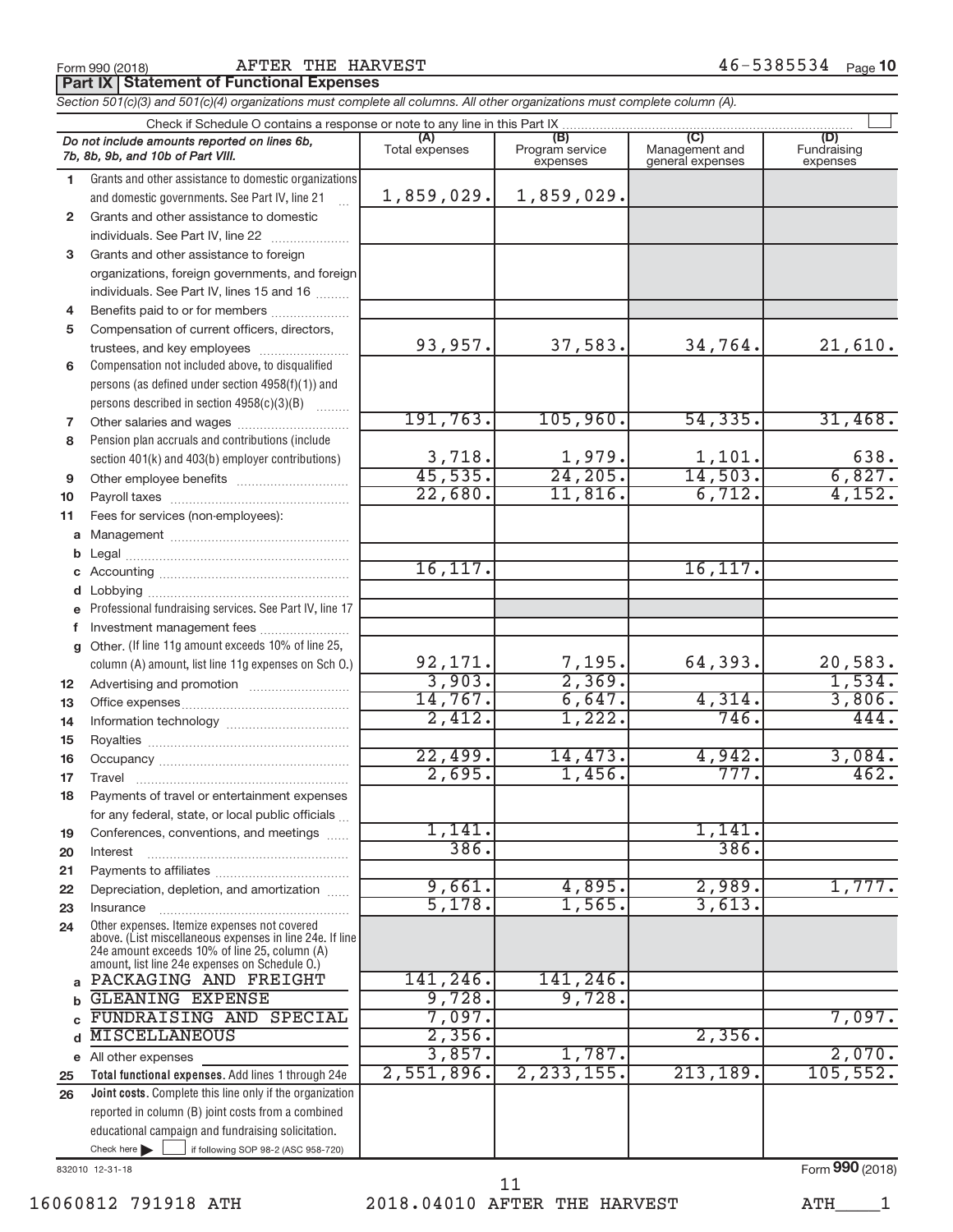Form 990 (2018)  $\begin{array}{cccccccccc} \text{AFTER} & \text{THE} & \text{HARYEST} & \text{AFTER} & \text{BFR} & \text{BFR} & \text{BFR} & \text{BFR} & \text{AFR} & \text{AFR} & \text{BFR} & \text{AFR} & \text{BFR} & \text{AFR} & \text{BFR} & \text{BFR} & \text{BFR} & \text{BFR} & \text{AFR} & \text{BFR} & \text{BFR} & \text{BFR} & \text{BFR} & \text{BFR} & \text{BFR} & \text{BFR} & \text{BFR} & \text{B$ 

**Part IX Statement of Functional Expenses**

*Section 501(c)(3) and 501(c)(4) organizations must complete all columns. All other organizations must complete column (A).*

|          | Do not include amounts reported on lines 6b,                                                             | (A)            | (B)             |                                    | (D)         |
|----------|----------------------------------------------------------------------------------------------------------|----------------|-----------------|------------------------------------|-------------|
|          | 7b, 8b, 9b, and 10b of Part VIII.                                                                        | Total expenses | Program service | Management and<br>general expenses | Fundraising |
|          |                                                                                                          |                | expenses        |                                    | expenses    |
| 1.       | Grants and other assistance to domestic organizations                                                    |                |                 |                                    |             |
|          | and domestic governments. See Part IV, line 21                                                           | 1,859,029.     | 1,859,029.      |                                    |             |
| 2        | Grants and other assistance to domestic                                                                  |                |                 |                                    |             |
|          | individuals. See Part IV, line 22                                                                        |                |                 |                                    |             |
| 3        | Grants and other assistance to foreign                                                                   |                |                 |                                    |             |
|          | organizations, foreign governments, and foreign                                                          |                |                 |                                    |             |
|          | individuals. See Part IV, lines 15 and 16                                                                |                |                 |                                    |             |
| 4        | Benefits paid to or for members                                                                          |                |                 |                                    |             |
| 5        | Compensation of current officers, directors,                                                             |                |                 |                                    |             |
|          |                                                                                                          | 93,957.        | 37,583.         | 34,764.                            | 21,610.     |
|          | Compensation not included above, to disqualified                                                         |                |                 |                                    |             |
| 6        |                                                                                                          |                |                 |                                    |             |
|          | persons (as defined under section 4958(f)(1)) and                                                        |                |                 |                                    |             |
|          | persons described in section 4958(c)(3)(B)                                                               |                |                 |                                    |             |
| 7        |                                                                                                          | 191,763.       | 105,960.        | 54, 335.                           | 31,468.     |
| 8        | Pension plan accruals and contributions (include                                                         |                |                 |                                    |             |
|          | section 401(k) and 403(b) employer contributions)                                                        | 3,718.         | 1,979.          | 1,101.                             | 638.        |
| 9        |                                                                                                          | 45,535.        | 24,205.         | 14,503.                            | 6,827.      |
| 10       |                                                                                                          | 22,680.        | 11,816.         | 6,712.                             | 4,152.      |
| 11       | Fees for services (non-employees):                                                                       |                |                 |                                    |             |
|          |                                                                                                          |                |                 |                                    |             |
| b        |                                                                                                          |                |                 |                                    |             |
| c        |                                                                                                          | 16, 117.       |                 | 16, 117.                           |             |
|          |                                                                                                          |                |                 |                                    |             |
| d        |                                                                                                          |                |                 |                                    |             |
| e        | Professional fundraising services. See Part IV, line 17                                                  |                |                 |                                    |             |
| f        | Investment management fees                                                                               |                |                 |                                    |             |
| a        | Other. (If line 11g amount exceeds 10% of line 25,                                                       |                |                 |                                    |             |
|          | column (A) amount, list line 11g expenses on Sch O.)                                                     | 92, 171.       | 7,195.          | 64,393.                            | 20,583.     |
| 12       |                                                                                                          | 3,903.         | 2,369.          |                                    | 1,534.      |
| 13       |                                                                                                          | 14,767.        | 6,647.          | 4,314.                             | 3,806.      |
| 14       |                                                                                                          | 2,412.         | 1,222.          | 746.                               | 444.        |
| 15       |                                                                                                          |                |                 |                                    |             |
| 16       |                                                                                                          | 22,499.        | 14,473.         | 4,942.                             | 3,084.      |
| 17       | Travel                                                                                                   | 2,695.         | 1,456.          | 777.                               | 462.        |
| 18       | Payments of travel or entertainment expenses                                                             |                |                 |                                    |             |
|          | for any federal, state, or local public officials                                                        |                |                 |                                    |             |
|          | Conferences, conventions, and meetings                                                                   | 1,141,         |                 | 1,141                              |             |
| 19<br>20 | Interest                                                                                                 | 386.           |                 | 386.                               |             |
|          |                                                                                                          |                |                 |                                    |             |
| 21<br>22 | Depreciation, depletion, and amortization                                                                | 9,661.         | 4,895.          | 2,989.                             | 1,777.      |
|          |                                                                                                          | 5,178.         | 1,565.          | 3,613.                             |             |
| 23       | Insurance                                                                                                |                |                 |                                    |             |
| 24       | Other expenses. Itemize expenses not covered<br>above. (List miscellaneous expenses in line 24e. If line |                |                 |                                    |             |
|          | 24e amount exceeds 10% of line 25, column (A)                                                            |                |                 |                                    |             |
|          | amount, list line 24e expenses on Schedule O.)                                                           |                |                 |                                    |             |
| a        | PACKAGING AND FREIGHT                                                                                    | 141,246.       | 141,246.        |                                    |             |
| b        | GLEANING EXPENSE                                                                                         | 9,728.         | 9,728.          |                                    |             |
| C        | FUNDRAISING AND SPECIAL                                                                                  | 7,097.         |                 |                                    | 7,097.      |
| d        | <b>MISCELLANEOUS</b>                                                                                     | 2,356.         |                 | 2,356.                             |             |
| е        | All other expenses                                                                                       | 3,857.         | 1,787.          |                                    | 2,070.      |
| 25       | Total functional expenses. Add lines 1 through 24e                                                       | 2,551,896.     | 2, 233, 155.    | 213, 189.                          | 105, 552.   |
| 26       | Joint costs. Complete this line only if the organization                                                 |                |                 |                                    |             |
|          | reported in column (B) joint costs from a combined                                                       |                |                 |                                    |             |
|          | educational campaign and fundraising solicitation.                                                       |                |                 |                                    |             |
|          | Check here<br>if following SOP 98-2 (ASC 958-720)                                                        |                |                 |                                    |             |

832010 12-31-18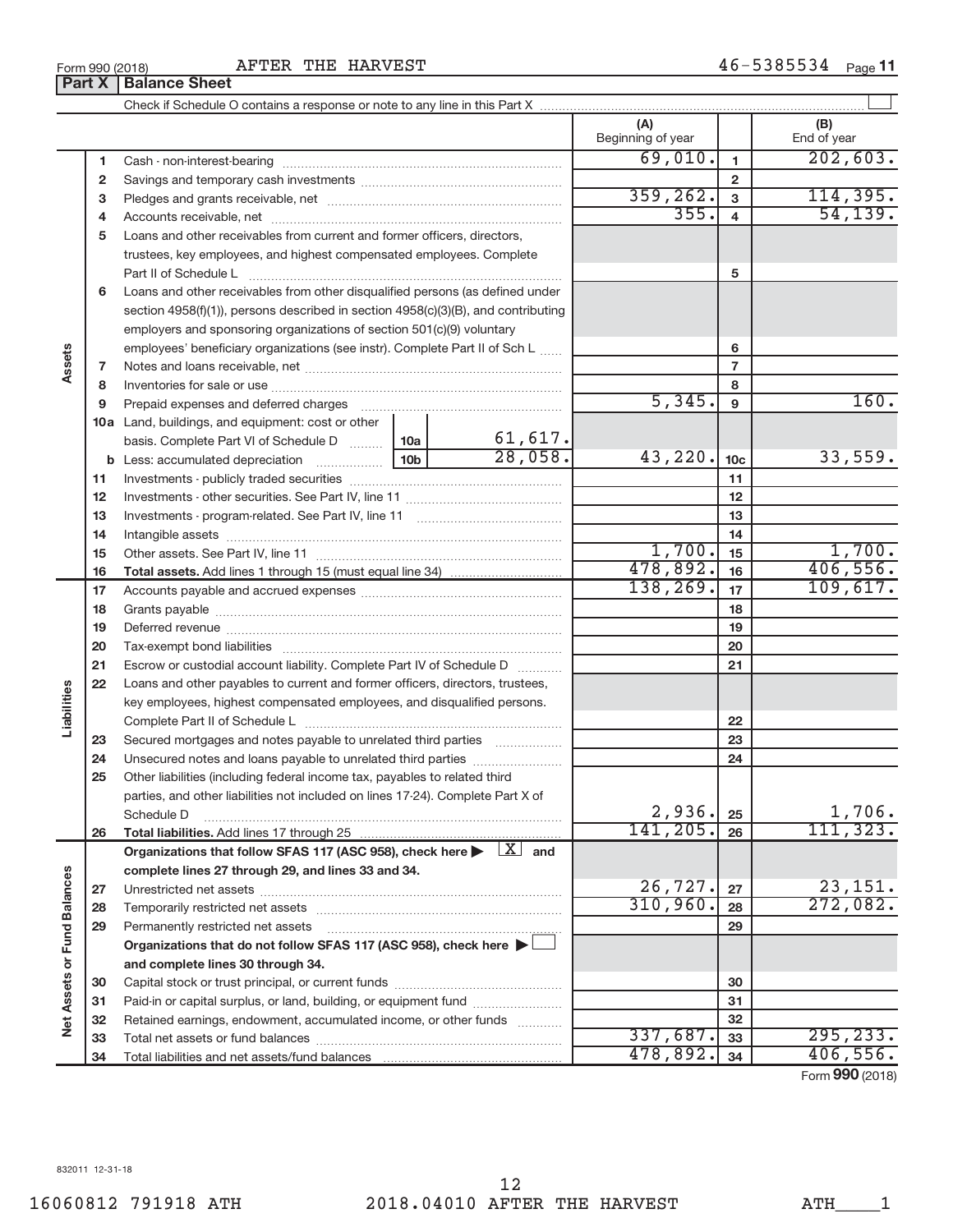Form 990 (2018)  $\begin{array}{cccc} \text{AFTER} & \text{THE} & \text{HARYEST} \end{array}$   $\begin{array}{cccc} 46-5385534 & \text{Page} \end{array}$ 

|                             |    |                                                                                                                                                                                                                                |  |                | (A)<br>Beginning of year |                         | (B)<br>End of year                              |
|-----------------------------|----|--------------------------------------------------------------------------------------------------------------------------------------------------------------------------------------------------------------------------------|--|----------------|--------------------------|-------------------------|-------------------------------------------------|
|                             | 1  |                                                                                                                                                                                                                                |  |                | 69,010.                  | $\mathbf{1}$            | 202,603.                                        |
|                             | 2  |                                                                                                                                                                                                                                |  |                |                          | $\overline{2}$          |                                                 |
|                             | 3  |                                                                                                                                                                                                                                |  |                | 359, 262.                | 3                       | 114,395.                                        |
|                             | 4  |                                                                                                                                                                                                                                |  |                | 355.                     | $\overline{\mathbf{4}}$ | 54, 139.                                        |
|                             | 5  | Loans and other receivables from current and former officers, directors,                                                                                                                                                       |  |                |                          |                         |                                                 |
|                             |    | trustees, key employees, and highest compensated employees. Complete                                                                                                                                                           |  |                |                          |                         |                                                 |
|                             |    | Part II of Schedule L                                                                                                                                                                                                          |  |                |                          | 5                       |                                                 |
|                             | 6  | Loans and other receivables from other disqualified persons (as defined under                                                                                                                                                  |  |                |                          |                         |                                                 |
|                             |    | section $4958(f)(1)$ , persons described in section $4958(c)(3)(B)$ , and contributing                                                                                                                                         |  |                |                          |                         |                                                 |
|                             |    | employers and sponsoring organizations of section 501(c)(9) voluntary                                                                                                                                                          |  |                |                          |                         |                                                 |
|                             |    | employees' beneficiary organizations (see instr). Complete Part II of Sch L                                                                                                                                                    |  |                |                          | 6                       |                                                 |
| Assets                      | 7  |                                                                                                                                                                                                                                |  | $\overline{7}$ |                          |                         |                                                 |
|                             | 8  |                                                                                                                                                                                                                                |  |                |                          | 8                       |                                                 |
|                             | 9  | Prepaid expenses and deferred charges                                                                                                                                                                                          |  |                | 5,345.                   | 9                       | 160.                                            |
|                             |    | 10a Land, buildings, and equipment: cost or other                                                                                                                                                                              |  |                |                          |                         |                                                 |
|                             |    | basis. Complete Part VI of Schedule D  10a                                                                                                                                                                                     |  | 61,617.        |                          |                         |                                                 |
|                             |    |                                                                                                                                                                                                                                |  | 28,058.        | 43,220.                  | 10 <sub>c</sub>         | 33,559.                                         |
|                             | 11 |                                                                                                                                                                                                                                |  |                |                          | 11                      |                                                 |
|                             | 12 |                                                                                                                                                                                                                                |  |                |                          | 12                      |                                                 |
|                             | 13 |                                                                                                                                                                                                                                |  | 13             |                          |                         |                                                 |
|                             | 14 | Intangible assets www.communication.com/www.communication.com/www.com/www.com/www.com/www.com/www.com/www.com/                                                                                                                 |  | 14             |                          |                         |                                                 |
|                             | 15 |                                                                                                                                                                                                                                |  |                | 1,700.                   | 15                      | 1,700.                                          |
|                             | 16 |                                                                                                                                                                                                                                |  |                | 478,892.                 | 16                      | 406,556.                                        |
|                             | 17 |                                                                                                                                                                                                                                |  |                | 138, 269.                | 17                      | 109,617.                                        |
|                             | 18 | Grants payable www.communication.com/www.communication.com/www.com/www.com/www.com/www.com/www.com/w                                                                                                                           |  | 18             |                          |                         |                                                 |
|                             | 19 | Deferred revenue manufacture contracts and contracts are contracted and contract and contract are contracted and contract are contracted and contract are contracted and contract are contracted and contract are contracted a |  | 19             |                          |                         |                                                 |
|                             | 20 |                                                                                                                                                                                                                                |  |                | 20                       |                         |                                                 |
|                             | 21 | Escrow or custodial account liability. Complete Part IV of Schedule D                                                                                                                                                          |  |                | 21                       |                         |                                                 |
|                             | 22 | Loans and other payables to current and former officers, directors, trustees,                                                                                                                                                  |  |                |                          |                         |                                                 |
| Liabilities                 |    | key employees, highest compensated employees, and disqualified persons.                                                                                                                                                        |  |                |                          |                         |                                                 |
|                             |    |                                                                                                                                                                                                                                |  |                |                          | 22                      |                                                 |
|                             | 23 | Secured mortgages and notes payable to unrelated third parties                                                                                                                                                                 |  |                |                          | 23                      |                                                 |
|                             | 24 |                                                                                                                                                                                                                                |  |                |                          | 24                      |                                                 |
|                             | 25 | Other liabilities (including federal income tax, payables to related third                                                                                                                                                     |  |                |                          |                         |                                                 |
|                             |    | parties, and other liabilities not included on lines 17-24). Complete Part X of                                                                                                                                                |  |                |                          |                         |                                                 |
|                             |    | Schedule D                                                                                                                                                                                                                     |  |                | 2,936.                   | 25                      | 1,706.                                          |
|                             | 26 |                                                                                                                                                                                                                                |  |                | 141,205.                 | 26                      | 111, 323.                                       |
|                             |    | Organizations that follow SFAS 117 (ASC 958), check here $\blacktriangleright \begin{array}{c} \boxed{X} \\ \end{array}$ and                                                                                                   |  |                |                          |                         |                                                 |
|                             |    | complete lines 27 through 29, and lines 33 and 34.                                                                                                                                                                             |  |                |                          |                         |                                                 |
|                             | 27 | Unrestricted net assets www.communication.com/                                                                                                                                                                                 |  |                | 26,727.                  | 27                      | 23,151.                                         |
|                             | 28 |                                                                                                                                                                                                                                |  |                | 310, 960.                | 28                      | 272,082.                                        |
|                             | 29 | Permanently restricted net assets                                                                                                                                                                                              |  |                |                          | 29                      |                                                 |
|                             |    | Organizations that do not follow SFAS 117 (ASC 958), check here $\blacktriangleright\Box$                                                                                                                                      |  |                |                          |                         |                                                 |
|                             |    | and complete lines 30 through 34.                                                                                                                                                                                              |  |                |                          |                         |                                                 |
|                             | 30 |                                                                                                                                                                                                                                |  |                |                          | 30                      |                                                 |
|                             | 31 | Paid-in or capital surplus, or land, building, or equipment fund                                                                                                                                                               |  |                |                          | 31                      |                                                 |
| Net Assets or Fund Balances | 32 | Retained earnings, endowment, accumulated income, or other funds                                                                                                                                                               |  |                |                          | 32                      |                                                 |
|                             | 33 |                                                                                                                                                                                                                                |  |                | 337,687.                 | 33                      | 295, 233.                                       |
|                             | 34 |                                                                                                                                                                                                                                |  |                | 478,892.                 | 34                      | 406,556.<br>$F_{\alpha r m}$ QQ $\Omega$ (2018) |

Form (2018) **990**

**Part X** | Balance Sheet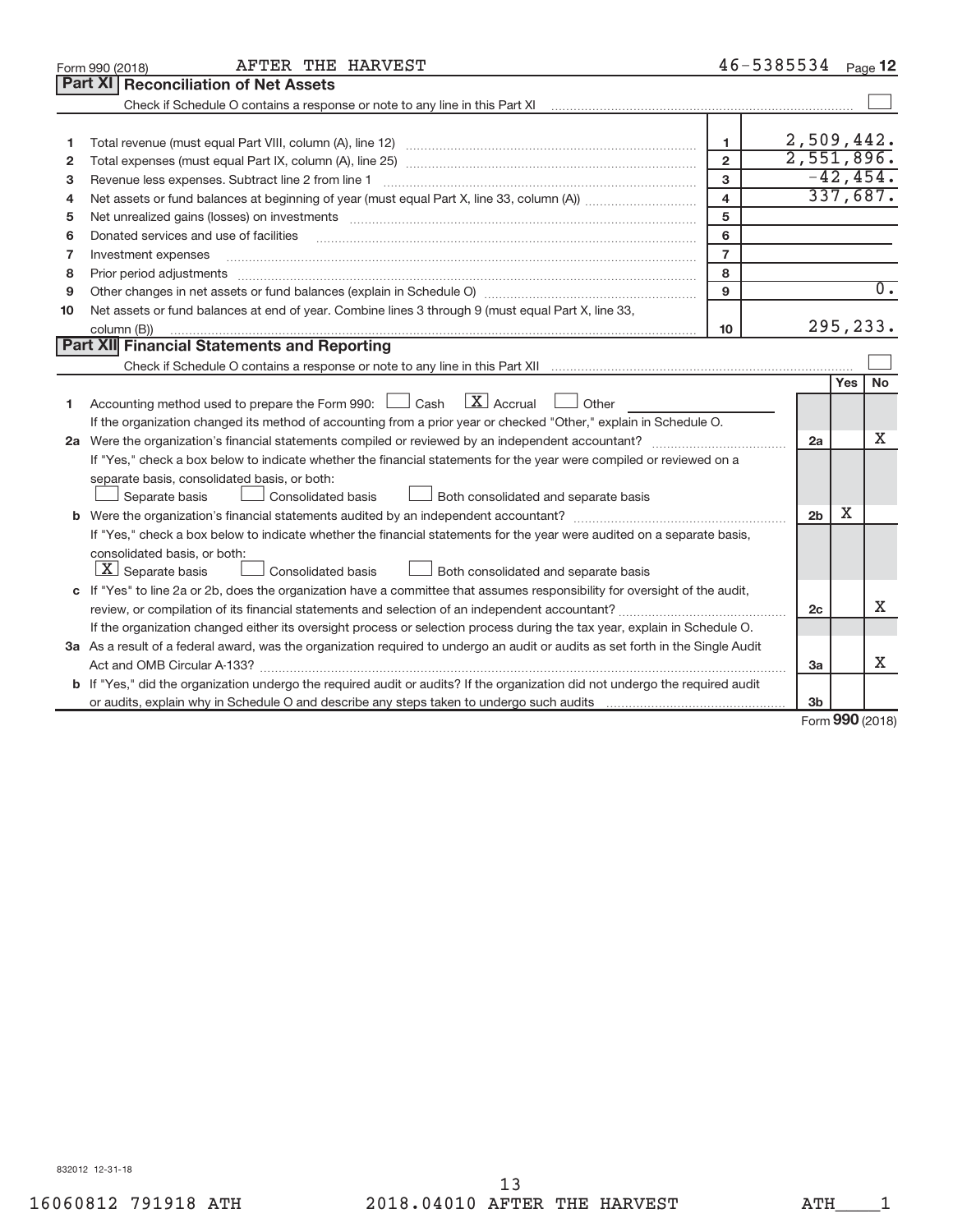|    | AFTER THE HARVEST<br>Form 990 (2018)                                                                                                                                                                                           |                         | 46-5385534 Page 12 |            |             |
|----|--------------------------------------------------------------------------------------------------------------------------------------------------------------------------------------------------------------------------------|-------------------------|--------------------|------------|-------------|
|    | Part XI   Reconciliation of Net Assets                                                                                                                                                                                         |                         |                    |            |             |
|    | Check if Schedule O contains a response or note to any line in this Part XI [11] [12] Check if Schedule O contains a response or note to any line in this Part XI                                                              |                         |                    |            |             |
|    |                                                                                                                                                                                                                                |                         |                    |            |             |
| 1  |                                                                                                                                                                                                                                | $\mathbf{1}$            | 2,509,442.         |            |             |
| 2  |                                                                                                                                                                                                                                | $\overline{2}$          | 2,551,896.         |            |             |
| 3  | Revenue less expenses. Subtract line 2 from line 1                                                                                                                                                                             | 3                       |                    |            | $-42, 454.$ |
| 4  |                                                                                                                                                                                                                                | $\overline{\mathbf{4}}$ |                    |            | 337,687.    |
| 5  | Net unrealized gains (losses) on investments [11] matter contracts and the state of the state of the state of the state of the state of the state of the state of the state of the state of the state of the state of the stat | 5                       |                    |            |             |
| 6  | Donated services and use of facilities                                                                                                                                                                                         | 6                       |                    |            |             |
| 7  | Investment expenses                                                                                                                                                                                                            | $\overline{7}$          |                    |            |             |
| 8  | Prior period adjustments                                                                                                                                                                                                       | 8                       |                    |            |             |
| 9  |                                                                                                                                                                                                                                | 9                       |                    |            | $0$ .       |
| 10 | Net assets or fund balances at end of year. Combine lines 3 through 9 (must equal Part X, line 33,                                                                                                                             |                         |                    |            |             |
|    | column (B))                                                                                                                                                                                                                    | 10 <sup>10</sup>        |                    |            | 295,233.    |
|    | Part XII Financial Statements and Reporting                                                                                                                                                                                    |                         |                    |            |             |
|    |                                                                                                                                                                                                                                |                         |                    |            |             |
|    |                                                                                                                                                                                                                                |                         |                    | <b>Yes</b> | <b>No</b>   |
| 1  | Accounting method used to prepare the Form 990: $\Box$ Cash $\Box$ Accrual $\Box$ Other                                                                                                                                        |                         |                    |            |             |
|    | If the organization changed its method of accounting from a prior year or checked "Other," explain in Schedule O.                                                                                                              |                         |                    |            |             |
|    |                                                                                                                                                                                                                                |                         | 2a                 |            | X           |
|    | If "Yes," check a box below to indicate whether the financial statements for the year were compiled or reviewed on a                                                                                                           |                         |                    |            |             |
|    | separate basis, consolidated basis, or both:                                                                                                                                                                                   |                         |                    |            |             |
|    | Both consolidated and separate basis<br>Separate basis<br>Consolidated basis                                                                                                                                                   |                         |                    |            |             |
|    |                                                                                                                                                                                                                                |                         | 2 <sub>b</sub>     | х          |             |
|    | If "Yes," check a box below to indicate whether the financial statements for the year were audited on a separate basis,                                                                                                        |                         |                    |            |             |
|    | consolidated basis, or both:                                                                                                                                                                                                   |                         |                    |            |             |
|    | $\lfloor x \rfloor$ Separate basis<br>Consolidated basis<br>Both consolidated and separate basis                                                                                                                               |                         |                    |            |             |
|    | c If "Yes" to line 2a or 2b, does the organization have a committee that assumes responsibility for oversight of the audit,                                                                                                    |                         |                    |            |             |
|    | review, or compilation of its financial statements and selection of an independent accountant?                                                                                                                                 |                         | 2 <sub>c</sub>     |            | X           |
|    | If the organization changed either its oversight process or selection process during the tax year, explain in Schedule O.                                                                                                      |                         |                    |            |             |
|    | 3a As a result of a federal award, was the organization required to undergo an audit or audits as set forth in the Single Audit                                                                                                |                         |                    |            |             |
|    |                                                                                                                                                                                                                                |                         | 3a                 |            | X           |
|    | <b>b</b> If "Yes," did the organization undergo the required audit or audits? If the organization did not undergo the required audit                                                                                           |                         |                    |            |             |
|    |                                                                                                                                                                                                                                |                         | 3 <sub>b</sub>     | $\sim$     |             |

Form (2018) **990**

832012 12-31-18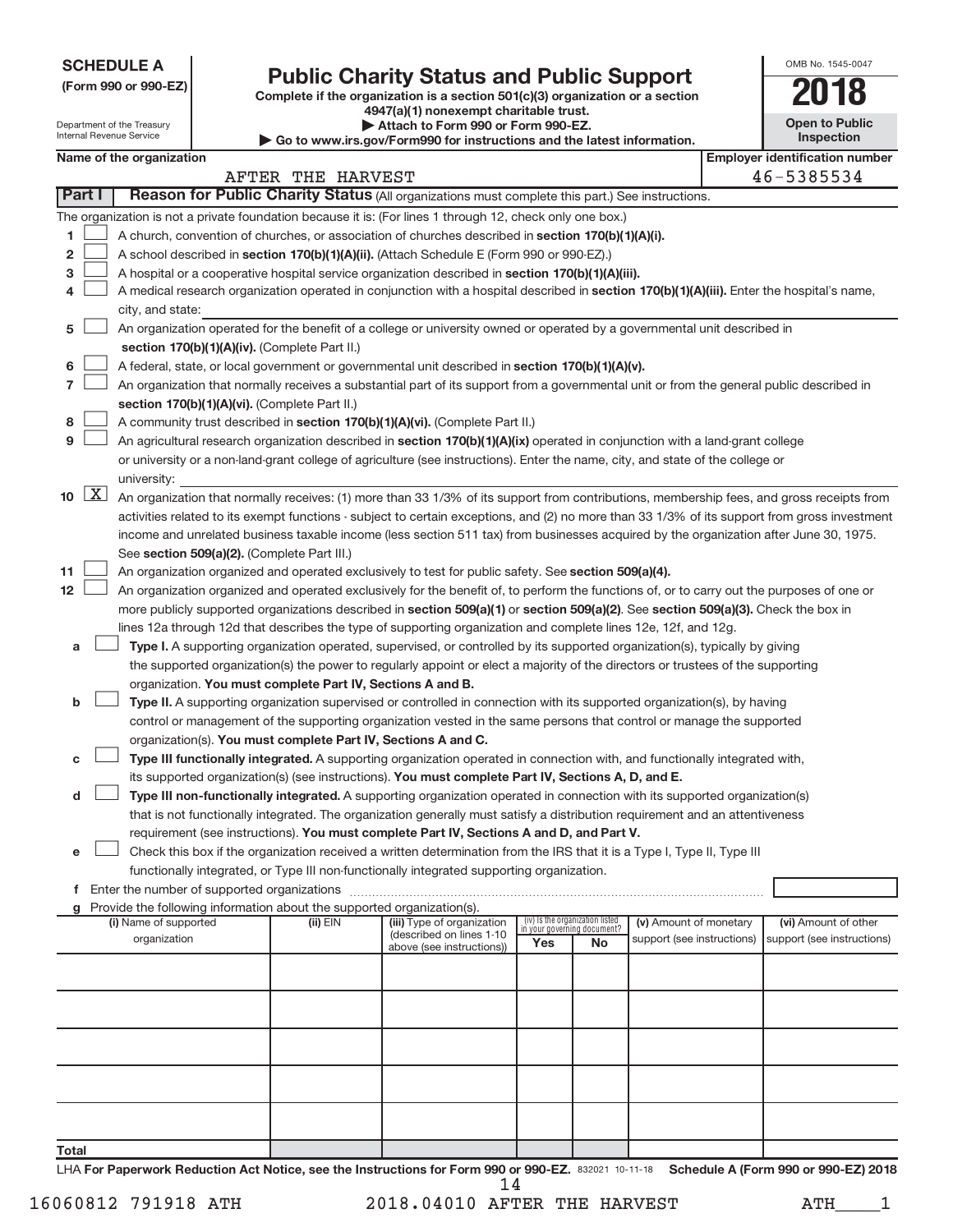**SCHEDULE A**

Department of the Treasury Internal Revenue Service

|  |  |  | (Form 990 or 990-EZ) |  |
|--|--|--|----------------------|--|
|--|--|--|----------------------|--|

## **Public Charity Status and Public Support**

**Complete if the organization is a section 501(c)(3) organization or a section**

**4947(a)(1) nonexempt charitable trust.| Attach to Form 990 or Form 990-EZ.** 

**| Go to www.irs.gov/Form990 for instructions and the latest information.**

| on | 2018                                |
|----|-------------------------------------|
|    | <b>Open to Public</b><br>Inspection |
|    | $\cdots$                            |

OMB No. 1545-0047

|        |                     |                                                                                                                                                   |                   | י שט נט מימימיה אוויס אט וואס וואס וואס וואס איז וויס מאפרון וואס איז וויס וואס א |                                                                |    |                            |  |                                       |
|--------|---------------------|---------------------------------------------------------------------------------------------------------------------------------------------------|-------------------|-----------------------------------------------------------------------------------|----------------------------------------------------------------|----|----------------------------|--|---------------------------------------|
|        |                     | Name of the organization                                                                                                                          |                   |                                                                                   |                                                                |    |                            |  | <b>Employer identification number</b> |
| Part I |                     | Reason for Public Charity Status (All organizations must complete this part.) See instructions.                                                   | AFTER THE HARVEST |                                                                                   |                                                                |    |                            |  | 46-5385534                            |
|        |                     |                                                                                                                                                   |                   |                                                                                   |                                                                |    |                            |  |                                       |
|        |                     | The organization is not a private foundation because it is: (For lines 1 through 12, check only one box.)                                         |                   |                                                                                   |                                                                |    |                            |  |                                       |
| 1      |                     | A church, convention of churches, or association of churches described in section 170(b)(1)(A)(i).                                                |                   |                                                                                   |                                                                |    |                            |  |                                       |
| 2      |                     | A school described in section 170(b)(1)(A)(ii). (Attach Schedule E (Form 990 or 990-EZ).)                                                         |                   |                                                                                   |                                                                |    |                            |  |                                       |
| з      |                     | A hospital or a cooperative hospital service organization described in section 170(b)(1)(A)(iii).                                                 |                   |                                                                                   |                                                                |    |                            |  |                                       |
| 4      |                     | A medical research organization operated in conjunction with a hospital described in section 170(b)(1)(A)(iii). Enter the hospital's name,        |                   |                                                                                   |                                                                |    |                            |  |                                       |
|        |                     | city, and state:                                                                                                                                  |                   |                                                                                   |                                                                |    |                            |  |                                       |
| 5      |                     | An organization operated for the benefit of a college or university owned or operated by a governmental unit described in                         |                   |                                                                                   |                                                                |    |                            |  |                                       |
| 6      |                     | section 170(b)(1)(A)(iv). (Complete Part II.)<br>A federal, state, or local government or governmental unit described in section 170(b)(1)(A)(v). |                   |                                                                                   |                                                                |    |                            |  |                                       |
| 7      |                     | An organization that normally receives a substantial part of its support from a governmental unit or from the general public described in         |                   |                                                                                   |                                                                |    |                            |  |                                       |
|        |                     | section 170(b)(1)(A)(vi). (Complete Part II.)                                                                                                     |                   |                                                                                   |                                                                |    |                            |  |                                       |
| 8      |                     | A community trust described in section 170(b)(1)(A)(vi). (Complete Part II.)                                                                      |                   |                                                                                   |                                                                |    |                            |  |                                       |
| 9      |                     | An agricultural research organization described in section 170(b)(1)(A)(ix) operated in conjunction with a land-grant college                     |                   |                                                                                   |                                                                |    |                            |  |                                       |
|        |                     | or university or a non-land-grant college of agriculture (see instructions). Enter the name, city, and state of the college or                    |                   |                                                                                   |                                                                |    |                            |  |                                       |
|        |                     | university:                                                                                                                                       |                   |                                                                                   |                                                                |    |                            |  |                                       |
| 10     | $\lfloor x \rfloor$ | An organization that normally receives: (1) more than 33 1/3% of its support from contributions, membership fees, and gross receipts from         |                   |                                                                                   |                                                                |    |                            |  |                                       |
|        |                     | activities related to its exempt functions - subject to certain exceptions, and (2) no more than 33 1/3% of its support from gross investment     |                   |                                                                                   |                                                                |    |                            |  |                                       |
|        |                     | income and unrelated business taxable income (less section 511 tax) from businesses acquired by the organization after June 30, 1975.             |                   |                                                                                   |                                                                |    |                            |  |                                       |
|        |                     | See section 509(a)(2). (Complete Part III.)                                                                                                       |                   |                                                                                   |                                                                |    |                            |  |                                       |
| 11     |                     | An organization organized and operated exclusively to test for public safety. See section 509(a)(4).                                              |                   |                                                                                   |                                                                |    |                            |  |                                       |
| 12     |                     | An organization organized and operated exclusively for the benefit of, to perform the functions of, or to carry out the purposes of one or        |                   |                                                                                   |                                                                |    |                            |  |                                       |
|        |                     | more publicly supported organizations described in section 509(a)(1) or section 509(a)(2). See section 509(a)(3). Check the box in                |                   |                                                                                   |                                                                |    |                            |  |                                       |
|        |                     | lines 12a through 12d that describes the type of supporting organization and complete lines 12e, 12f, and 12g.                                    |                   |                                                                                   |                                                                |    |                            |  |                                       |
| a      |                     | Type I. A supporting organization operated, supervised, or controlled by its supported organization(s), typically by giving                       |                   |                                                                                   |                                                                |    |                            |  |                                       |
|        |                     | the supported organization(s) the power to regularly appoint or elect a majority of the directors or trustees of the supporting                   |                   |                                                                                   |                                                                |    |                            |  |                                       |
|        |                     | organization. You must complete Part IV, Sections A and B.                                                                                        |                   |                                                                                   |                                                                |    |                            |  |                                       |
| b      |                     | Type II. A supporting organization supervised or controlled in connection with its supported organization(s), by having                           |                   |                                                                                   |                                                                |    |                            |  |                                       |
|        |                     | control or management of the supporting organization vested in the same persons that control or manage the supported                              |                   |                                                                                   |                                                                |    |                            |  |                                       |
|        |                     | organization(s). You must complete Part IV, Sections A and C.                                                                                     |                   |                                                                                   |                                                                |    |                            |  |                                       |
| с      |                     | Type III functionally integrated. A supporting organization operated in connection with, and functionally integrated with,                        |                   |                                                                                   |                                                                |    |                            |  |                                       |
|        |                     | its supported organization(s) (see instructions). You must complete Part IV, Sections A, D, and E.                                                |                   |                                                                                   |                                                                |    |                            |  |                                       |
| d      |                     | Type III non-functionally integrated. A supporting organization operated in connection with its supported organization(s)                         |                   |                                                                                   |                                                                |    |                            |  |                                       |
|        |                     | that is not functionally integrated. The organization generally must satisfy a distribution requirement and an attentiveness                      |                   |                                                                                   |                                                                |    |                            |  |                                       |
|        |                     | requirement (see instructions). You must complete Part IV, Sections A and D, and Part V.                                                          |                   |                                                                                   |                                                                |    |                            |  |                                       |
| е      |                     | Check this box if the organization received a written determination from the IRS that it is a Type I, Type II, Type III                           |                   |                                                                                   |                                                                |    |                            |  |                                       |
|        |                     | functionally integrated, or Type III non-functionally integrated supporting organization.                                                         |                   |                                                                                   |                                                                |    |                            |  |                                       |
| f.     |                     | Enter the number of supported organizations                                                                                                       |                   |                                                                                   |                                                                |    |                            |  |                                       |
|        |                     | Provide the following information about the supported organization(s).                                                                            |                   |                                                                                   |                                                                |    |                            |  |                                       |
|        |                     | (i) Name of supported                                                                                                                             | (ii) EIN          | (iii) Type of organization                                                        | (iv) Is the organization listed<br>in your governing document? |    | (v) Amount of monetary     |  | (vi) Amount of other                  |
|        |                     | organization                                                                                                                                      |                   | (described on lines 1-10<br>above (see instructions))                             | Yes                                                            | No | support (see instructions) |  | support (see instructions)            |
|        |                     |                                                                                                                                                   |                   |                                                                                   |                                                                |    |                            |  |                                       |
|        |                     |                                                                                                                                                   |                   |                                                                                   |                                                                |    |                            |  |                                       |
|        |                     |                                                                                                                                                   |                   |                                                                                   |                                                                |    |                            |  |                                       |
|        |                     |                                                                                                                                                   |                   |                                                                                   |                                                                |    |                            |  |                                       |
|        |                     |                                                                                                                                                   |                   |                                                                                   |                                                                |    |                            |  |                                       |
|        |                     |                                                                                                                                                   |                   |                                                                                   |                                                                |    |                            |  |                                       |
|        |                     |                                                                                                                                                   |                   |                                                                                   |                                                                |    |                            |  |                                       |
|        |                     |                                                                                                                                                   |                   |                                                                                   |                                                                |    |                            |  |                                       |
| Total  |                     |                                                                                                                                                   |                   |                                                                                   |                                                                |    |                            |  |                                       |

LHA For Paperwork Reduction Act Notice, see the Instructions for Form 990 or 990-EZ. 832021 10-11-18 Schedule A (Form 990 or 990-EZ) 2018 14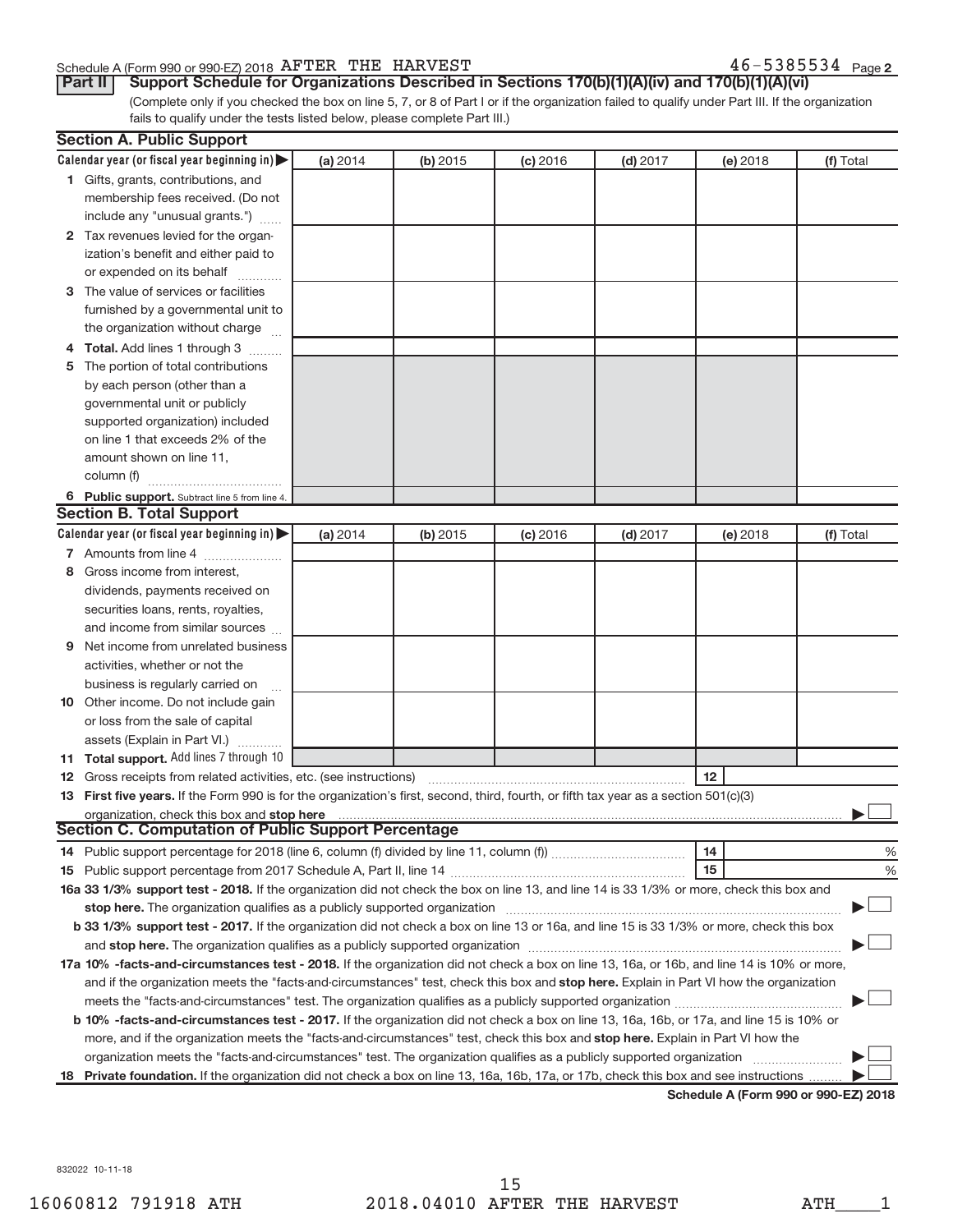#### Schedule A (Form 990 or 990-EZ) 2018  $\overline{\text{A}}$   $\overline{\text{A}}$   $\overline{\text{B}}$   $\overline{\text{B}}$   $\overline{\text{A}}$   $\overline{\text{B}}$   $\overline{\text{B}}$   $\overline{\text{B}}$   $\overline{\text{B}}$   $\overline{\text{B}}$   $\overline{\text{B}}$   $\overline{\text{B}}$   $\overline{\text{B}}$   $\overline{\text{B}}$   $\overline{\text{B}}$   $\overline{\text{B}}$   $\overline{\text{B$

 $46 - 5385534$  Page 2

(Complete only if you checked the box on line 5, 7, or 8 of Part I or if the organization failed to qualify under Part III. If the organization fails to qualify under the tests listed below, please complete Part III.) **Part II** | Support Schedule for Organizations Described in Sections 170(b)(1)(A)(iv) and 170(b)(1)(A)(vi)

|    | <b>Section A. Public Support</b>                                                                                                           |            |            |            |            |          |           |  |  |
|----|--------------------------------------------------------------------------------------------------------------------------------------------|------------|------------|------------|------------|----------|-----------|--|--|
|    | Calendar year (or fiscal year beginning in)                                                                                                | (a) 2014   | (b) 2015   | $(c)$ 2016 | $(d)$ 2017 | (e) 2018 | (f) Total |  |  |
|    | 1 Gifts, grants, contributions, and                                                                                                        |            |            |            |            |          |           |  |  |
|    | membership fees received. (Do not                                                                                                          |            |            |            |            |          |           |  |  |
|    | include any "unusual grants.")                                                                                                             |            |            |            |            |          |           |  |  |
|    | 2 Tax revenues levied for the organ-                                                                                                       |            |            |            |            |          |           |  |  |
|    | ization's benefit and either paid to                                                                                                       |            |            |            |            |          |           |  |  |
|    | or expended on its behalf                                                                                                                  |            |            |            |            |          |           |  |  |
|    | 3 The value of services or facilities                                                                                                      |            |            |            |            |          |           |  |  |
|    | furnished by a governmental unit to                                                                                                        |            |            |            |            |          |           |  |  |
|    | the organization without charge                                                                                                            |            |            |            |            |          |           |  |  |
|    | Total. Add lines 1 through 3                                                                                                               |            |            |            |            |          |           |  |  |
|    | 5 The portion of total contributions                                                                                                       |            |            |            |            |          |           |  |  |
|    | by each person (other than a                                                                                                               |            |            |            |            |          |           |  |  |
|    | governmental unit or publicly                                                                                                              |            |            |            |            |          |           |  |  |
|    | supported organization) included                                                                                                           |            |            |            |            |          |           |  |  |
|    | on line 1 that exceeds 2% of the                                                                                                           |            |            |            |            |          |           |  |  |
|    | amount shown on line 11,                                                                                                                   |            |            |            |            |          |           |  |  |
|    | column (f)                                                                                                                                 |            |            |            |            |          |           |  |  |
|    | 6 Public support. Subtract line 5 from line 4.                                                                                             |            |            |            |            |          |           |  |  |
|    | <b>Section B. Total Support</b>                                                                                                            |            |            |            |            |          |           |  |  |
|    | Calendar year (or fiscal year beginning in)                                                                                                | (a) $2014$ | $(b)$ 2015 | $(c)$ 2016 | $(d)$ 2017 | (e) 2018 | (f) Total |  |  |
|    | 7 Amounts from line 4                                                                                                                      |            |            |            |            |          |           |  |  |
| 8  | Gross income from interest,                                                                                                                |            |            |            |            |          |           |  |  |
|    | dividends, payments received on                                                                                                            |            |            |            |            |          |           |  |  |
|    | securities loans, rents, royalties,                                                                                                        |            |            |            |            |          |           |  |  |
|    | and income from similar sources                                                                                                            |            |            |            |            |          |           |  |  |
| 9  | Net income from unrelated business                                                                                                         |            |            |            |            |          |           |  |  |
|    | activities, whether or not the                                                                                                             |            |            |            |            |          |           |  |  |
|    | business is regularly carried on                                                                                                           |            |            |            |            |          |           |  |  |
| 10 | Other income. Do not include gain                                                                                                          |            |            |            |            |          |           |  |  |
|    | or loss from the sale of capital                                                                                                           |            |            |            |            |          |           |  |  |
|    | assets (Explain in Part VI.)                                                                                                               |            |            |            |            |          |           |  |  |
|    | 11 Total support. Add lines 7 through 10                                                                                                   |            |            |            |            |          |           |  |  |
|    | 12 Gross receipts from related activities, etc. (see instructions)                                                                         |            |            |            |            | 12       |           |  |  |
|    | 13 First five years. If the Form 990 is for the organization's first, second, third, fourth, or fifth tax year as a section 501(c)(3)      |            |            |            |            |          |           |  |  |
|    | organization, check this box and stop here                                                                                                 |            |            |            |            |          |           |  |  |
|    | Section C. Computation of Public Support Percentage                                                                                        |            |            |            |            |          |           |  |  |
|    |                                                                                                                                            |            |            |            |            | 14       | %         |  |  |
|    |                                                                                                                                            |            |            |            |            | 15       | %         |  |  |
|    | 16a 33 1/3% support test - 2018. If the organization did not check the box on line 13, and line 14 is 33 1/3% or more, check this box and  |            |            |            |            |          |           |  |  |
|    | stop here. The organization qualifies as a publicly supported organization                                                                 |            |            |            |            |          |           |  |  |
|    | b 33 1/3% support test - 2017. If the organization did not check a box on line 13 or 16a, and line 15 is 33 1/3% or more, check this box   |            |            |            |            |          |           |  |  |
|    |                                                                                                                                            |            |            |            |            |          |           |  |  |
|    | 17a 10% -facts-and-circumstances test - 2018. If the organization did not check a box on line 13, 16a, or 16b, and line 14 is 10% or more, |            |            |            |            |          |           |  |  |
|    | and if the organization meets the "facts-and-circumstances" test, check this box and stop here. Explain in Part VI how the organization    |            |            |            |            |          |           |  |  |
|    | meets the "facts-and-circumstances" test. The organization qualifies as a publicly supported organization                                  |            |            |            |            |          |           |  |  |
|    | b 10% -facts-and-circumstances test - 2017. If the organization did not check a box on line 13, 16a, 16b, or 17a, and line 15 is 10% or    |            |            |            |            |          |           |  |  |
|    | more, and if the organization meets the "facts-and-circumstances" test, check this box and stop here. Explain in Part VI how the           |            |            |            |            |          |           |  |  |
|    | organization meets the "facts-and-circumstances" test. The organization qualifies as a publicly supported organization                     |            |            |            |            |          |           |  |  |
| 18 | Private foundation. If the organization did not check a box on line 13, 16a, 16b, 17a, or 17b, check this box and see instructions         |            |            |            |            |          |           |  |  |

**Schedule A (Form 990 or 990-EZ) 2018**

832022 10-11-18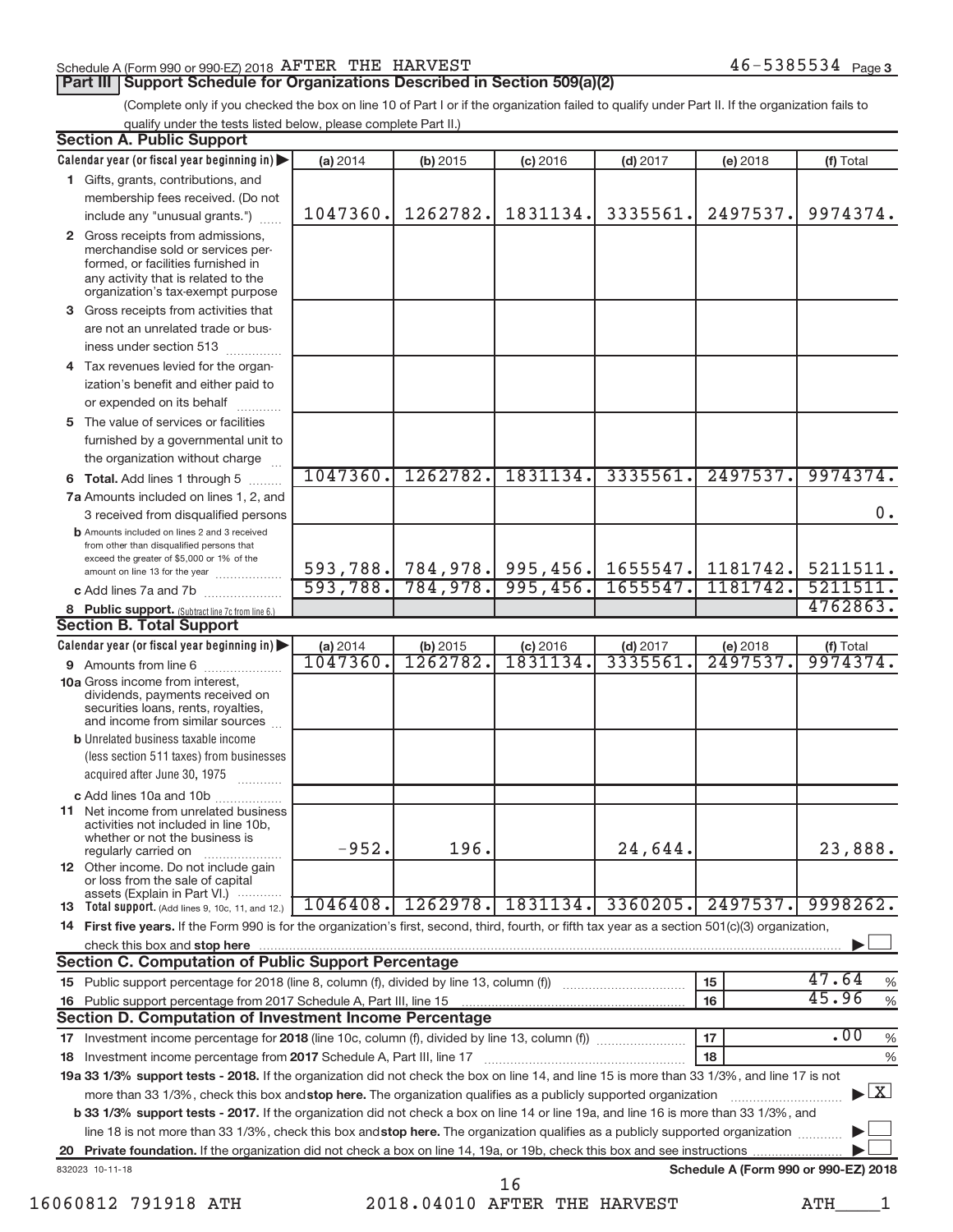### Schedule A (Form 990 or 990-EZ) 2018  $\overline{\text{A}}$   $\overline{\text{A}}$   $\overline{\text{B}}$   $\overline{\text{B}}$   $\overline{\text{A}}$   $\overline{\text{B}}$   $\overline{\text{B}}$   $\overline{\text{B}}$   $\overline{\text{B}}$   $\overline{\text{B}}$   $\overline{\text{B}}$   $\overline{\text{B}}$   $\overline{\text{B}}$   $\overline{\text{B}}$   $\overline{\text{B}}$   $\overline{\text{B}}$   $\overline{\text{B$

#### **Part III | Support Schedule for Organizations Described in Section 509(a)(2)**

(Complete only if you checked the box on line 10 of Part I or if the organization failed to qualify under Part II. If the organization fails to qualify under the tests listed below, please complete Part II.)

| <b>Section A. Public Support</b>                                                                                                                                                         |                     |                      |                                         |                       |                                      |                                    |  |
|------------------------------------------------------------------------------------------------------------------------------------------------------------------------------------------|---------------------|----------------------|-----------------------------------------|-----------------------|--------------------------------------|------------------------------------|--|
| Calendar year (or fiscal year beginning in)                                                                                                                                              | (a) 2014            | (b) 2015             | $(c)$ 2016                              | $(d)$ 2017            | (e) 2018                             | (f) Total                          |  |
| 1 Gifts, grants, contributions, and                                                                                                                                                      |                     |                      |                                         |                       |                                      |                                    |  |
| membership fees received. (Do not                                                                                                                                                        |                     |                      |                                         |                       |                                      |                                    |  |
| include any "unusual grants.")                                                                                                                                                           | 1047360.            | 1262782.             | 1831134.                                | 3335561               | 2497537.                             | 9974374.                           |  |
| 2 Gross receipts from admissions,<br>merchandise sold or services per-<br>formed, or facilities furnished in<br>any activity that is related to the<br>organization's tax-exempt purpose |                     |                      |                                         |                       |                                      |                                    |  |
| 3 Gross receipts from activities that                                                                                                                                                    |                     |                      |                                         |                       |                                      |                                    |  |
| are not an unrelated trade or bus-                                                                                                                                                       |                     |                      |                                         |                       |                                      |                                    |  |
| iness under section 513                                                                                                                                                                  |                     |                      |                                         |                       |                                      |                                    |  |
| 4 Tax revenues levied for the organ-                                                                                                                                                     |                     |                      |                                         |                       |                                      |                                    |  |
| ization's benefit and either paid to<br>or expended on its behalf                                                                                                                        |                     |                      |                                         |                       |                                      |                                    |  |
| 5 The value of services or facilities                                                                                                                                                    |                     |                      |                                         |                       |                                      |                                    |  |
| furnished by a governmental unit to                                                                                                                                                      |                     |                      |                                         |                       |                                      |                                    |  |
| the organization without charge                                                                                                                                                          |                     |                      |                                         |                       |                                      |                                    |  |
| 6 Total. Add lines 1 through 5<br><b>Barbara</b>                                                                                                                                         | 1047360.            | 1262782.             | 1831134.                                | 3335561               | 2497537.                             | 9974374.                           |  |
| 7a Amounts included on lines 1, 2, and                                                                                                                                                   |                     |                      |                                         |                       |                                      |                                    |  |
| 3 received from disqualified persons                                                                                                                                                     |                     |                      |                                         |                       |                                      | 0.                                 |  |
| <b>b</b> Amounts included on lines 2 and 3 received<br>from other than disqualified persons that<br>exceed the greater of \$5,000 or 1% of the                                           |                     |                      |                                         |                       |                                      |                                    |  |
| amount on line 13 for the year                                                                                                                                                           | 593,788.            | 784,978.             | 593,788. 784,978. 995,456.<br>995, 456. | 1655547.<br>1655547.  | 1181742.<br>1181742.                 | 5211511.<br>5211511                |  |
| c Add lines 7a and 7b                                                                                                                                                                    |                     |                      |                                         |                       |                                      | 4762863.                           |  |
| 8 Public support. (Subtract line 7c from line 6.)<br><b>Section B. Total Support</b>                                                                                                     |                     |                      |                                         |                       |                                      |                                    |  |
|                                                                                                                                                                                          |                     |                      |                                         |                       |                                      |                                    |  |
| Calendar year (or fiscal year beginning in)                                                                                                                                              | (a) 2014<br>1047360 | (b) 2015<br>1262782. | $(c)$ 2016<br>1831134                   | $(d)$ 2017<br>3335561 | (e) 2018<br>2497537                  | (f) Total<br>9974374.              |  |
| <b>9</b> Amounts from line 6<br><b>10a</b> Gross income from interest,<br>dividends, payments received on<br>securities loans, rents, royalties,<br>and income from similar sources      |                     |                      |                                         |                       |                                      |                                    |  |
| <b>b</b> Unrelated business taxable income<br>(less section 511 taxes) from businesses<br>acquired after June 30, 1975<br>.                                                              |                     |                      |                                         |                       |                                      |                                    |  |
| c Add lines 10a and 10b                                                                                                                                                                  |                     |                      |                                         |                       |                                      |                                    |  |
| <b>11</b> Net income from unrelated business<br>activities not included in line 10b.<br>whether or not the business is<br>regularly carried on                                           | $-952.$             | 196.                 |                                         | 24,644.               |                                      | 23,888.                            |  |
| 12 Other income. Do not include gain<br>or loss from the sale of capital                                                                                                                 |                     |                      |                                         |                       |                                      |                                    |  |
| assets (Explain in Part VI.)<br><b>13</b> Total support. (Add lines 9, 10c, 11, and 12.)                                                                                                 | 1046408.            | 1262978.             | 1831134.                                | 3360205.              | 2497537.                             | 9998262.                           |  |
| 14 First five years. If the Form 990 is for the organization's first, second, third, fourth, or fifth tax year as a section 501(c)(3) organization,                                      |                     |                      |                                         |                       |                                      |                                    |  |
| check this box and stop here                                                                                                                                                             |                     |                      |                                         |                       |                                      |                                    |  |
| <b>Section C. Computation of Public Support Percentage</b>                                                                                                                               |                     |                      |                                         |                       |                                      |                                    |  |
| 15 Public support percentage for 2018 (line 8, column (f), divided by line 13, column (f))                                                                                               |                     |                      |                                         |                       | 15                                   | 47.64<br>%                         |  |
| 16 Public support percentage from 2017 Schedule A, Part III, line 15                                                                                                                     |                     |                      |                                         |                       | 16                                   | 45.96<br>$\%$                      |  |
| <b>Section D. Computation of Investment Income Percentage</b>                                                                                                                            |                     |                      |                                         |                       |                                      |                                    |  |
| 17 Investment income percentage for 2018 (line 10c, column (f), divided by line 13, column (f))                                                                                          |                     |                      |                                         |                       | 17                                   | .00<br>$\%$                        |  |
| 18 Investment income percentage from 2017 Schedule A, Part III, line 17                                                                                                                  |                     |                      |                                         |                       | 18                                   | %                                  |  |
| 19a 33 1/3% support tests - 2018. If the organization did not check the box on line 14, and line 15 is more than 33 1/3%, and line 17 is not                                             |                     |                      |                                         |                       |                                      |                                    |  |
| more than 33 1/3%, check this box and stop here. The organization qualifies as a publicly supported organization                                                                         |                     |                      |                                         |                       |                                      | $\blacktriangleright$ $\mathbf{X}$ |  |
| <b>b 33 1/3% support tests - 2017.</b> If the organization did not check a box on line 14 or line 19a, and line 16 is more than 33 1/3%, and                                             |                     |                      |                                         |                       |                                      |                                    |  |
| line 18 is not more than 33 1/3%, check this box and stop here. The organization qualifies as a publicly supported organization                                                          |                     |                      |                                         |                       |                                      |                                    |  |
|                                                                                                                                                                                          |                     |                      |                                         |                       |                                      |                                    |  |
| 832023 10-11-18                                                                                                                                                                          |                     |                      | 16                                      |                       | Schedule A (Form 990 or 990-EZ) 2018 |                                    |  |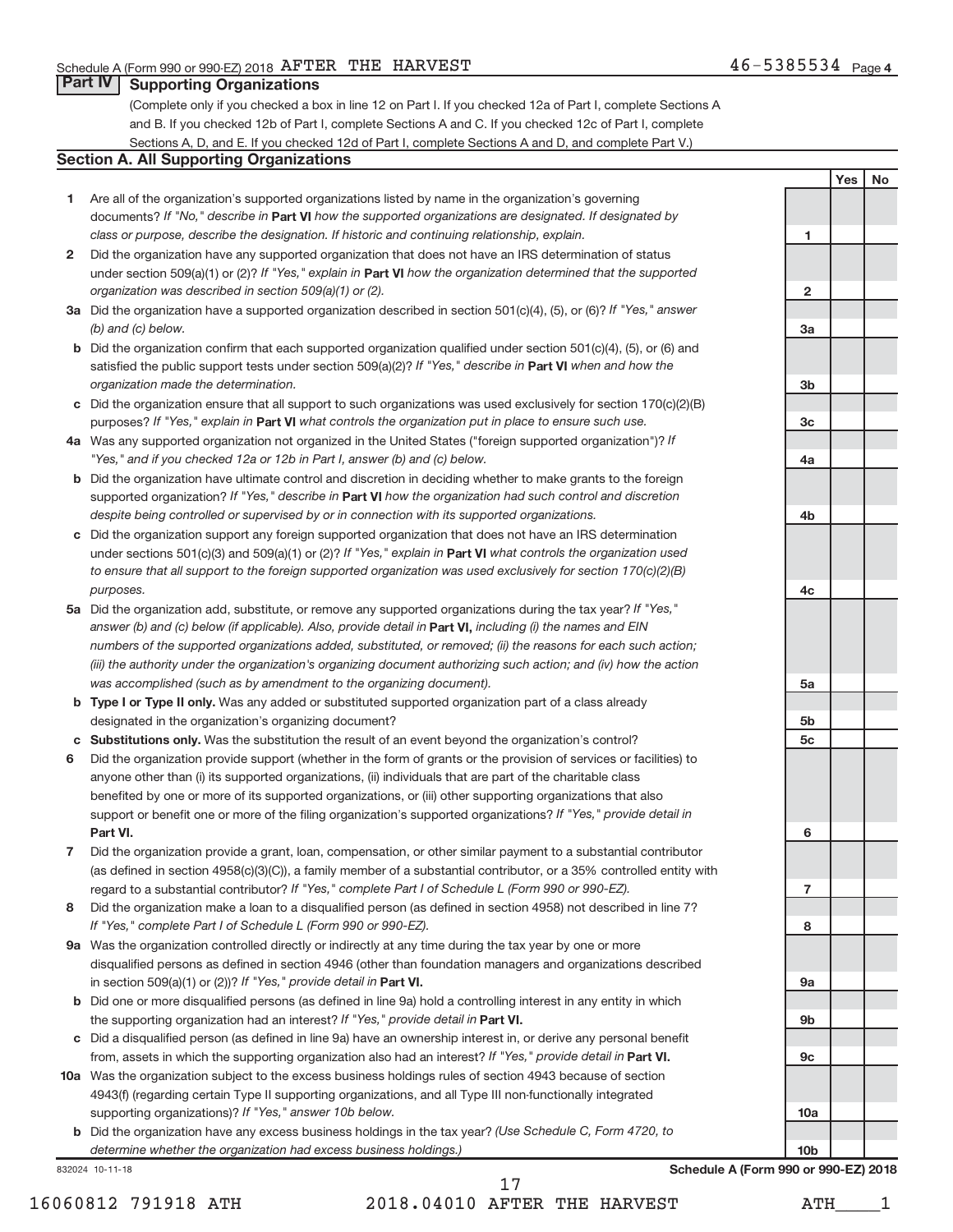**1**

**2**

**3a**

**3b**

**3c**

**4a**

**4b**

**4c**

**5a**

**5b5c**

**6**

**7**

**8**

**9a**

**9b**

**9c**

**10a**

**10b**

**Yes No**

#### **Part IV Supporting Organizations**

(Complete only if you checked a box in line 12 on Part I. If you checked 12a of Part I, complete Sections A and B. If you checked 12b of Part I, complete Sections A and C. If you checked 12c of Part I, complete Sections A, D, and E. If you checked 12d of Part I, complete Sections A and D, and complete Part V.)

#### **Section A. All Supporting Organizations**

- **1**Are all of the organization's supported organizations listed by name in the organization's governing documents? If "No," describe in **Part VI** how the supported organizations are designated. If designated by *class or purpose, describe the designation. If historic and continuing relationship, explain.*
- **2** Did the organization have any supported organization that does not have an IRS determination of status under section 509(a)(1) or (2)? If "Yes," explain in **Part VI** how the organization determined that the supported *organization was described in section 509(a)(1) or (2).*
- **3a** Did the organization have a supported organization described in section 501(c)(4), (5), or (6)? If "Yes," answer *(b) and (c) below.*
- **b** Did the organization confirm that each supported organization qualified under section 501(c)(4), (5), or (6) and satisfied the public support tests under section 509(a)(2)? If "Yes," describe in **Part VI** when and how the *organization made the determination.*
- **c**Did the organization ensure that all support to such organizations was used exclusively for section 170(c)(2)(B) purposes? If "Yes," explain in Part VI what controls the organization put in place to ensure such use.
- **4a***If* Was any supported organization not organized in the United States ("foreign supported organization")? *"Yes," and if you checked 12a or 12b in Part I, answer (b) and (c) below.*
- **b** Did the organization have ultimate control and discretion in deciding whether to make grants to the foreign **Part VI***If "Yes," describe in how the organization had such control and discretion* supported organization? *despite being controlled or supervised by or in connection with its supported organizations.*
- **c**Did the organization support any foreign supported organization that does not have an IRS determination under sections 501(c)(3) and 509(a)(1) or (2)? If "Yes," explain in Part VI what controls the organization used *to ensure that all support to the foreign supported organization was used exclusively for section 170(c)(2)(B) purposes.*
- **5a** Did the organization add, substitute, or remove any supported organizations during the tax year? If "Yes," answer (b) and (c) below (if applicable). Also, provide detail in **Part VI,** including (i) the names and EIN *numbers of the supported organizations added, substituted, or removed; (ii) the reasons for each such action; (iii) the authority under the organization's organizing document authorizing such action; and (iv) how the action was accomplished (such as by amendment to the organizing document).*
- **bType I or Type II only.** Was any added or substituted supported organization part of a class already designated in the organization's organizing document?
- **cSubstitutions only.** Was the substitution the result of an event beyond the organization's control?
- **6** Did the organization provide support (whether in the form of grants or the provision of services or facilities) to **Part VI.***If "Yes," provide detail in* support or benefit one or more of the filing organization's supported organizations? anyone other than (i) its supported organizations, (ii) individuals that are part of the charitable class benefited by one or more of its supported organizations, or (iii) other supporting organizations that also
- **7** Did the organization provide a grant, loan, compensation, or other similar payment to a substantial contributor regard to a substantial contributor? If "Yes," c*omplete Part I of Schedule L (Form 990 or 990-EZ).* (as defined in section 4958(c)(3)(C)), a family member of a substantial contributor, or a 35% controlled entity with
- **8** Did the organization make a loan to a disqualified person (as defined in section 4958) not described in line 7? *If "Yes," complete Part I of Schedule L (Form 990 or 990-EZ).*
- **9a** Was the organization controlled directly or indirectly at any time during the tax year by one or more in section 509(a)(1) or (2))? If "Yes," provide detail in **Part VI.** disqualified persons as defined in section 4946 (other than foundation managers and organizations described
- **b** Did one or more disqualified persons (as defined in line 9a) hold a controlling interest in any entity in which the supporting organization had an interest? If "Yes," provide detail in Part VI.
- **c**Did a disqualified person (as defined in line 9a) have an ownership interest in, or derive any personal benefit from, assets in which the supporting organization also had an interest? If "Yes," provide detail in Part VI.
- **10a**Was the organization subject to the excess business holdings rules of section 4943 because of section supporting organizations)? If "Yes," answer 10b below. 4943(f) (regarding certain Type II supporting organizations, and all Type III non-functionally integrated
	- **b** Did the organization have any excess business holdings in the tax year? (Use Schedule C, Form 4720, to *determine whether the organization had excess business holdings.)*

832024 10-11-18

**Schedule A (Form 990 or 990-EZ) 2018**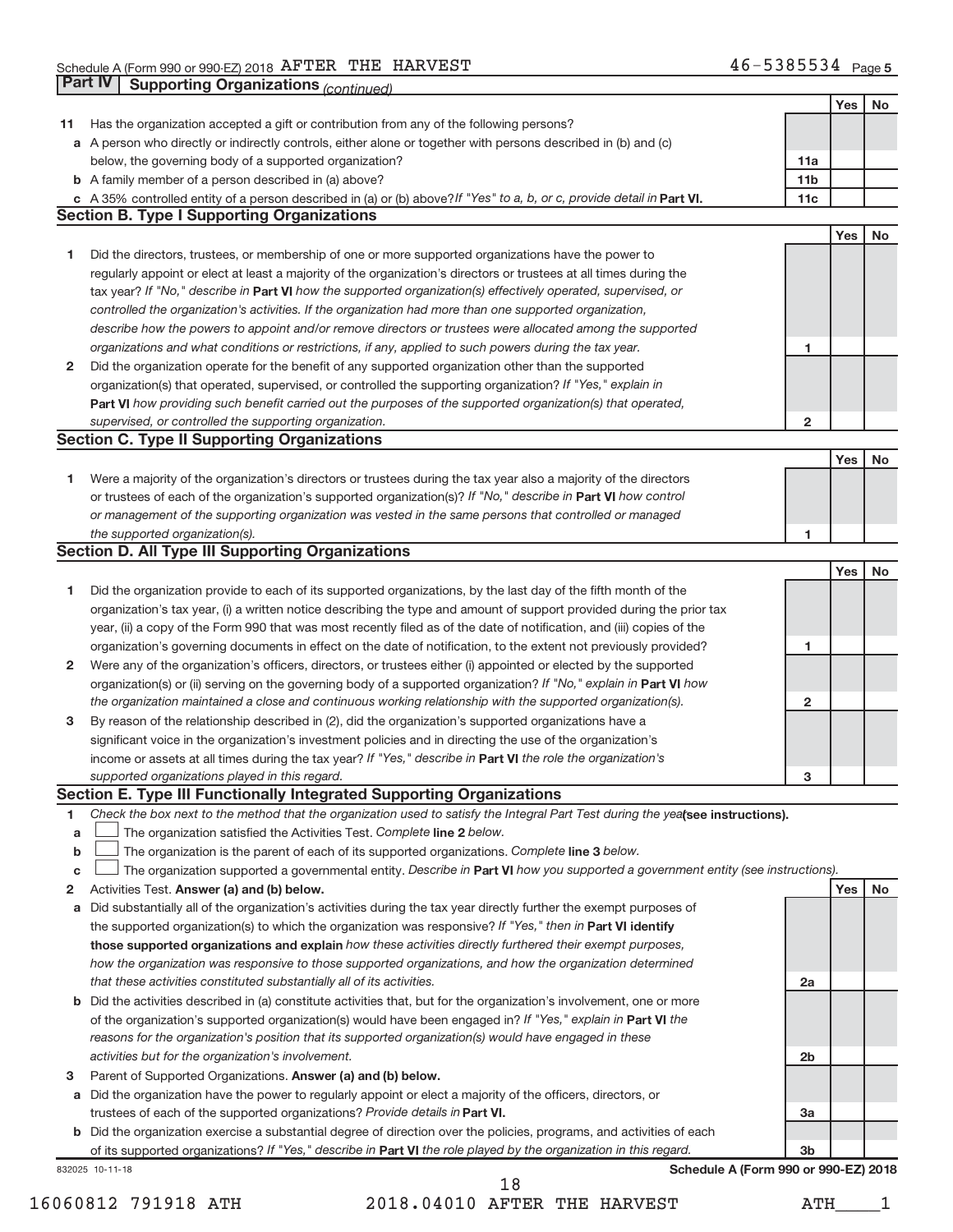|                  | Part IV<br><b>Supporting Organizations (continued)</b>                                                                          |                         |     |           |
|------------------|---------------------------------------------------------------------------------------------------------------------------------|-------------------------|-----|-----------|
|                  |                                                                                                                                 |                         | Yes | No        |
| 11               | Has the organization accepted a gift or contribution from any of the following persons?                                         |                         |     |           |
|                  | a A person who directly or indirectly controls, either alone or together with persons described in (b) and (c)                  |                         |     |           |
|                  | below, the governing body of a supported organization?                                                                          | 11a                     |     |           |
|                  | <b>b</b> A family member of a person described in (a) above?                                                                    | 11 <sub>b</sub>         |     |           |
|                  | c A 35% controlled entity of a person described in (a) or (b) above? If "Yes" to a, b, or c, provide detail in Part VI.         | 11c                     |     |           |
|                  | <b>Section B. Type I Supporting Organizations</b>                                                                               |                         |     |           |
|                  |                                                                                                                                 |                         | Yes | No        |
| 1                | Did the directors, trustees, or membership of one or more supported organizations have the power to                             |                         |     |           |
|                  | regularly appoint or elect at least a majority of the organization's directors or trustees at all times during the              |                         |     |           |
|                  | tax year? If "No," describe in Part VI how the supported organization(s) effectively operated, supervised, or                   |                         |     |           |
|                  | controlled the organization's activities. If the organization had more than one supported organization,                         |                         |     |           |
|                  | describe how the powers to appoint and/or remove directors or trustees were allocated among the supported                       |                         |     |           |
|                  | organizations and what conditions or restrictions, if any, applied to such powers during the tax year.                          | 1                       |     |           |
| 2                | Did the organization operate for the benefit of any supported organization other than the supported                             |                         |     |           |
|                  | organization(s) that operated, supervised, or controlled the supporting organization? If "Yes," explain in                      |                         |     |           |
|                  | Part VI how providing such benefit carried out the purposes of the supported organization(s) that operated,                     |                         |     |           |
|                  | supervised, or controlled the supporting organization.                                                                          | $\overline{\mathbf{c}}$ |     |           |
|                  | <b>Section C. Type II Supporting Organizations</b>                                                                              |                         |     |           |
|                  |                                                                                                                                 |                         | Yes | No        |
| 1                | Were a majority of the organization's directors or trustees during the tax year also a majority of the directors                |                         |     |           |
|                  | or trustees of each of the organization's supported organization(s)? If "No," describe in Part VI how control                   |                         |     |           |
|                  | or management of the supporting organization was vested in the same persons that controlled or managed                          |                         |     |           |
|                  | the supported organization(s).                                                                                                  | 1                       |     |           |
|                  | <b>Section D. All Type III Supporting Organizations</b>                                                                         |                         |     |           |
|                  |                                                                                                                                 |                         | Yes | <b>No</b> |
| 1                | Did the organization provide to each of its supported organizations, by the last day of the fifth month of the                  |                         |     |           |
|                  | organization's tax year, (i) a written notice describing the type and amount of support provided during the prior tax           |                         |     |           |
|                  | year, (ii) a copy of the Form 990 that was most recently filed as of the date of notification, and (iii) copies of the          |                         |     |           |
|                  | organization's governing documents in effect on the date of notification, to the extent not previously provided?                | 1                       |     |           |
| 2                | Were any of the organization's officers, directors, or trustees either (i) appointed or elected by the supported                |                         |     |           |
|                  | organization(s) or (ii) serving on the governing body of a supported organization? If "No," explain in Part VI how              |                         |     |           |
|                  | the organization maintained a close and continuous working relationship with the supported organization(s).                     | 2                       |     |           |
| 3                | By reason of the relationship described in (2), did the organization's supported organizations have a                           |                         |     |           |
|                  | significant voice in the organization's investment policies and in directing the use of the organization's                      |                         |     |           |
|                  | income or assets at all times during the tax year? If "Yes," describe in Part VI the role the organization's                    |                         |     |           |
|                  | supported organizations played in this regard.                                                                                  |                         |     |           |
|                  | Section E. Type III Functionally Integrated Supporting Organizations                                                            | з                       |     |           |
|                  | Check the box next to the method that the organization used to satisfy the Integral Part Test during the yealsee instructions). |                         |     |           |
| 1                | The organization satisfied the Activities Test. Complete line 2 below.                                                          |                         |     |           |
| a<br>$\mathbf b$ | The organization is the parent of each of its supported organizations. Complete line 3 below.                                   |                         |     |           |
|                  | The organization supported a governmental entity. Describe in Part VI how you supported a government entity (see instructions). |                         |     |           |
| c<br>2           | Activities Test. Answer (a) and (b) below.                                                                                      |                         | Yes | No        |
|                  | Did substantially all of the organization's activities during the tax year directly further the exempt purposes of              |                         |     |           |
| а                | the supported organization(s) to which the organization was responsive? If "Yes," then in Part VI identify                      |                         |     |           |
|                  | those supported organizations and explain how these activities directly furthered their exempt purposes,                        |                         |     |           |
|                  | how the organization was responsive to those supported organizations, and how the organization determined                       |                         |     |           |
|                  | that these activities constituted substantially all of its activities.                                                          |                         |     |           |
|                  | b Did the activities described in (a) constitute activities that, but for the organization's involvement, one or more           | 2a                      |     |           |
|                  |                                                                                                                                 |                         |     |           |
|                  | of the organization's supported organization(s) would have been engaged in? If "Yes," explain in Part VI the                    |                         |     |           |
|                  | reasons for the organization's position that its supported organization(s) would have engaged in these                          |                         |     |           |
|                  | activities but for the organization's involvement.                                                                              | 2b                      |     |           |
| 3                | Parent of Supported Organizations. Answer (a) and (b) below.                                                                    |                         |     |           |
| a                | Did the organization have the power to regularly appoint or elect a majority of the officers, directors, or                     |                         |     |           |
|                  | trustees of each of the supported organizations? Provide details in Part VI.                                                    | 3a                      |     |           |
|                  | <b>b</b> Did the organization exercise a substantial degree of direction over the policies, programs, and activities of each    |                         |     |           |
|                  | of its supported organizations? If "Yes," describe in Part VI the role played by the organization in this regard.               | 3 <sub>b</sub>          |     |           |
|                  | Schedule A (Form 990 or 990-EZ) 2018<br>832025 10-11-18                                                                         |                         |     |           |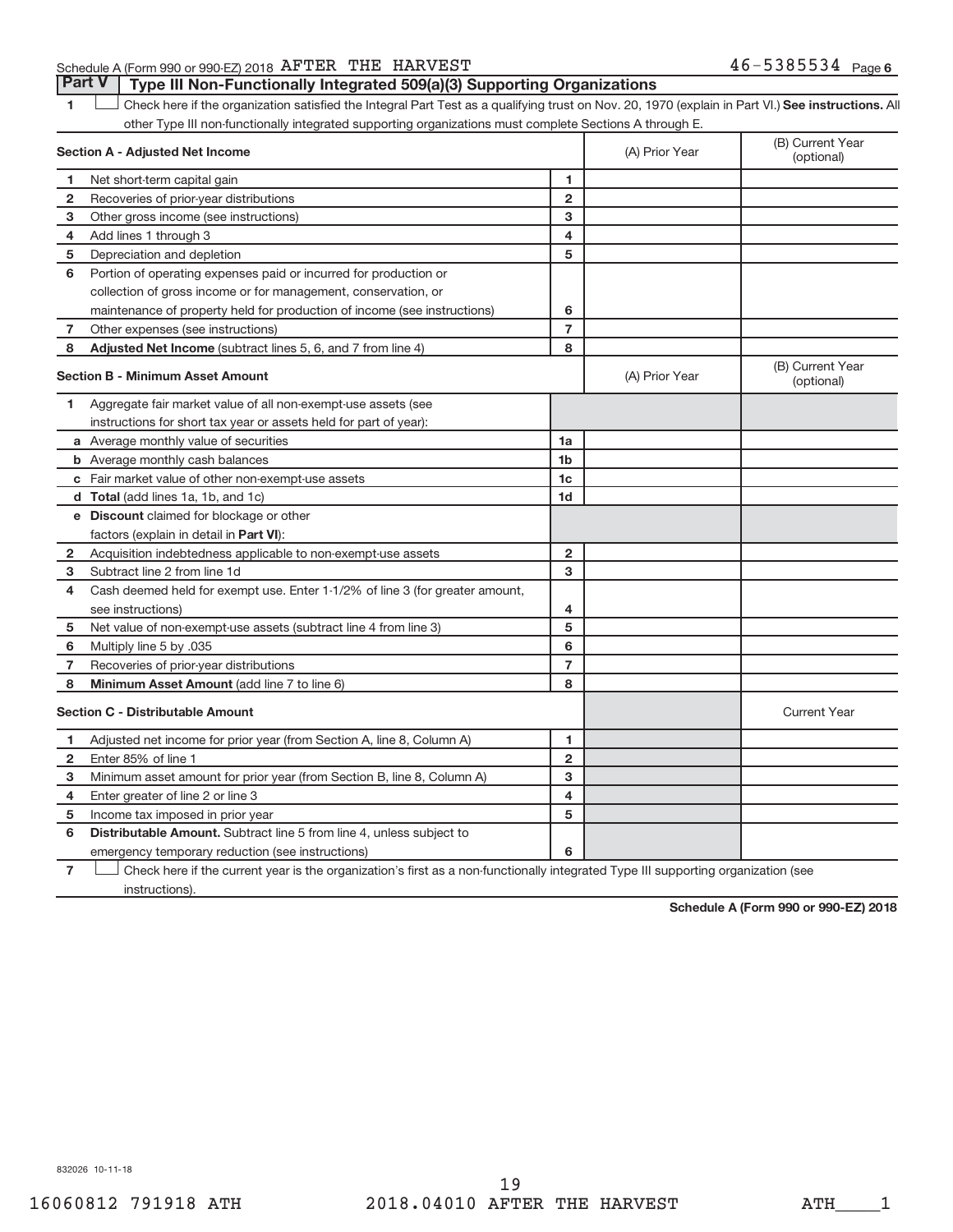### Schedule A (Form 990 or 990-EZ) 2018  $\overline{\text{A}}$   $\overline{\text{A}}$   $\overline{\text{B}}$   $\overline{\text{B}}$   $\overline{\text{A}}$   $\overline{\text{B}}$   $\overline{\text{B}}$   $\overline{\text{B}}$   $\overline{\text{B}}$   $\overline{\text{B}}$   $\overline{\text{B}}$   $\overline{\text{B}}$   $\overline{\text{B}}$   $\overline{\text{B}}$   $\overline{\text{B}}$   $\overline{\text{B}}$   $\overline{\text{B$

**1**Check here if the organization satisfied the Integral Part Test as a qualifying trust on Nov. 20, 1970 (explain in Part VI.) See instructions. All other Type III non-functionally integrated supporting organizations must complete Sections A through E. **Part V Type III Non-Functionally Integrated 509(a)(3) Supporting Organizations** 

|                | <b>Section A - Adjusted Net Income</b>                                                                                                     |                         | (A) Prior Year | (B) Current Year<br>(optional) |
|----------------|--------------------------------------------------------------------------------------------------------------------------------------------|-------------------------|----------------|--------------------------------|
| 1              | Net short-term capital gain                                                                                                                | 1                       |                |                                |
| 2              | Recoveries of prior-year distributions                                                                                                     | $\overline{2}$          |                |                                |
| з              | Other gross income (see instructions)                                                                                                      | 3                       |                |                                |
| 4              | Add lines 1 through 3                                                                                                                      | $\overline{\mathbf{4}}$ |                |                                |
| 5              | Depreciation and depletion                                                                                                                 | 5                       |                |                                |
| 6              | Portion of operating expenses paid or incurred for production or                                                                           |                         |                |                                |
|                | collection of gross income or for management, conservation, or                                                                             |                         |                |                                |
|                | maintenance of property held for production of income (see instructions)                                                                   | 6                       |                |                                |
| 7              | Other expenses (see instructions)                                                                                                          | $\overline{7}$          |                |                                |
| 8              | Adjusted Net Income (subtract lines 5, 6, and 7 from line 4)                                                                               | 8                       |                |                                |
|                | <b>Section B - Minimum Asset Amount</b>                                                                                                    |                         | (A) Prior Year | (B) Current Year<br>(optional) |
| 1              | Aggregate fair market value of all non-exempt-use assets (see                                                                              |                         |                |                                |
|                | instructions for short tax year or assets held for part of year):                                                                          |                         |                |                                |
|                | a Average monthly value of securities                                                                                                      | 1a                      |                |                                |
|                | <b>b</b> Average monthly cash balances                                                                                                     | 1 <sub>b</sub>          |                |                                |
|                | c Fair market value of other non-exempt-use assets                                                                                         | 1c                      |                |                                |
|                | <b>d</b> Total (add lines 1a, 1b, and 1c)                                                                                                  | 1 <sub>d</sub>          |                |                                |
|                | <b>e</b> Discount claimed for blockage or other                                                                                            |                         |                |                                |
|                | factors (explain in detail in Part VI):                                                                                                    |                         |                |                                |
| 2              | Acquisition indebtedness applicable to non-exempt-use assets                                                                               | $\overline{2}$          |                |                                |
| з              | Subtract line 2 from line 1d                                                                                                               | 3                       |                |                                |
| 4              | Cash deemed held for exempt use. Enter 1-1/2% of line 3 (for greater amount,                                                               |                         |                |                                |
|                | see instructions)                                                                                                                          | 4                       |                |                                |
| 5              | Net value of non-exempt-use assets (subtract line 4 from line 3)                                                                           | 5                       |                |                                |
| 6              | Multiply line 5 by .035                                                                                                                    | 6                       |                |                                |
| 7              | Recoveries of prior-year distributions                                                                                                     | $\overline{7}$          |                |                                |
| 8              | Minimum Asset Amount (add line 7 to line 6)                                                                                                | 8                       |                |                                |
|                | <b>Section C - Distributable Amount</b>                                                                                                    |                         |                | <b>Current Year</b>            |
| 1              | Adjusted net income for prior year (from Section A, line 8, Column A)                                                                      | 1                       |                |                                |
| $\overline{2}$ | Enter 85% of line 1                                                                                                                        | $\mathbf{2}$            |                |                                |
| з              | Minimum asset amount for prior year (from Section B, line 8, Column A)                                                                     | 3                       |                |                                |
| 4              | Enter greater of line 2 or line 3                                                                                                          | 4                       |                |                                |
| 5              | Income tax imposed in prior year                                                                                                           | 5                       |                |                                |
| 6              | <b>Distributable Amount.</b> Subtract line 5 from line 4, unless subject to                                                                |                         |                |                                |
|                | emergency temporary reduction (see instructions)                                                                                           | 6                       |                |                                |
|                | Change in the case of the comment of the control of the<br>المراجل المستنبئة المستراة والمستنبذة والمستنبذة<br>with the second life of the |                         |                |                                |

**7**Check here if the current year is the organization's first as a non-functionally integrated Type III supporting organization (see instructions).

**Schedule A (Form 990 or 990-EZ) 2018**

832026 10-11-18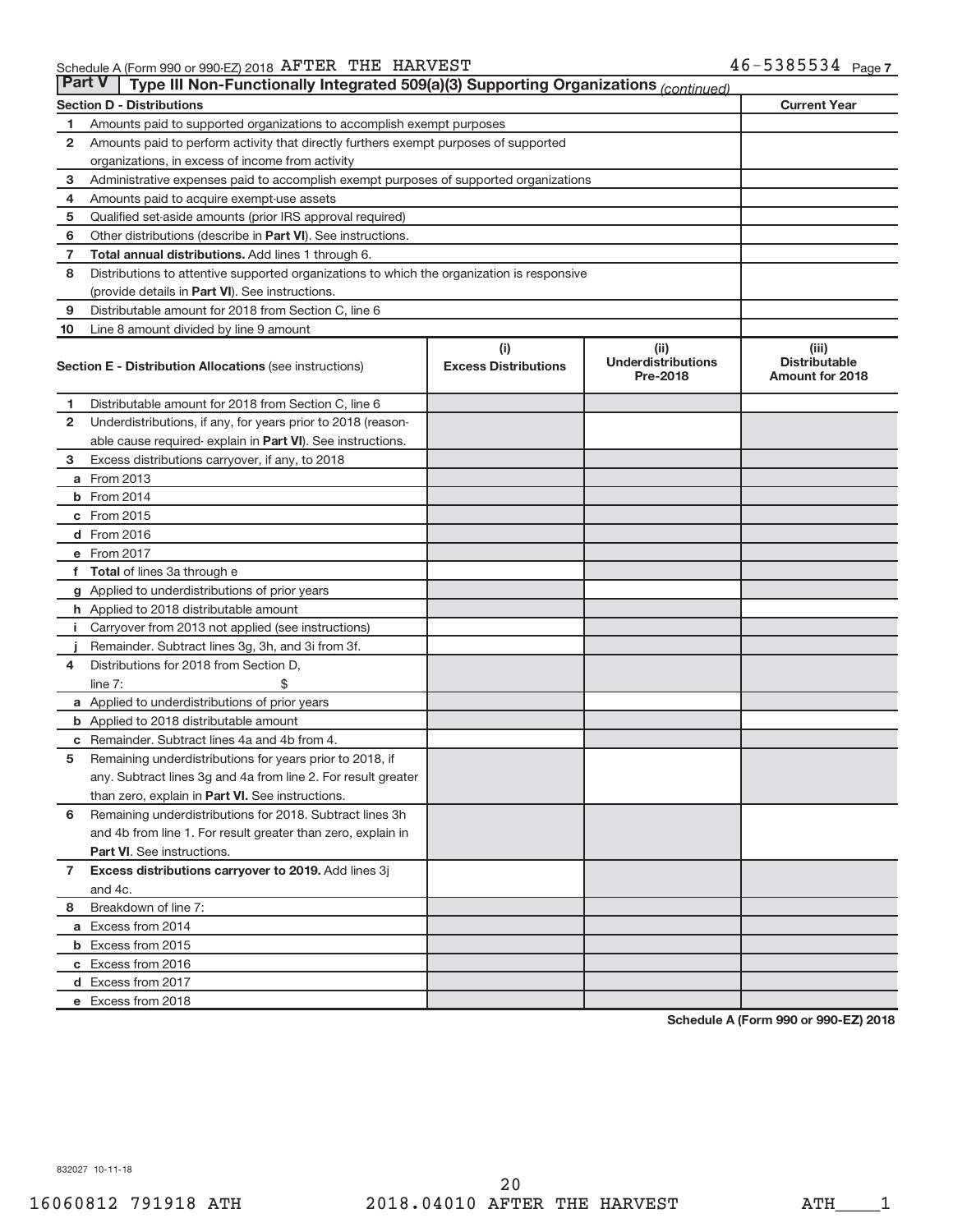| <b>Part V</b><br>Type III Non-Functionally Integrated 509(a)(3) Supporting Organizations (continued) |                                                                                            |                                    |                                               |                                                         |  |  |
|------------------------------------------------------------------------------------------------------|--------------------------------------------------------------------------------------------|------------------------------------|-----------------------------------------------|---------------------------------------------------------|--|--|
|                                                                                                      | <b>Section D - Distributions</b>                                                           |                                    |                                               | <b>Current Year</b>                                     |  |  |
| 1                                                                                                    | Amounts paid to supported organizations to accomplish exempt purposes                      |                                    |                                               |                                                         |  |  |
| $\mathbf{2}$                                                                                         | Amounts paid to perform activity that directly furthers exempt purposes of supported       |                                    |                                               |                                                         |  |  |
|                                                                                                      | organizations, in excess of income from activity                                           |                                    |                                               |                                                         |  |  |
| 3                                                                                                    | Administrative expenses paid to accomplish exempt purposes of supported organizations      |                                    |                                               |                                                         |  |  |
| 4                                                                                                    | Amounts paid to acquire exempt-use assets                                                  |                                    |                                               |                                                         |  |  |
| 5                                                                                                    | Qualified set-aside amounts (prior IRS approval required)                                  |                                    |                                               |                                                         |  |  |
| 6                                                                                                    | Other distributions (describe in Part VI). See instructions.                               |                                    |                                               |                                                         |  |  |
| 7                                                                                                    | Total annual distributions. Add lines 1 through 6.                                         |                                    |                                               |                                                         |  |  |
| 8                                                                                                    | Distributions to attentive supported organizations to which the organization is responsive |                                    |                                               |                                                         |  |  |
|                                                                                                      | (provide details in Part VI). See instructions.                                            |                                    |                                               |                                                         |  |  |
| 9                                                                                                    | Distributable amount for 2018 from Section C, line 6                                       |                                    |                                               |                                                         |  |  |
| 10                                                                                                   | Line 8 amount divided by line 9 amount                                                     |                                    |                                               |                                                         |  |  |
|                                                                                                      | <b>Section E - Distribution Allocations (see instructions)</b>                             | (i)<br><b>Excess Distributions</b> | (ii)<br><b>Underdistributions</b><br>Pre-2018 | (iii)<br><b>Distributable</b><br><b>Amount for 2018</b> |  |  |
| 1                                                                                                    | Distributable amount for 2018 from Section C, line 6                                       |                                    |                                               |                                                         |  |  |
| $\mathbf{2}$                                                                                         | Underdistributions, if any, for years prior to 2018 (reason-                               |                                    |                                               |                                                         |  |  |
|                                                                                                      | able cause required- explain in Part VI). See instructions.                                |                                    |                                               |                                                         |  |  |
| 3                                                                                                    | Excess distributions carryover, if any, to 2018                                            |                                    |                                               |                                                         |  |  |
|                                                                                                      | <b>a</b> From 2013                                                                         |                                    |                                               |                                                         |  |  |
|                                                                                                      | <b>b</b> From 2014                                                                         |                                    |                                               |                                                         |  |  |
|                                                                                                      | c From 2015                                                                                |                                    |                                               |                                                         |  |  |
|                                                                                                      | d From 2016                                                                                |                                    |                                               |                                                         |  |  |
|                                                                                                      | e From 2017                                                                                |                                    |                                               |                                                         |  |  |
|                                                                                                      | f Total of lines 3a through e                                                              |                                    |                                               |                                                         |  |  |
|                                                                                                      | g Applied to underdistributions of prior years                                             |                                    |                                               |                                                         |  |  |
|                                                                                                      | <b>h</b> Applied to 2018 distributable amount                                              |                                    |                                               |                                                         |  |  |
| Ť.                                                                                                   | Carryover from 2013 not applied (see instructions)                                         |                                    |                                               |                                                         |  |  |
|                                                                                                      | Remainder. Subtract lines 3g, 3h, and 3i from 3f.                                          |                                    |                                               |                                                         |  |  |
| 4                                                                                                    | Distributions for 2018 from Section D,                                                     |                                    |                                               |                                                         |  |  |
|                                                                                                      | $line 7$ :                                                                                 |                                    |                                               |                                                         |  |  |
|                                                                                                      | a Applied to underdistributions of prior years                                             |                                    |                                               |                                                         |  |  |
|                                                                                                      | <b>b</b> Applied to 2018 distributable amount                                              |                                    |                                               |                                                         |  |  |
| с                                                                                                    | Remainder. Subtract lines 4a and 4b from 4.                                                |                                    |                                               |                                                         |  |  |
| 5                                                                                                    | Remaining underdistributions for years prior to 2018, if                                   |                                    |                                               |                                                         |  |  |
|                                                                                                      | any. Subtract lines 3g and 4a from line 2. For result greater                              |                                    |                                               |                                                         |  |  |
|                                                                                                      | than zero, explain in Part VI. See instructions.                                           |                                    |                                               |                                                         |  |  |
| 6                                                                                                    | Remaining underdistributions for 2018. Subtract lines 3h                                   |                                    |                                               |                                                         |  |  |
|                                                                                                      | and 4b from line 1. For result greater than zero, explain in                               |                                    |                                               |                                                         |  |  |
|                                                                                                      | <b>Part VI.</b> See instructions.                                                          |                                    |                                               |                                                         |  |  |
| $\mathbf{7}$                                                                                         | Excess distributions carryover to 2019. Add lines 3j                                       |                                    |                                               |                                                         |  |  |
|                                                                                                      | and 4c.                                                                                    |                                    |                                               |                                                         |  |  |
| 8                                                                                                    | Breakdown of line 7:                                                                       |                                    |                                               |                                                         |  |  |
|                                                                                                      | a Excess from 2014                                                                         |                                    |                                               |                                                         |  |  |
|                                                                                                      | <b>b</b> Excess from 2015                                                                  |                                    |                                               |                                                         |  |  |
|                                                                                                      | c Excess from 2016                                                                         |                                    |                                               |                                                         |  |  |
|                                                                                                      | d Excess from 2017                                                                         |                                    |                                               |                                                         |  |  |
|                                                                                                      | e Excess from 2018                                                                         |                                    |                                               |                                                         |  |  |

**Schedule A (Form 990 or 990-EZ) 2018**

832027 10-11-18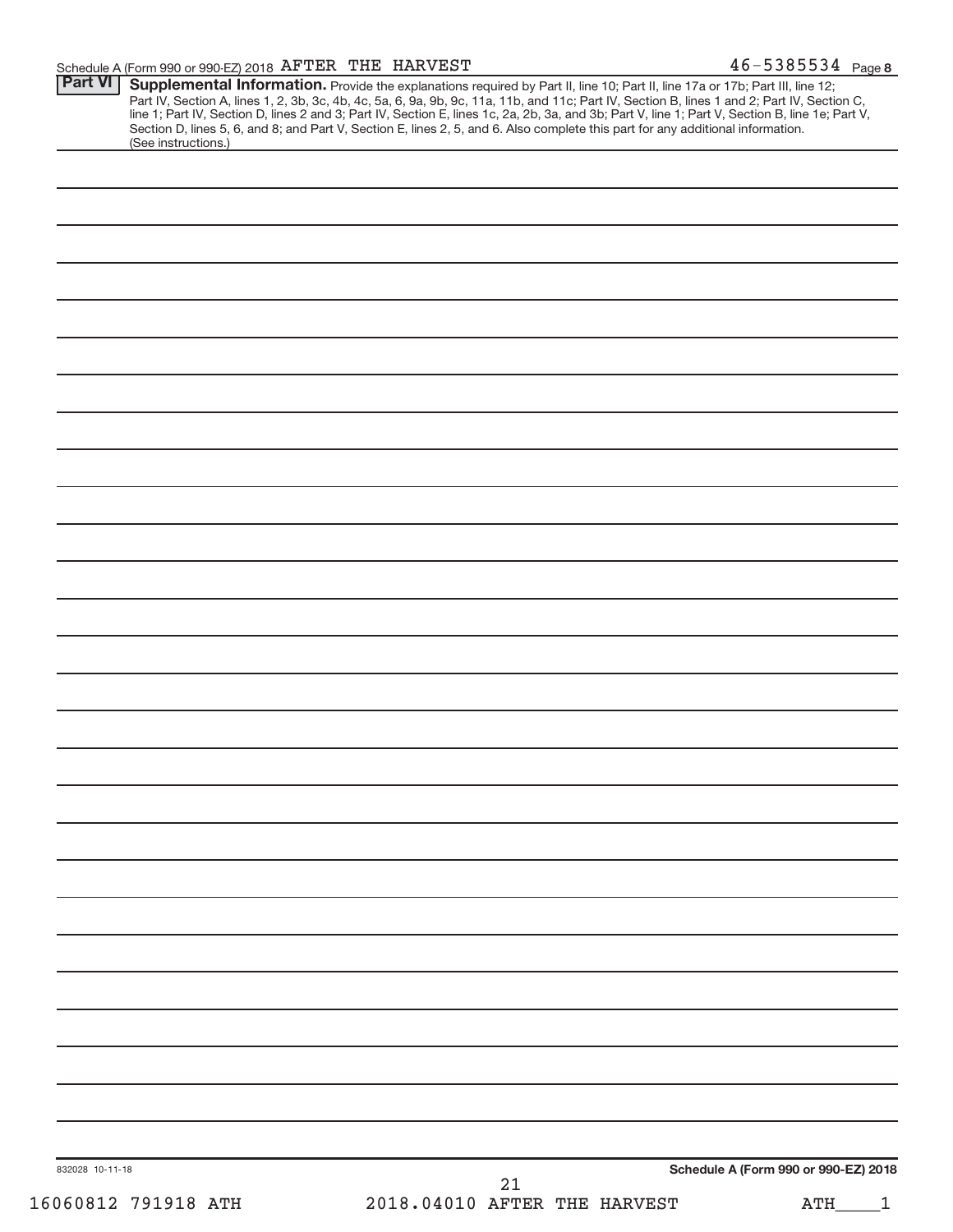| Part VI<br>(See instructions.) | Supplemental Information. Provide the explanations required by Part II, line 10; Part II, line 17a or 17b; Part III, line 12;<br>Part IV, Section A, lines 1, 2, 3b, 3c, 4b, 4c, 5a, 6, 9a, 9b, 9c, 11a, 11b, and 11c; Part IV, Section B, lines 1 and 2; Part IV, Section C,<br>line 1; Part IV, Section D, lines 2 and 3; Part IV, Section E, lines 1c, 2a, 2b, 3a, and 3b; Part V, line 1; Part V, Section B, line 1e; Part V,<br>Section D, lines 5, 6, and 8; and Part V, Section E, lines 2, 5, and 6. Also complete this part for any additional information. |
|--------------------------------|----------------------------------------------------------------------------------------------------------------------------------------------------------------------------------------------------------------------------------------------------------------------------------------------------------------------------------------------------------------------------------------------------------------------------------------------------------------------------------------------------------------------------------------------------------------------|
|                                |                                                                                                                                                                                                                                                                                                                                                                                                                                                                                                                                                                      |
|                                |                                                                                                                                                                                                                                                                                                                                                                                                                                                                                                                                                                      |
|                                |                                                                                                                                                                                                                                                                                                                                                                                                                                                                                                                                                                      |
|                                |                                                                                                                                                                                                                                                                                                                                                                                                                                                                                                                                                                      |
|                                |                                                                                                                                                                                                                                                                                                                                                                                                                                                                                                                                                                      |
|                                |                                                                                                                                                                                                                                                                                                                                                                                                                                                                                                                                                                      |
|                                |                                                                                                                                                                                                                                                                                                                                                                                                                                                                                                                                                                      |
|                                |                                                                                                                                                                                                                                                                                                                                                                                                                                                                                                                                                                      |
|                                |                                                                                                                                                                                                                                                                                                                                                                                                                                                                                                                                                                      |
|                                |                                                                                                                                                                                                                                                                                                                                                                                                                                                                                                                                                                      |
|                                |                                                                                                                                                                                                                                                                                                                                                                                                                                                                                                                                                                      |
|                                |                                                                                                                                                                                                                                                                                                                                                                                                                                                                                                                                                                      |
|                                |                                                                                                                                                                                                                                                                                                                                                                                                                                                                                                                                                                      |
|                                |                                                                                                                                                                                                                                                                                                                                                                                                                                                                                                                                                                      |
|                                |                                                                                                                                                                                                                                                                                                                                                                                                                                                                                                                                                                      |
|                                |                                                                                                                                                                                                                                                                                                                                                                                                                                                                                                                                                                      |
|                                |                                                                                                                                                                                                                                                                                                                                                                                                                                                                                                                                                                      |
|                                |                                                                                                                                                                                                                                                                                                                                                                                                                                                                                                                                                                      |
|                                |                                                                                                                                                                                                                                                                                                                                                                                                                                                                                                                                                                      |
|                                |                                                                                                                                                                                                                                                                                                                                                                                                                                                                                                                                                                      |
|                                |                                                                                                                                                                                                                                                                                                                                                                                                                                                                                                                                                                      |
|                                |                                                                                                                                                                                                                                                                                                                                                                                                                                                                                                                                                                      |
|                                |                                                                                                                                                                                                                                                                                                                                                                                                                                                                                                                                                                      |
|                                |                                                                                                                                                                                                                                                                                                                                                                                                                                                                                                                                                                      |
|                                |                                                                                                                                                                                                                                                                                                                                                                                                                                                                                                                                                                      |
|                                |                                                                                                                                                                                                                                                                                                                                                                                                                                                                                                                                                                      |
|                                |                                                                                                                                                                                                                                                                                                                                                                                                                                                                                                                                                                      |
|                                |                                                                                                                                                                                                                                                                                                                                                                                                                                                                                                                                                                      |
|                                |                                                                                                                                                                                                                                                                                                                                                                                                                                                                                                                                                                      |
|                                |                                                                                                                                                                                                                                                                                                                                                                                                                                                                                                                                                                      |
|                                |                                                                                                                                                                                                                                                                                                                                                                                                                                                                                                                                                                      |
|                                |                                                                                                                                                                                                                                                                                                                                                                                                                                                                                                                                                                      |
|                                |                                                                                                                                                                                                                                                                                                                                                                                                                                                                                                                                                                      |
|                                |                                                                                                                                                                                                                                                                                                                                                                                                                                                                                                                                                                      |
|                                |                                                                                                                                                                                                                                                                                                                                                                                                                                                                                                                                                                      |
|                                |                                                                                                                                                                                                                                                                                                                                                                                                                                                                                                                                                                      |
|                                |                                                                                                                                                                                                                                                                                                                                                                                                                                                                                                                                                                      |
|                                |                                                                                                                                                                                                                                                                                                                                                                                                                                                                                                                                                                      |
|                                |                                                                                                                                                                                                                                                                                                                                                                                                                                                                                                                                                                      |
|                                |                                                                                                                                                                                                                                                                                                                                                                                                                                                                                                                                                                      |
|                                |                                                                                                                                                                                                                                                                                                                                                                                                                                                                                                                                                                      |
|                                |                                                                                                                                                                                                                                                                                                                                                                                                                                                                                                                                                                      |
|                                |                                                                                                                                                                                                                                                                                                                                                                                                                                                                                                                                                                      |
| 832028 10-11-18                | Schedule A (Form 990 or 990-EZ) 2018<br>21                                                                                                                                                                                                                                                                                                                                                                                                                                                                                                                           |
| 16060812 791918 ATH            | 2018.04010 AFTER THE HARVEST<br><b>ATH</b>                                                                                                                                                                                                                                                                                                                                                                                                                                                                                                                           |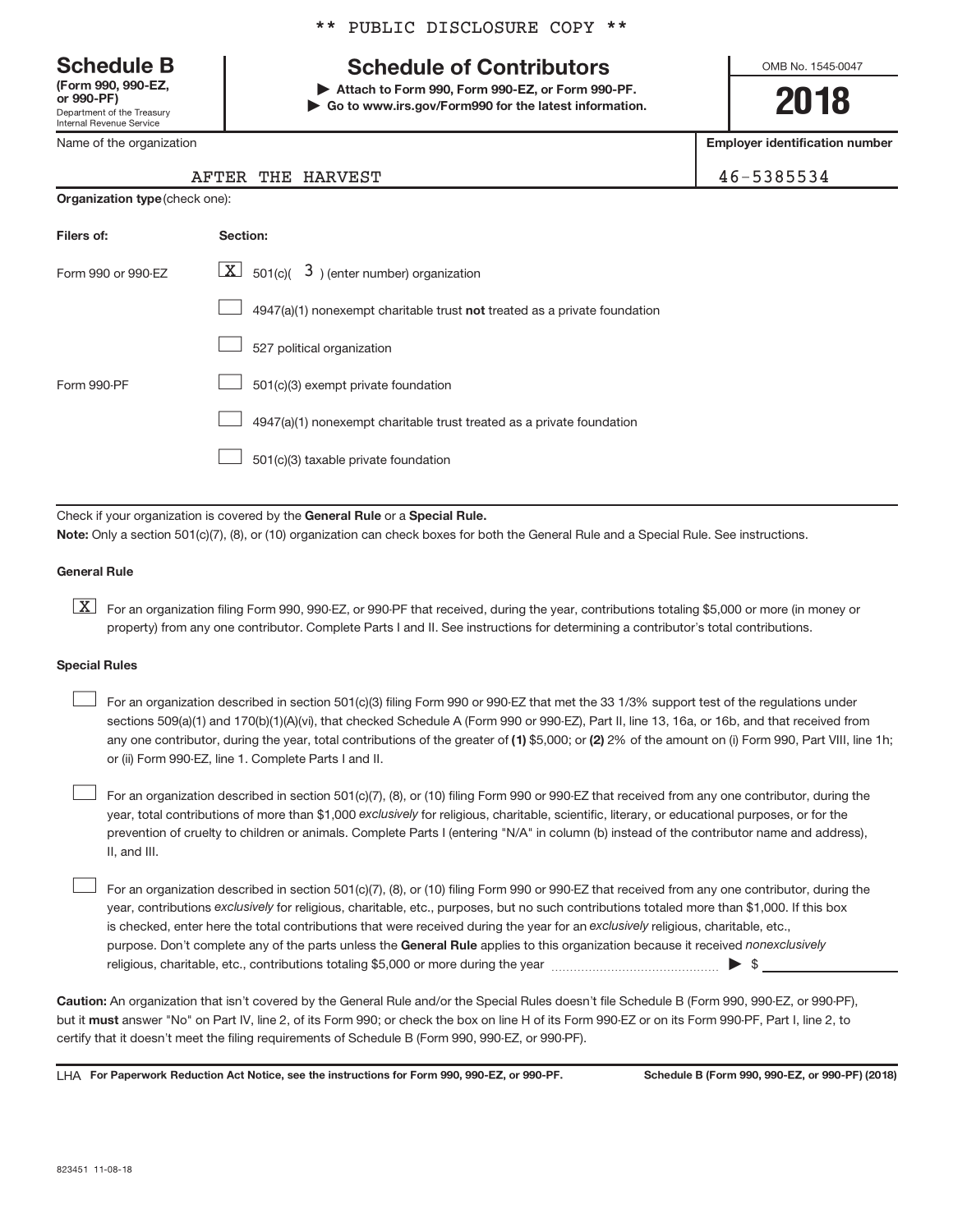**Schedule B**

Department of the Treasury Internal Revenue Service **(Form 990, 990-EZ,or 990-PF)**

Name of the organization

#### \*\* PUBLIC DISCLOSURE COPY \*\*

## **Schedule of Contributors**

 **| Attach to Form 990, Form 990-EZ, or Form 990-PF. | Go to www.irs.gov/Form990 for the latest information.** OMB No. 1545-0047

**2018**

**Employer identification number**

AFTER THE HARVEST 46-5385534

| <b>Organization type (check one):</b> |                                                                           |  |  |
|---------------------------------------|---------------------------------------------------------------------------|--|--|
| Filers of:                            | Section:                                                                  |  |  |
| Form 990 or 990-FZ                    | $ \mathbf{X} $ 501(c)( 3) (enter number) organization                     |  |  |
|                                       | 4947(a)(1) nonexempt charitable trust not treated as a private foundation |  |  |
|                                       | 527 political organization                                                |  |  |
| Form 990-PF                           | 501(c)(3) exempt private foundation                                       |  |  |
|                                       |                                                                           |  |  |

 $\Box$  4947(a)(1) nonexempt charitable trust treated as a private foundation

501(c)(3) taxable private foundation -

Check if your organization is covered by the General Rule or a Special Rule.

**Note:** Only a section 501(c)(7), (8), or (10) organization can check boxes for both the General Rule and a Special Rule. See instructions.

#### **General Rule**

[X] For an organization filing Form 990, 990-EZ, or 990-PF that received, during the year, contributions totaling \$5,000 or more (in money or property) from any one contributor. Complete Parts I and II. See instructions for determining a contributor's total contributions.

#### **Special Rules**

-

any one contributor, during the year, total contributions of the greater of (1) \$5,000; or (2) 2% of the amount on (i) Form 990, Part VIII, line 1h; For an organization described in section 501(c)(3) filing Form 990 or 990-EZ that met the 33 1/3% support test of the regulations under sections 509(a)(1) and 170(b)(1)(A)(vi), that checked Schedule A (Form 990 or 990-EZ), Part II, line 13, 16a, or 16b, and that received from or (ii) Form 990-EZ, line 1. Complete Parts I and II. -

year, total contributions of more than \$1,000 *exclusively for religious, charitable, scientific, literary, or educational purposes, or for the* For an organization described in section 501(c)(7), (8), or (10) filing Form 990 or 990-EZ that received from any one contributor, during the prevention of cruelty to children or animals. Complete Parts I (entering "N/A" in column (b) instead of the contributor name and address), II, and III. -

purpose. Don't complete any of the parts unless the General Rule applies to this organization because it received nonexclusively year, contributions *exclusively for religious, charitable, etc., purposes, but no such contributions totaled more than \$1,000. If this box* is checked, enter here the total contributions that were received during the year for an exclusively religious, charitable, etc., For an organization described in section 501(c)(7), (8), or (10) filing Form 990 or 990-EZ that received from any one contributor, during the religious, charitable, etc., contributions totaling \$5,000 or more during the year  $~$   $~$   $~$   $~$   $~$   $~$   $\sim$   $~$   $\bullet$   $~$   $\$ 

**Caution:** An organization that isn't covered by the General Rule and/or the Special Rules doesn't file Schedule B (Form 990, 990-EZ, or 990-PF), but it **must** answer "No" on Part IV, line 2, of its Form 990; or check the box on line H of its Form 990-EZ or on its Form 990-PF, Part I, line 2, to certify that it doesn't meet the filing requirements of Schedule B (Form 990, 990-EZ, or 990-PF).

LHA For Paperwork Reduction Act Notice, see the instructions for Form 990, 990-EZ, or 990-PF. Schedule B (Form 990, 990-EZ, or 990-PF) (2018)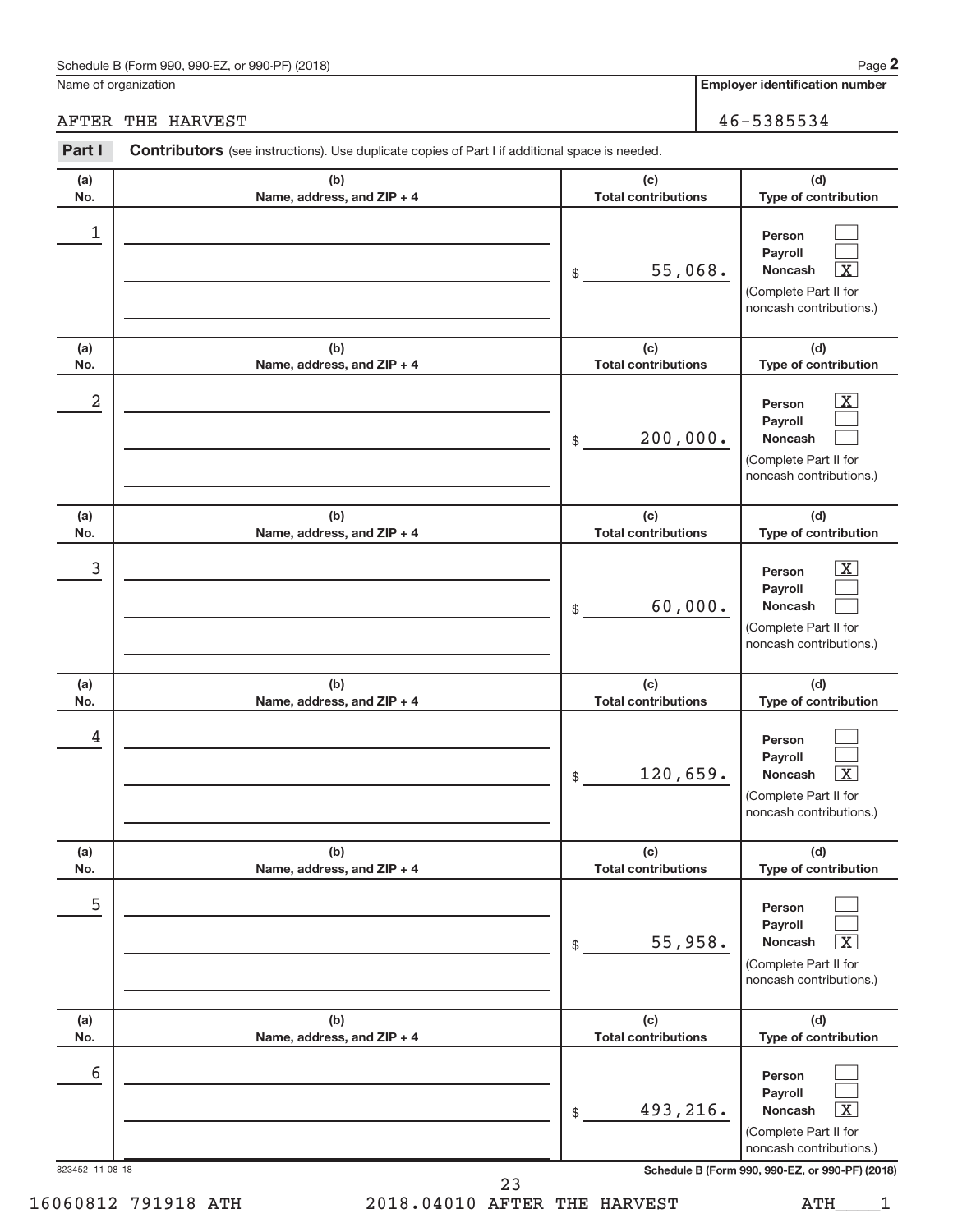#### Schedule B (Form 990, 990-EZ, or 990-PF) (2018)

Name of organization

AFTER THE HARVEST 46-5385534

**Employer identification number**

| Part I          | Contributors (see instructions). Use duplicate copies of Part I if additional space is needed. |                                   |                                                                                                                  |
|-----------------|------------------------------------------------------------------------------------------------|-----------------------------------|------------------------------------------------------------------------------------------------------------------|
| (a)<br>No.      | (b)<br>Name, address, and ZIP + 4                                                              | (c)<br><b>Total contributions</b> | (d)<br>Type of contribution                                                                                      |
| 1               |                                                                                                | 55,068.<br>\$                     | Person<br>Payroll<br><b>Noncash</b><br>Χ<br>(Complete Part II for<br>noncash contributions.)                     |
| (a)<br>No.      | (b)<br>Name, address, and ZIP + 4                                                              | (c)<br><b>Total contributions</b> | (d)<br>Type of contribution                                                                                      |
| 2               |                                                                                                | 200,000.<br>\$                    | $\mathbf{X}$<br>Person<br>Payroll<br><b>Noncash</b><br>(Complete Part II for<br>noncash contributions.)          |
| (a)<br>No.      | (b)<br>Name, address, and ZIP + 4                                                              | (c)<br><b>Total contributions</b> | (d)<br>Type of contribution                                                                                      |
| 3               |                                                                                                | 60,000.<br>\$                     | $\mathbf{X}$<br>Person<br>Payroll<br><b>Noncash</b><br>(Complete Part II for<br>noncash contributions.)          |
| (a)<br>No.      | (b)<br>Name, address, and ZIP + 4                                                              | (c)<br><b>Total contributions</b> | (d)<br>Type of contribution                                                                                      |
| 4               |                                                                                                | 120,659.<br>\$                    | Person<br>Payroll<br><b>Noncash</b><br>$\overline{\text{X}}$<br>(Complete Part II for<br>noncash contributions.) |
| (a)<br>No.      | (b)<br>Name, address, and ZIP + 4                                                              | (c)<br><b>Total contributions</b> | (d)<br>Type of contribution                                                                                      |
| 5               |                                                                                                | 55,958.<br>\$                     | Person<br>Payroll<br>Noncash<br>х<br>(Complete Part II for<br>noncash contributions.)                            |
| (a)<br>No.      | (b)<br>Name, address, and ZIP + 4                                                              | (c)<br><b>Total contributions</b> | (d)<br>Type of contribution                                                                                      |
| 6               |                                                                                                | 493,216.<br>\$                    | Person<br>Payroll<br>Noncash<br>х<br>(Complete Part II for<br>noncash contributions.)                            |
| 823452 11-08-18 |                                                                                                | 23                                | Schedule B (Form 990, 990-EZ, or 990-PF) (2018)                                                                  |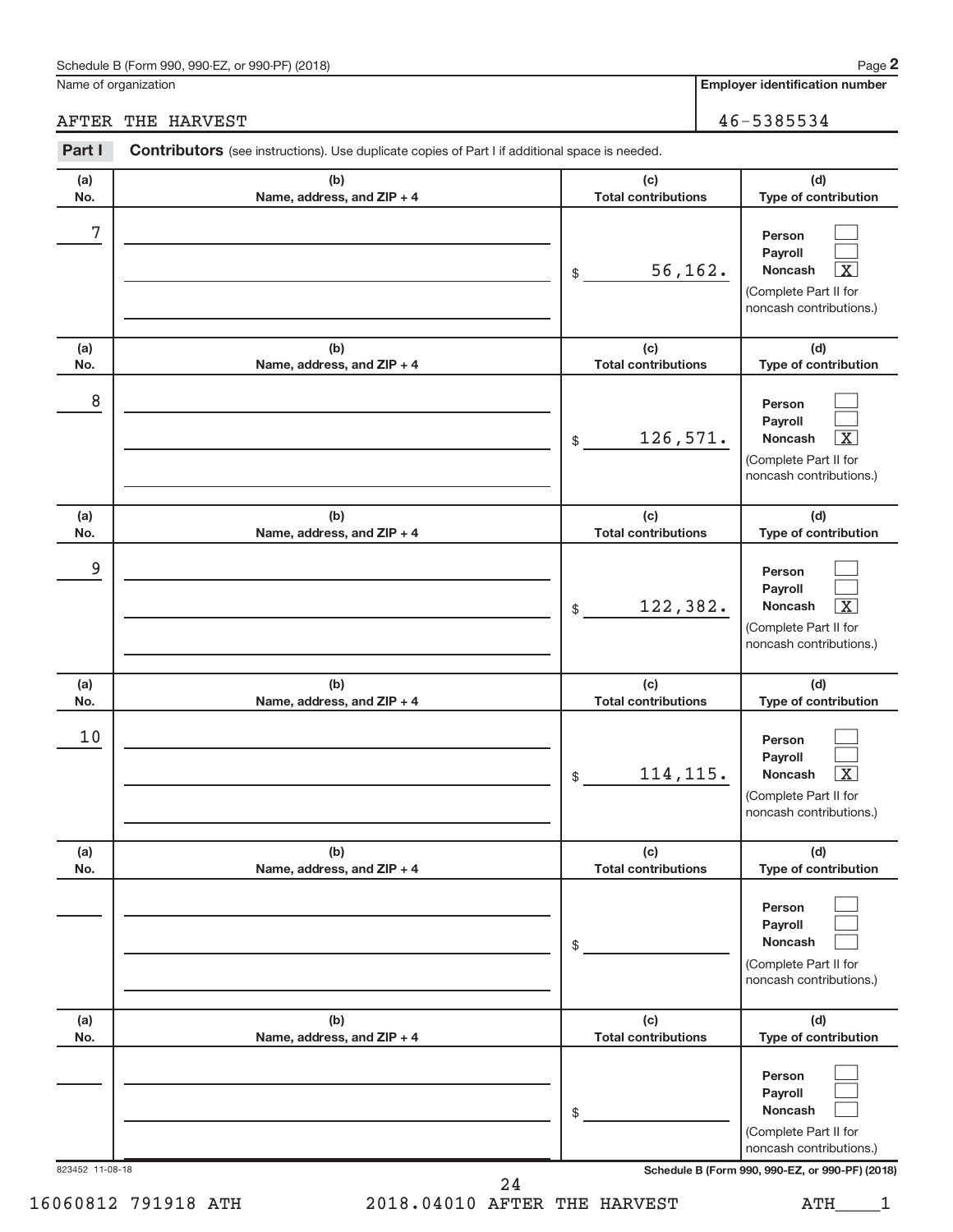#### Schedule B (Form 990, 990-EZ, or 990-PF) (2018)

Name of organization

**2**

**Employer identification number**

AFTER THE HARVEST 46-5385534

| Part I          | <b>Contributors</b> (see instructions). Use duplicate copies of Part I if additional space is needed. |                                   |                                                                                                                  |
|-----------------|-------------------------------------------------------------------------------------------------------|-----------------------------------|------------------------------------------------------------------------------------------------------------------|
| (a)<br>No.      | (b)<br>Name, address, and ZIP + 4                                                                     | (c)<br><b>Total contributions</b> | (d)<br>Type of contribution                                                                                      |
| 7               |                                                                                                       | 56, 162.<br>\$                    | Person<br>Payroll<br>$\overline{\text{X}}$<br><b>Noncash</b><br>(Complete Part II for<br>noncash contributions.) |
| (a)<br>No.      | (b)<br>Name, address, and ZIP + 4                                                                     | (c)<br><b>Total contributions</b> | (d)<br>Type of contribution                                                                                      |
| 8               |                                                                                                       | 126,571.<br>\$                    | Person<br>Payroll<br>$\overline{\text{X}}$<br><b>Noncash</b><br>(Complete Part II for<br>noncash contributions.) |
| (a)<br>No.      | (b)<br>Name, address, and ZIP + 4                                                                     | (c)<br><b>Total contributions</b> | (d)<br>Type of contribution                                                                                      |
| 9               |                                                                                                       | 122,382.<br>\$                    | Person<br>Payroll<br>$\overline{\text{X}}$<br><b>Noncash</b><br>(Complete Part II for<br>noncash contributions.) |
| (a)<br>No.      | (b)<br>Name, address, and ZIP + 4                                                                     | (c)<br><b>Total contributions</b> | (d)<br>Type of contribution                                                                                      |
| 10              |                                                                                                       | 114, 115.<br>\$                   | Person<br>Payroll<br>$\overline{\text{X}}$<br><b>Noncash</b><br>(Complete Part II for<br>noncash contributions.) |
| (a)<br>No.      | (b)<br>Name, address, and ZIP + 4                                                                     | (c)<br><b>Total contributions</b> | (d)<br>Type of contribution                                                                                      |
|                 |                                                                                                       | \$                                | Person<br>Payroll<br><b>Noncash</b><br>(Complete Part II for<br>noncash contributions.)                          |
| (a)<br>No.      | (b)<br>Name, address, and ZIP + 4                                                                     | (c)<br><b>Total contributions</b> | (d)<br>Type of contribution                                                                                      |
|                 |                                                                                                       | \$                                | Person<br>Payroll<br><b>Noncash</b><br>(Complete Part II for<br>noncash contributions.)                          |
| 823452 11-08-18 | 24                                                                                                    |                                   | Schedule B (Form 990, 990-EZ, or 990-PF) (2018)                                                                  |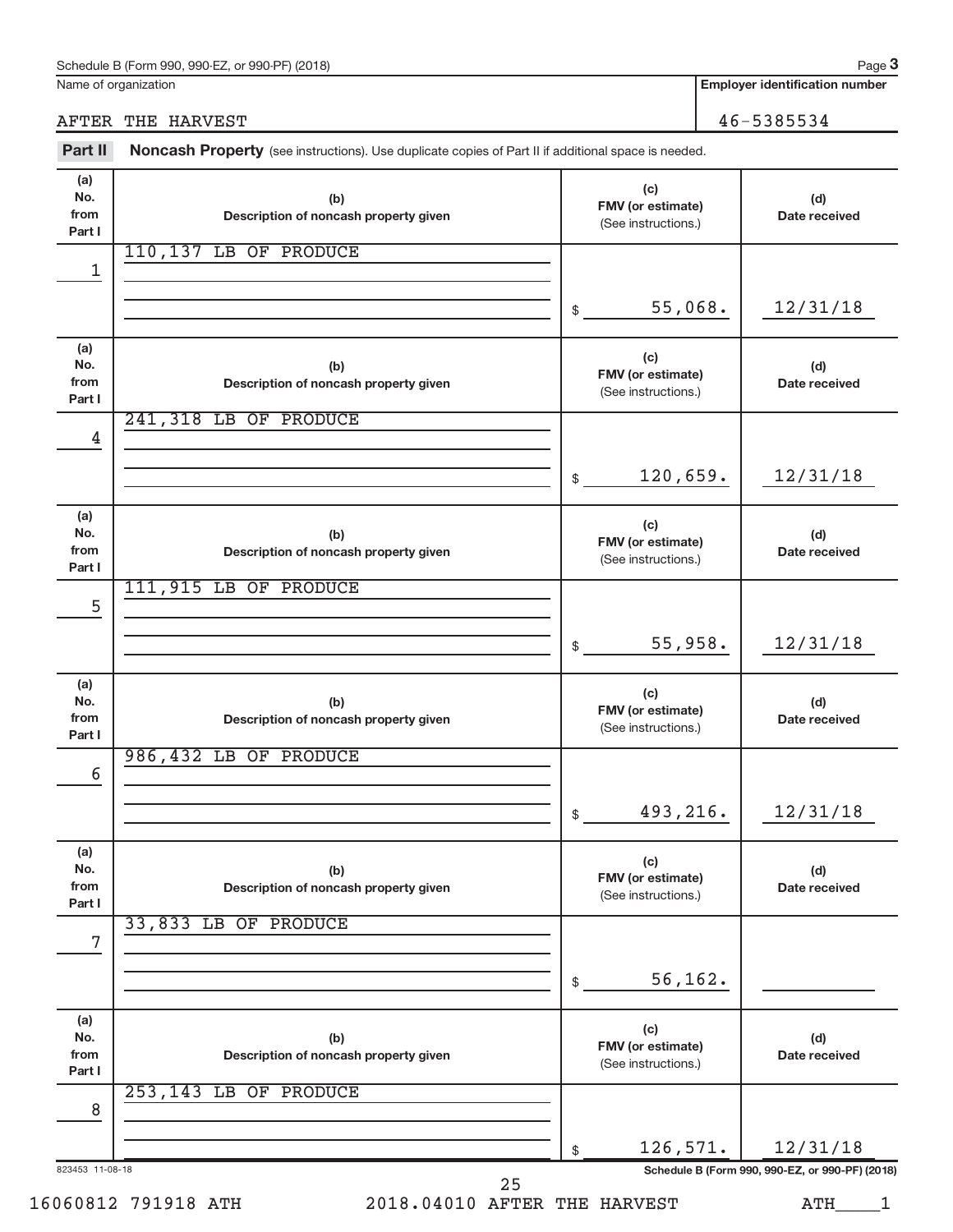| Schedule B (Form 990,<br>. or 990-PF)<br>990-EZ<br>(2018) | Page |
|-----------------------------------------------------------|------|
|                                                           |      |

Name of organization

**Employer identification number**

### AFTER THE HARVEST 46-5385534

Part II Noncash Property (see instructions). Use duplicate copies of Part II if additional space is needed.

| (a)<br>No.<br>from<br>Part I | (b)<br>Description of noncash property given                             | (c)<br>FMV (or estimate)<br>(See instructions.) | (d)<br>Date received |  |  |
|------------------------------|--------------------------------------------------------------------------|-------------------------------------------------|----------------------|--|--|
| 1                            | 110,137 LB OF PRODUCE                                                    |                                                 |                      |  |  |
|                              |                                                                          |                                                 |                      |  |  |
|                              |                                                                          | 55,068.<br>\$                                   | 12/31/18             |  |  |
| (a)<br>No.<br>from<br>Part I | (b)<br>Description of noncash property given                             | (c)<br>FMV (or estimate)<br>(See instructions.) | (d)<br>Date received |  |  |
| 4                            | 241,318 LB OF PRODUCE                                                    |                                                 |                      |  |  |
|                              |                                                                          |                                                 |                      |  |  |
|                              |                                                                          | 120,659.<br>\$                                  | 12/31/18             |  |  |
| (a)<br>No.<br>from<br>Part I | (b)<br>Description of noncash property given                             | (c)<br>FMV (or estimate)<br>(See instructions.) | (d)<br>Date received |  |  |
| 5                            | 111,915 LB OF PRODUCE                                                    |                                                 |                      |  |  |
|                              |                                                                          |                                                 |                      |  |  |
|                              |                                                                          | 55,958.<br>\$                                   | 12/31/18             |  |  |
| (a)<br>No.<br>from<br>Part I | (b)<br>Description of noncash property given                             | (c)<br>FMV (or estimate)<br>(See instructions.) | (d)<br>Date received |  |  |
|                              | 986,432 LB OF PRODUCE                                                    |                                                 |                      |  |  |
| 6                            |                                                                          |                                                 |                      |  |  |
|                              |                                                                          | 493,216.<br>\$                                  | 12/31/18             |  |  |
| (a)<br>No.<br>from<br>Part I | (b)<br>Description of noncash property given                             | (c)<br>FMV (or estimate)<br>(See instructions.) | (d)<br>Date received |  |  |
| 7                            | 33,833 LB OF PRODUCE                                                     |                                                 |                      |  |  |
|                              |                                                                          |                                                 |                      |  |  |
|                              |                                                                          | 56,162.<br>\$                                   |                      |  |  |
| (a)<br>No.<br>from<br>Part I | (b)<br>Description of noncash property given                             | (c)<br>FMV (or estimate)<br>(See instructions.) | (d)<br>Date received |  |  |
| 8                            | 253,143 LB OF PRODUCE                                                    |                                                 |                      |  |  |
|                              |                                                                          |                                                 |                      |  |  |
|                              |                                                                          | 126,571.<br>\$                                  | 12/31/18             |  |  |
|                              | Schedule B (Form 990, 990-EZ, or 990-PF) (2018)<br>823453 11-08-18<br>25 |                                                 |                      |  |  |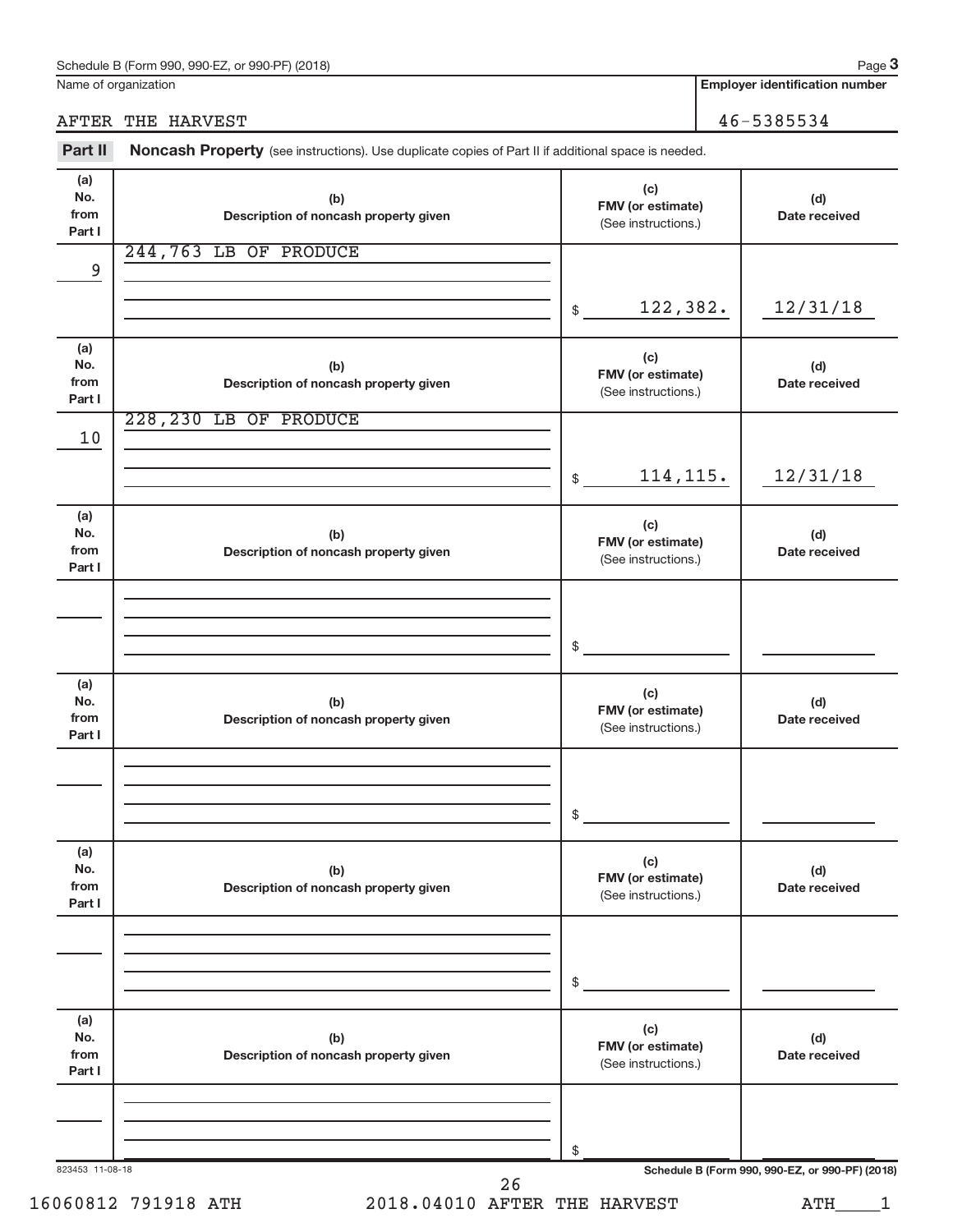|                              | AFTER THE HARVEST                                                                                   |                                                 | 46-5385534           |
|------------------------------|-----------------------------------------------------------------------------------------------------|-------------------------------------------------|----------------------|
| Part II                      | Noncash Property (see instructions). Use duplicate copies of Part II if additional space is needed. |                                                 |                      |
| (a)<br>No.<br>from<br>Part I | (b)<br>Description of noncash property given                                                        | (c)<br>FMV (or estimate)<br>(See instructions.) | (d)<br>Date received |
| 9                            | 244,763 LB OF PRODUCE                                                                               |                                                 |                      |
|                              |                                                                                                     | 122,382.<br>$$\mathbb{S}$$                      | 12/31/18             |
| (a)<br>No.<br>from<br>Part I | (b)<br>Description of noncash property given                                                        | (c)<br>FMV (or estimate)<br>(See instructions.) | (d)<br>Date received |
| 10                           | 228, 230 LB OF PRODUCE                                                                              |                                                 |                      |
|                              |                                                                                                     | 114, 115.<br>$$\mathbb{S}$$                     | 12/31/18             |
| (a)<br>No.<br>from<br>Part I | (b)<br>Description of noncash property given                                                        | (c)<br>FMV (or estimate)<br>(See instructions.) | (d)<br>Date received |
|                              |                                                                                                     |                                                 |                      |
|                              |                                                                                                     | \$                                              |                      |
| (a)<br>No.<br>from<br>Part I | (b)<br>Description of noncash property given                                                        | (c)<br>FMV (or estimate)<br>(See instructions.) | (d)<br>Date received |
|                              |                                                                                                     |                                                 |                      |
|                              |                                                                                                     | \$                                              |                      |
| (a)<br>No.<br>from<br>Part I | (b)<br>Description of noncash property given                                                        | (c)<br>FMV (or estimate)<br>(See instructions.) | (d)<br>Date received |
|                              |                                                                                                     |                                                 |                      |
|                              |                                                                                                     | \$                                              |                      |
| (a)<br>No.<br>from<br>Part I | (b)<br>Description of noncash property given                                                        | (c)<br>FMV (or estimate)<br>(See instructions.) | (d)<br>Date received |
|                              |                                                                                                     |                                                 |                      |
|                              |                                                                                                     | \$                                              |                      |

Name of organization

**Employer identification number**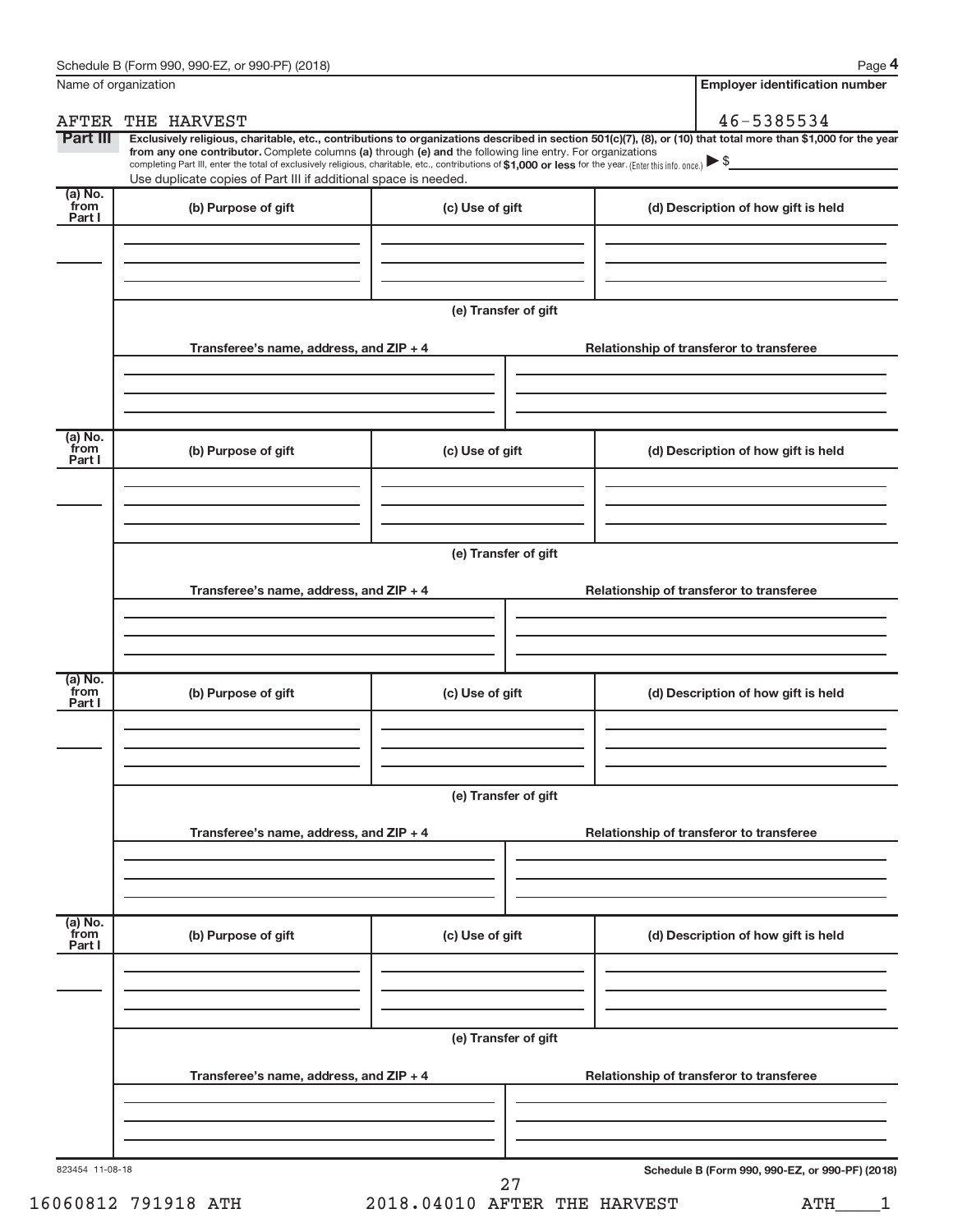**4**

| Name of organization        |                                                                                                                                                                                                                                                                                                                                                                    |                      | <b>Employer identification number</b>                                                                                                                          |  |  |
|-----------------------------|--------------------------------------------------------------------------------------------------------------------------------------------------------------------------------------------------------------------------------------------------------------------------------------------------------------------------------------------------------------------|----------------------|----------------------------------------------------------------------------------------------------------------------------------------------------------------|--|--|
| AFTER                       | THE HARVEST                                                                                                                                                                                                                                                                                                                                                        |                      | 46-5385534                                                                                                                                                     |  |  |
| Part III                    | from any one contributor. Complete columns (a) through (e) and the following line entry. For organizations<br>completing Part III, enter the total of exclusively religious, charitable, etc., contributions of \$1,000 or less for the year. (Enter this info. once.) $\blacktriangleright$ \$<br>Use duplicate copies of Part III if additional space is needed. |                      | Exclusively religious, charitable, etc., contributions to organizations described in section 501(c)(7), (8), or (10) that total more than \$1,000 for the year |  |  |
| (a) No.<br>from<br>Part I   | (b) Purpose of gift                                                                                                                                                                                                                                                                                                                                                | (c) Use of gift      | (d) Description of how gift is held                                                                                                                            |  |  |
|                             |                                                                                                                                                                                                                                                                                                                                                                    |                      |                                                                                                                                                                |  |  |
|                             |                                                                                                                                                                                                                                                                                                                                                                    | (e) Transfer of gift |                                                                                                                                                                |  |  |
|                             | Transferee's name, address, and ZIP + 4                                                                                                                                                                                                                                                                                                                            |                      | Relationship of transferor to transferee                                                                                                                       |  |  |
|                             |                                                                                                                                                                                                                                                                                                                                                                    |                      |                                                                                                                                                                |  |  |
| $(a)$ No.<br>from<br>Part I | (b) Purpose of gift                                                                                                                                                                                                                                                                                                                                                | (c) Use of gift      | (d) Description of how gift is held                                                                                                                            |  |  |
|                             |                                                                                                                                                                                                                                                                                                                                                                    |                      |                                                                                                                                                                |  |  |
|                             | (e) Transfer of gift                                                                                                                                                                                                                                                                                                                                               |                      |                                                                                                                                                                |  |  |
|                             | Transferee's name, address, and ZIP + 4                                                                                                                                                                                                                                                                                                                            |                      | Relationship of transferor to transferee                                                                                                                       |  |  |
|                             |                                                                                                                                                                                                                                                                                                                                                                    |                      |                                                                                                                                                                |  |  |
| $(a)$ No.<br>from<br>Part I | (b) Purpose of gift                                                                                                                                                                                                                                                                                                                                                | (c) Use of gift      | (d) Description of how gift is held                                                                                                                            |  |  |
|                             |                                                                                                                                                                                                                                                                                                                                                                    |                      |                                                                                                                                                                |  |  |
|                             | (e) Transfer of gift                                                                                                                                                                                                                                                                                                                                               |                      |                                                                                                                                                                |  |  |
|                             | Transferee's name, address, and ZIP + 4                                                                                                                                                                                                                                                                                                                            |                      | Relationship of transferor to transferee                                                                                                                       |  |  |
| (a) No.<br>from             |                                                                                                                                                                                                                                                                                                                                                                    |                      |                                                                                                                                                                |  |  |
| Part I                      | (b) Purpose of gift                                                                                                                                                                                                                                                                                                                                                | (c) Use of gift      | (d) Description of how gift is held                                                                                                                            |  |  |
|                             |                                                                                                                                                                                                                                                                                                                                                                    |                      |                                                                                                                                                                |  |  |
|                             | Transferee's name, address, and ZIP + 4                                                                                                                                                                                                                                                                                                                            | (e) Transfer of gift | Relationship of transferor to transferee                                                                                                                       |  |  |
|                             |                                                                                                                                                                                                                                                                                                                                                                    |                      |                                                                                                                                                                |  |  |
|                             |                                                                                                                                                                                                                                                                                                                                                                    |                      |                                                                                                                                                                |  |  |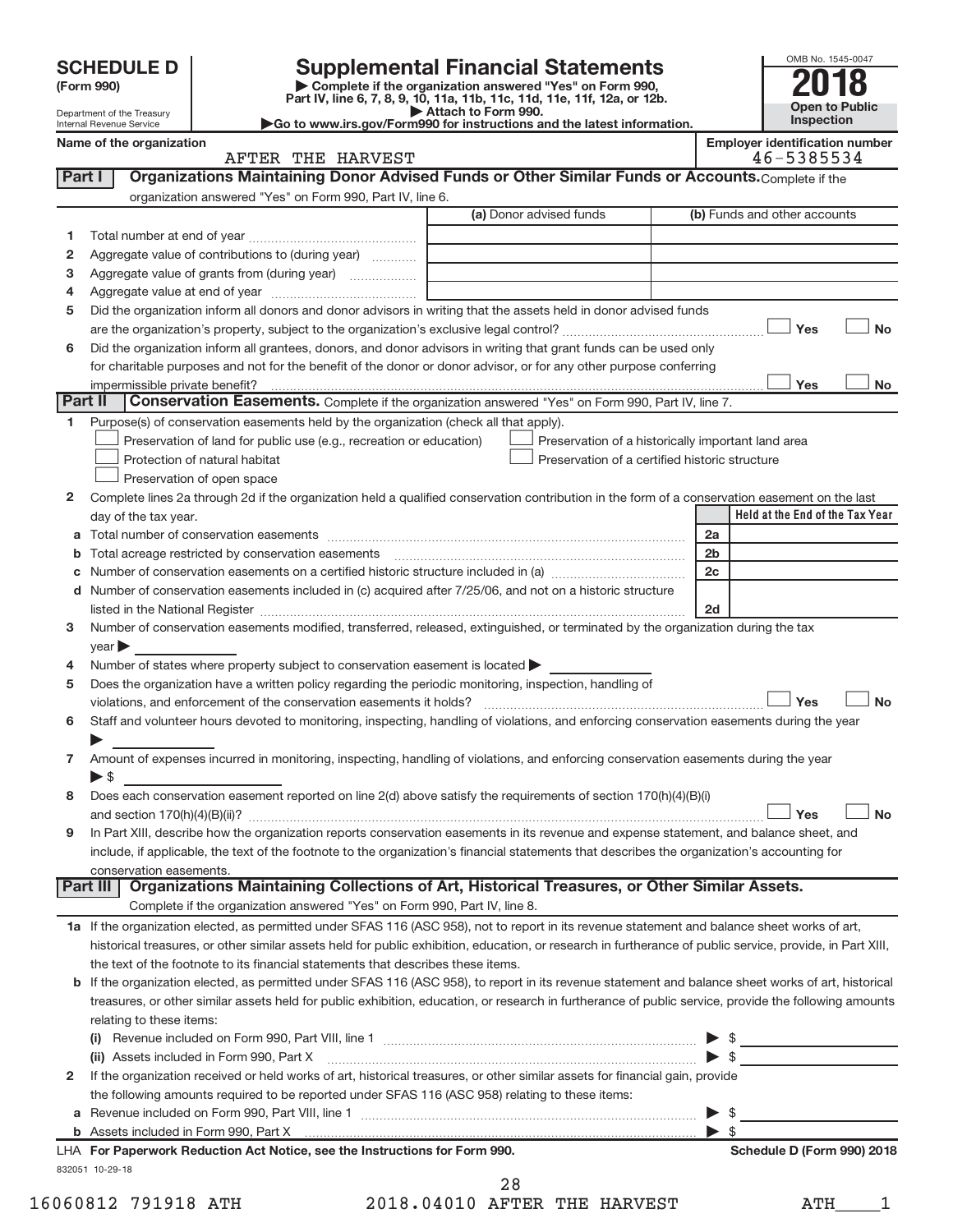| <b>SCHEDULE D</b> |  |  |  |
|-------------------|--|--|--|
|-------------------|--|--|--|

| (Form 990) |  |
|------------|--|
|------------|--|

# SCHEDULE D<br> **Supplemental Financial Statements**<br> **Example is the organization answered "Yes" on Form 990.**

(Form 990)<br>
Pepartment of the Treasury<br>
Department of the Treasury<br>
Department of the Treasury<br>
Department of the Treasury<br> **Co to www.irs.gov/Form990 for instructions and the latest information.**<br> **Co to www.irs.gov/Form9** 



Department of the Treasury Internal Revenue Service

|  | <b>Employer identification numbe</b> |  |
|--|--------------------------------------|--|
|  | $17 - 222 - 21$                      |  |

|         | Name of the organization<br>AFTER THE HARVEST                                                                                                             | <b>Employer identification number</b><br>46-5385534 |
|---------|-----------------------------------------------------------------------------------------------------------------------------------------------------------|-----------------------------------------------------|
| Part I  | Organizations Maintaining Donor Advised Funds or Other Similar Funds or Accounts. Complete if the                                                         |                                                     |
|         | organization answered "Yes" on Form 990, Part IV, line 6.                                                                                                 |                                                     |
|         | (a) Donor advised funds                                                                                                                                   | (b) Funds and other accounts                        |
|         |                                                                                                                                                           |                                                     |
| 1.      | Aggregate value of contributions to (during year)                                                                                                         |                                                     |
| 2       |                                                                                                                                                           |                                                     |
| з       | Aggregate value of grants from (during year)                                                                                                              |                                                     |
| 4       |                                                                                                                                                           |                                                     |
| 5       | Did the organization inform all donors and donor advisors in writing that the assets held in donor advised funds                                          |                                                     |
|         |                                                                                                                                                           | Yes<br><b>No</b>                                    |
| 6       | Did the organization inform all grantees, donors, and donor advisors in writing that grant funds can be used only                                         |                                                     |
|         | for charitable purposes and not for the benefit of the donor or donor advisor, or for any other purpose conferring                                        |                                                     |
|         | impermissible private benefit?                                                                                                                            | Yes<br>No                                           |
| Part II | <b>Conservation Easements.</b> Complete if the organization answered "Yes" on Form 990, Part IV, line 7.                                                  |                                                     |
| 1       | Purpose(s) of conservation easements held by the organization (check all that apply).                                                                     |                                                     |
|         | Preservation of land for public use (e.g., recreation or education)<br>Preservation of a historically important land area                                 |                                                     |
|         | Protection of natural habitat<br>Preservation of a certified historic structure                                                                           |                                                     |
|         | Preservation of open space                                                                                                                                |                                                     |
| 2       | Complete lines 2a through 2d if the organization held a qualified conservation contribution in the form of a conservation easement on the last            |                                                     |
|         | day of the tax year.                                                                                                                                      | Held at the End of the Tax Year                     |
| a       |                                                                                                                                                           | 2a                                                  |
| b       |                                                                                                                                                           | 2 <sub>b</sub>                                      |
| c       |                                                                                                                                                           | 2c                                                  |
| d       | Number of conservation easements included in (c) acquired after 7/25/06, and not on a historic structure                                                  |                                                     |
|         |                                                                                                                                                           | 2d                                                  |
| 3       | Number of conservation easements modified, transferred, released, extinguished, or terminated by the organization during the tax                          |                                                     |
|         | year                                                                                                                                                      |                                                     |
| 4       | Number of states where property subject to conservation easement is located $\blacktriangleright$                                                         |                                                     |
| 5       | Does the organization have a written policy regarding the periodic monitoring, inspection, handling of                                                    |                                                     |
|         | violations, and enforcement of the conservation easements it holds?                                                                                       | Yes<br><b>No</b>                                    |
| 6       | Staff and volunteer hours devoted to monitoring, inspecting, handling of violations, and enforcing conservation easements during the year                 |                                                     |
|         |                                                                                                                                                           |                                                     |
| 7.      | Amount of expenses incurred in monitoring, inspecting, handling of violations, and enforcing conservation easements during the year                       |                                                     |
|         | $\blacktriangleright$ \$                                                                                                                                  |                                                     |
| 8       | Does each conservation easement reported on line $2(d)$ above satisfy the requirements of section $170(h)(4)(B)(i)$                                       |                                                     |
|         |                                                                                                                                                           | Yes<br><b>No</b>                                    |
| 9       | In Part XIII, describe how the organization reports conservation easements in its revenue and expense statement, and balance sheet, and                   |                                                     |
|         | include, if applicable, the text of the footnote to the organization's financial statements that describes the organization's accounting for              |                                                     |
|         | conservation easements.                                                                                                                                   |                                                     |
|         | Organizations Maintaining Collections of Art, Historical Treasures, or Other Similar Assets.<br>Part III                                                  |                                                     |
|         | Complete if the organization answered "Yes" on Form 990, Part IV, line 8.                                                                                 |                                                     |
|         | 1a If the organization elected, as permitted under SFAS 116 (ASC 958), not to report in its revenue statement and balance sheet works of art,             |                                                     |
|         | historical treasures, or other similar assets held for public exhibition, education, or research in furtherance of public service, provide, in Part XIII, |                                                     |
|         | the text of the footnote to its financial statements that describes these items.                                                                          |                                                     |
|         | b If the organization elected, as permitted under SFAS 116 (ASC 958), to report in its revenue statement and balance sheet works of art, historical       |                                                     |
|         | treasures, or other similar assets held for public exhibition, education, or research in furtherance of public service, provide the following amounts     |                                                     |
|         | relating to these items:                                                                                                                                  |                                                     |
|         |                                                                                                                                                           | $\triangleright$ \$                                 |
|         | (ii) Assets included in Form 990, Part X                                                                                                                  | $\blacktriangleright$ \$                            |
| 2       | If the organization received or held works of art, historical treasures, or other similar assets for financial gain, provide                              |                                                     |
|         | the following amounts required to be reported under SFAS 116 (ASC 958) relating to these items:                                                           |                                                     |
| а       |                                                                                                                                                           | $\triangleright$ \$                                 |
|         |                                                                                                                                                           | $\triangleright$ \$                                 |

832051 10-29-18 LHA For Paperwork Reduction Act Notice, see the Instructions for Form 990. Shedule D (Form 990) 2018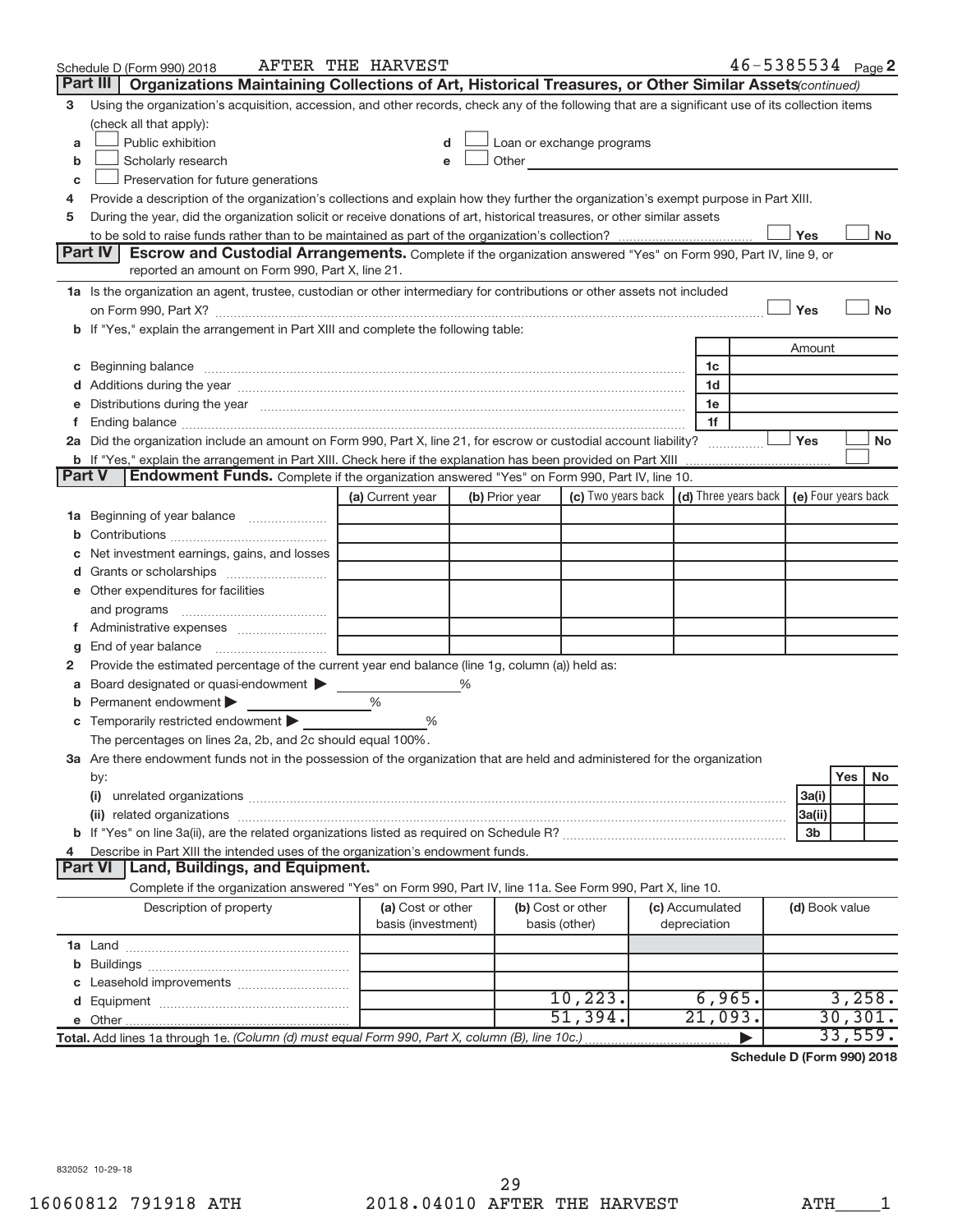|        | Schedule D (Form 990) 2018                                                                                                                                                                                                     | AFTER THE HARVEST  |   |                |                                                                                                                                                                                                                                 |                 |                | $46 - 5385534$ Page 2 |
|--------|--------------------------------------------------------------------------------------------------------------------------------------------------------------------------------------------------------------------------------|--------------------|---|----------------|---------------------------------------------------------------------------------------------------------------------------------------------------------------------------------------------------------------------------------|-----------------|----------------|-----------------------|
|        | Part III   Organizations Maintaining Collections of Art, Historical Treasures, or Other Similar Assets(continued)                                                                                                              |                    |   |                |                                                                                                                                                                                                                                 |                 |                |                       |
| 3      | Using the organization's acquisition, accession, and other records, check any of the following that are a significant use of its collection items                                                                              |                    |   |                |                                                                                                                                                                                                                                 |                 |                |                       |
|        | (check all that apply):                                                                                                                                                                                                        |                    |   |                |                                                                                                                                                                                                                                 |                 |                |                       |
| a      | Public exhibition                                                                                                                                                                                                              | d                  |   |                | Loan or exchange programs                                                                                                                                                                                                       |                 |                |                       |
| b      | Scholarly research                                                                                                                                                                                                             | e                  |   |                | Other and the contract of the contract of the contract of the contract of the contract of the contract of the contract of the contract of the contract of the contract of the contract of the contract of the contract of the c |                 |                |                       |
| C      | Preservation for future generations                                                                                                                                                                                            |                    |   |                |                                                                                                                                                                                                                                 |                 |                |                       |
| 4      | Provide a description of the organization's collections and explain how they further the organization's exempt purpose in Part XIII.                                                                                           |                    |   |                |                                                                                                                                                                                                                                 |                 |                |                       |
| 5      | During the year, did the organization solicit or receive donations of art, historical treasures, or other similar assets                                                                                                       |                    |   |                |                                                                                                                                                                                                                                 |                 |                |                       |
|        |                                                                                                                                                                                                                                |                    |   |                |                                                                                                                                                                                                                                 |                 | Yes            | No.                   |
|        | <b>Part IV</b><br>Escrow and Custodial Arrangements. Complete if the organization answered "Yes" on Form 990, Part IV, line 9, or                                                                                              |                    |   |                |                                                                                                                                                                                                                                 |                 |                |                       |
|        | reported an amount on Form 990, Part X, line 21.                                                                                                                                                                               |                    |   |                |                                                                                                                                                                                                                                 |                 |                |                       |
|        | 1a Is the organization an agent, trustee, custodian or other intermediary for contributions or other assets not included                                                                                                       |                    |   |                |                                                                                                                                                                                                                                 |                 |                |                       |
|        |                                                                                                                                                                                                                                |                    |   |                |                                                                                                                                                                                                                                 |                 | Yes            | <b>No</b>             |
|        | If "Yes," explain the arrangement in Part XIII and complete the following table:                                                                                                                                               |                    |   |                |                                                                                                                                                                                                                                 |                 |                |                       |
|        |                                                                                                                                                                                                                                |                    |   |                |                                                                                                                                                                                                                                 |                 | Amount         |                       |
|        | Beginning balance manufactured and contain an account of the state of the state of the state of the state of the state of the state of the state of the state of the state of the state of the state of the state of the state |                    |   |                |                                                                                                                                                                                                                                 | 1c              |                |                       |
|        | Additions during the year manufactured and an annual contract of the year manufactured and a set of the year manufactured and a set of the year manufactured and a set of the year manufactured and a set of the year manufact |                    |   |                |                                                                                                                                                                                                                                 | 1d              |                |                       |
|        | Distributions during the year manufactured and continuum and continuum and the year manufactured and continuum                                                                                                                 |                    |   |                |                                                                                                                                                                                                                                 | 1e              |                |                       |
|        |                                                                                                                                                                                                                                |                    |   |                |                                                                                                                                                                                                                                 | 1f              |                |                       |
|        | 2a Did the organization include an amount on Form 990, Part X, line 21, for escrow or custodial account liability?                                                                                                             |                    |   |                |                                                                                                                                                                                                                                 |                 | Yes            | No                    |
|        | <b>b</b> If "Yes," explain the arrangement in Part XIII. Check here if the explanation has been provided on Part XIII<br><b>Endowment Funds.</b> Complete if the organization answered "Yes" on Form 990, Part IV, line 10.    |                    |   |                |                                                                                                                                                                                                                                 |                 |                |                       |
| Part V |                                                                                                                                                                                                                                |                    |   |                |                                                                                                                                                                                                                                 |                 |                |                       |
|        |                                                                                                                                                                                                                                | (a) Current year   |   | (b) Prior year | (c) Two years back $\vert$ (d) Three years back $\vert$ (e) Four years back                                                                                                                                                     |                 |                |                       |
| 1а     | Beginning of year balance                                                                                                                                                                                                      |                    |   |                |                                                                                                                                                                                                                                 |                 |                |                       |
|        |                                                                                                                                                                                                                                |                    |   |                |                                                                                                                                                                                                                                 |                 |                |                       |
|        | Net investment earnings, gains, and losses                                                                                                                                                                                     |                    |   |                |                                                                                                                                                                                                                                 |                 |                |                       |
|        | Grants or scholarships                                                                                                                                                                                                         |                    |   |                |                                                                                                                                                                                                                                 |                 |                |                       |
|        | e Other expenditures for facilities                                                                                                                                                                                            |                    |   |                |                                                                                                                                                                                                                                 |                 |                |                       |
|        | and programs                                                                                                                                                                                                                   |                    |   |                |                                                                                                                                                                                                                                 |                 |                |                       |
|        |                                                                                                                                                                                                                                |                    |   |                |                                                                                                                                                                                                                                 |                 |                |                       |
| 2      | End of year balance<br>Provide the estimated percentage of the current year end balance (line 1g, column (a)) held as:                                                                                                         |                    |   |                |                                                                                                                                                                                                                                 |                 |                |                       |
|        | Board designated or quasi-endowment                                                                                                                                                                                            |                    | % |                |                                                                                                                                                                                                                                 |                 |                |                       |
| b      | Permanent endowment                                                                                                                                                                                                            | %                  |   |                |                                                                                                                                                                                                                                 |                 |                |                       |
| С      | Temporarily restricted endowment                                                                                                                                                                                               | ℅                  |   |                |                                                                                                                                                                                                                                 |                 |                |                       |
|        | The percentages on lines 2a, 2b, and 2c should equal 100%.                                                                                                                                                                     |                    |   |                |                                                                                                                                                                                                                                 |                 |                |                       |
|        | 3a Are there endowment funds not in the possession of the organization that are held and administered for the organization                                                                                                     |                    |   |                |                                                                                                                                                                                                                                 |                 |                |                       |
|        | by:                                                                                                                                                                                                                            |                    |   |                |                                                                                                                                                                                                                                 |                 |                | Yes<br>No             |
|        | (i)                                                                                                                                                                                                                            |                    |   |                |                                                                                                                                                                                                                                 |                 | 3a(i)          |                       |
|        | (ii) related organizations                                                                                                                                                                                                     |                    |   |                |                                                                                                                                                                                                                                 |                 | 3a(ii)         |                       |
|        |                                                                                                                                                                                                                                |                    |   |                |                                                                                                                                                                                                                                 |                 | 3b             |                       |
|        | Describe in Part XIII the intended uses of the organization's endowment funds.                                                                                                                                                 |                    |   |                |                                                                                                                                                                                                                                 |                 |                |                       |
|        | Land, Buildings, and Equipment.<br><b>Part VI</b>                                                                                                                                                                              |                    |   |                |                                                                                                                                                                                                                                 |                 |                |                       |
|        | Complete if the organization answered "Yes" on Form 990, Part IV, line 11a. See Form 990, Part X, line 10.                                                                                                                     |                    |   |                |                                                                                                                                                                                                                                 |                 |                |                       |
|        | Description of property                                                                                                                                                                                                        | (a) Cost or other  |   |                | (b) Cost or other                                                                                                                                                                                                               | (c) Accumulated | (d) Book value |                       |
|        |                                                                                                                                                                                                                                | basis (investment) |   |                | basis (other)                                                                                                                                                                                                                   | depreciation    |                |                       |
|        |                                                                                                                                                                                                                                |                    |   |                |                                                                                                                                                                                                                                 |                 |                |                       |
| b      |                                                                                                                                                                                                                                |                    |   |                |                                                                                                                                                                                                                                 |                 |                |                       |
|        |                                                                                                                                                                                                                                |                    |   |                |                                                                                                                                                                                                                                 |                 |                |                       |
|        |                                                                                                                                                                                                                                |                    |   |                | 10, 223.                                                                                                                                                                                                                        | 6,965.          |                | 3,258.                |
|        |                                                                                                                                                                                                                                |                    |   |                | 51,394.                                                                                                                                                                                                                         | 21,093.         |                | 30, 301.              |
|        | Total. Add lines 1a through 1e. (Column (d) must equal Form 990, Part X, column (B), line 10c.)                                                                                                                                |                    |   |                |                                                                                                                                                                                                                                 |                 |                | 33,559.               |

**Schedule D (Form 990) 2018**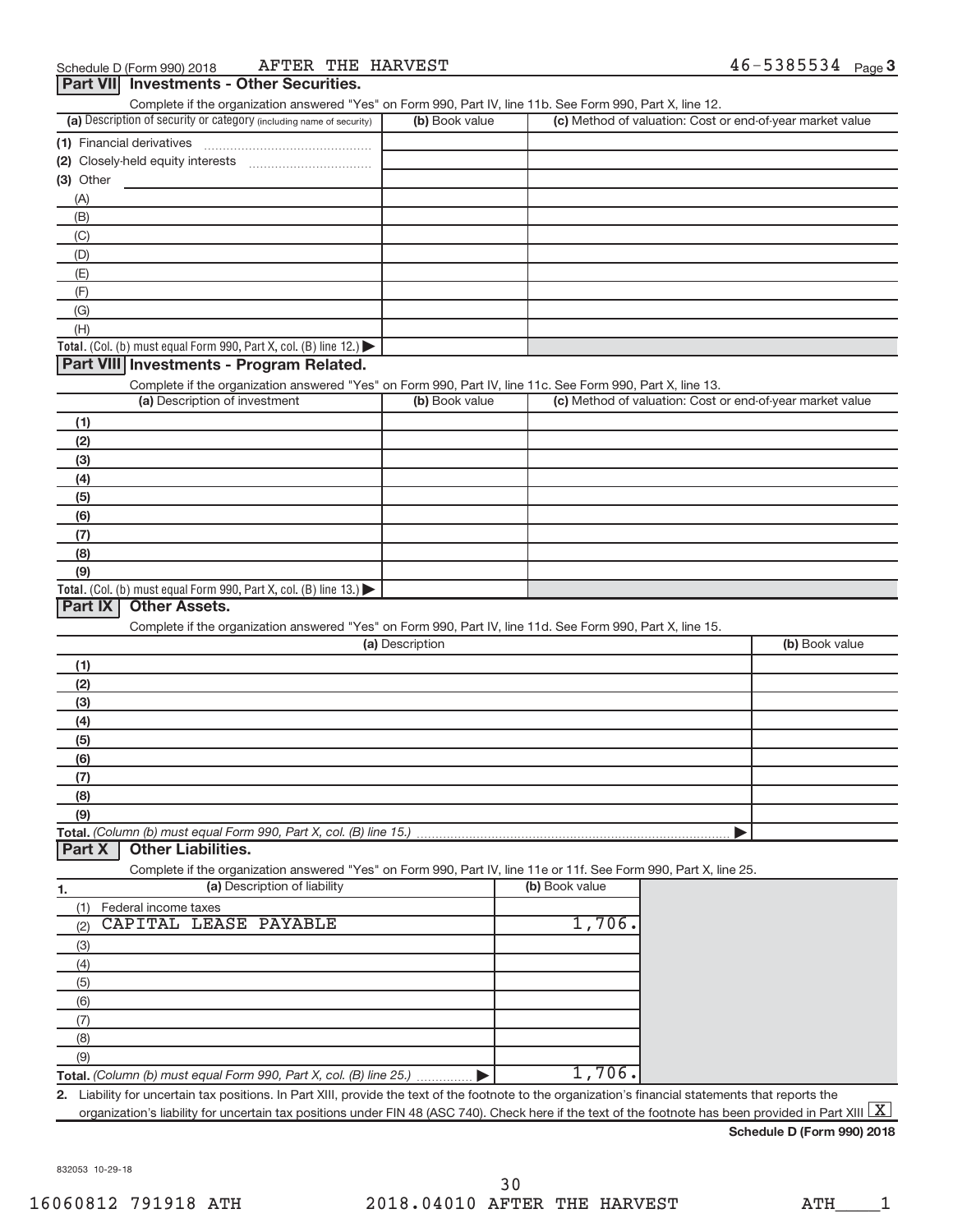| (a) Description of security or category (including name of security)<br>(1) Financial derivatives | (b) Book value                                                                                                                                                                                                                                                                                                                                          |                                                                                                                                                                               | (c) Method of valuation: Cost or end-of-year market value |                                                                                                                                                                                                                                                                                                                                                                                                                                                                                                                                                                                        |
|---------------------------------------------------------------------------------------------------|---------------------------------------------------------------------------------------------------------------------------------------------------------------------------------------------------------------------------------------------------------------------------------------------------------------------------------------------------------|-------------------------------------------------------------------------------------------------------------------------------------------------------------------------------|-----------------------------------------------------------|----------------------------------------------------------------------------------------------------------------------------------------------------------------------------------------------------------------------------------------------------------------------------------------------------------------------------------------------------------------------------------------------------------------------------------------------------------------------------------------------------------------------------------------------------------------------------------------|
|                                                                                                   |                                                                                                                                                                                                                                                                                                                                                         |                                                                                                                                                                               |                                                           |                                                                                                                                                                                                                                                                                                                                                                                                                                                                                                                                                                                        |
|                                                                                                   |                                                                                                                                                                                                                                                                                                                                                         |                                                                                                                                                                               |                                                           |                                                                                                                                                                                                                                                                                                                                                                                                                                                                                                                                                                                        |
|                                                                                                   |                                                                                                                                                                                                                                                                                                                                                         |                                                                                                                                                                               |                                                           |                                                                                                                                                                                                                                                                                                                                                                                                                                                                                                                                                                                        |
|                                                                                                   |                                                                                                                                                                                                                                                                                                                                                         |                                                                                                                                                                               |                                                           |                                                                                                                                                                                                                                                                                                                                                                                                                                                                                                                                                                                        |
|                                                                                                   |                                                                                                                                                                                                                                                                                                                                                         |                                                                                                                                                                               |                                                           |                                                                                                                                                                                                                                                                                                                                                                                                                                                                                                                                                                                        |
|                                                                                                   |                                                                                                                                                                                                                                                                                                                                                         |                                                                                                                                                                               |                                                           |                                                                                                                                                                                                                                                                                                                                                                                                                                                                                                                                                                                        |
|                                                                                                   |                                                                                                                                                                                                                                                                                                                                                         |                                                                                                                                                                               |                                                           |                                                                                                                                                                                                                                                                                                                                                                                                                                                                                                                                                                                        |
|                                                                                                   |                                                                                                                                                                                                                                                                                                                                                         |                                                                                                                                                                               |                                                           |                                                                                                                                                                                                                                                                                                                                                                                                                                                                                                                                                                                        |
|                                                                                                   |                                                                                                                                                                                                                                                                                                                                                         |                                                                                                                                                                               |                                                           |                                                                                                                                                                                                                                                                                                                                                                                                                                                                                                                                                                                        |
|                                                                                                   |                                                                                                                                                                                                                                                                                                                                                         |                                                                                                                                                                               |                                                           |                                                                                                                                                                                                                                                                                                                                                                                                                                                                                                                                                                                        |
|                                                                                                   |                                                                                                                                                                                                                                                                                                                                                         |                                                                                                                                                                               |                                                           |                                                                                                                                                                                                                                                                                                                                                                                                                                                                                                                                                                                        |
|                                                                                                   |                                                                                                                                                                                                                                                                                                                                                         |                                                                                                                                                                               |                                                           |                                                                                                                                                                                                                                                                                                                                                                                                                                                                                                                                                                                        |
|                                                                                                   |                                                                                                                                                                                                                                                                                                                                                         |                                                                                                                                                                               |                                                           |                                                                                                                                                                                                                                                                                                                                                                                                                                                                                                                                                                                        |
|                                                                                                   |                                                                                                                                                                                                                                                                                                                                                         |                                                                                                                                                                               |                                                           |                                                                                                                                                                                                                                                                                                                                                                                                                                                                                                                                                                                        |
|                                                                                                   |                                                                                                                                                                                                                                                                                                                                                         |                                                                                                                                                                               |                                                           |                                                                                                                                                                                                                                                                                                                                                                                                                                                                                                                                                                                        |
|                                                                                                   |                                                                                                                                                                                                                                                                                                                                                         |                                                                                                                                                                               |                                                           |                                                                                                                                                                                                                                                                                                                                                                                                                                                                                                                                                                                        |
|                                                                                                   |                                                                                                                                                                                                                                                                                                                                                         |                                                                                                                                                                               |                                                           |                                                                                                                                                                                                                                                                                                                                                                                                                                                                                                                                                                                        |
|                                                                                                   |                                                                                                                                                                                                                                                                                                                                                         |                                                                                                                                                                               |                                                           |                                                                                                                                                                                                                                                                                                                                                                                                                                                                                                                                                                                        |
|                                                                                                   |                                                                                                                                                                                                                                                                                                                                                         |                                                                                                                                                                               |                                                           |                                                                                                                                                                                                                                                                                                                                                                                                                                                                                                                                                                                        |
|                                                                                                   |                                                                                                                                                                                                                                                                                                                                                         |                                                                                                                                                                               |                                                           |                                                                                                                                                                                                                                                                                                                                                                                                                                                                                                                                                                                        |
|                                                                                                   |                                                                                                                                                                                                                                                                                                                                                         |                                                                                                                                                                               |                                                           |                                                                                                                                                                                                                                                                                                                                                                                                                                                                                                                                                                                        |
|                                                                                                   |                                                                                                                                                                                                                                                                                                                                                         |                                                                                                                                                                               |                                                           |                                                                                                                                                                                                                                                                                                                                                                                                                                                                                                                                                                                        |
|                                                                                                   |                                                                                                                                                                                                                                                                                                                                                         |                                                                                                                                                                               |                                                           |                                                                                                                                                                                                                                                                                                                                                                                                                                                                                                                                                                                        |
|                                                                                                   |                                                                                                                                                                                                                                                                                                                                                         |                                                                                                                                                                               |                                                           |                                                                                                                                                                                                                                                                                                                                                                                                                                                                                                                                                                                        |
|                                                                                                   |                                                                                                                                                                                                                                                                                                                                                         |                                                                                                                                                                               |                                                           |                                                                                                                                                                                                                                                                                                                                                                                                                                                                                                                                                                                        |
|                                                                                                   |                                                                                                                                                                                                                                                                                                                                                         |                                                                                                                                                                               |                                                           |                                                                                                                                                                                                                                                                                                                                                                                                                                                                                                                                                                                        |
|                                                                                                   |                                                                                                                                                                                                                                                                                                                                                         |                                                                                                                                                                               |                                                           |                                                                                                                                                                                                                                                                                                                                                                                                                                                                                                                                                                                        |
|                                                                                                   |                                                                                                                                                                                                                                                                                                                                                         |                                                                                                                                                                               |                                                           | (b) Book value                                                                                                                                                                                                                                                                                                                                                                                                                                                                                                                                                                         |
|                                                                                                   |                                                                                                                                                                                                                                                                                                                                                         |                                                                                                                                                                               |                                                           |                                                                                                                                                                                                                                                                                                                                                                                                                                                                                                                                                                                        |
|                                                                                                   |                                                                                                                                                                                                                                                                                                                                                         |                                                                                                                                                                               |                                                           |                                                                                                                                                                                                                                                                                                                                                                                                                                                                                                                                                                                        |
|                                                                                                   |                                                                                                                                                                                                                                                                                                                                                         |                                                                                                                                                                               |                                                           |                                                                                                                                                                                                                                                                                                                                                                                                                                                                                                                                                                                        |
|                                                                                                   |                                                                                                                                                                                                                                                                                                                                                         |                                                                                                                                                                               |                                                           |                                                                                                                                                                                                                                                                                                                                                                                                                                                                                                                                                                                        |
|                                                                                                   |                                                                                                                                                                                                                                                                                                                                                         |                                                                                                                                                                               |                                                           |                                                                                                                                                                                                                                                                                                                                                                                                                                                                                                                                                                                        |
|                                                                                                   |                                                                                                                                                                                                                                                                                                                                                         |                                                                                                                                                                               |                                                           |                                                                                                                                                                                                                                                                                                                                                                                                                                                                                                                                                                                        |
|                                                                                                   |                                                                                                                                                                                                                                                                                                                                                         |                                                                                                                                                                               |                                                           |                                                                                                                                                                                                                                                                                                                                                                                                                                                                                                                                                                                        |
|                                                                                                   |                                                                                                                                                                                                                                                                                                                                                         |                                                                                                                                                                               |                                                           |                                                                                                                                                                                                                                                                                                                                                                                                                                                                                                                                                                                        |
|                                                                                                   |                                                                                                                                                                                                                                                                                                                                                         |                                                                                                                                                                               |                                                           |                                                                                                                                                                                                                                                                                                                                                                                                                                                                                                                                                                                        |
|                                                                                                   |                                                                                                                                                                                                                                                                                                                                                         |                                                                                                                                                                               |                                                           |                                                                                                                                                                                                                                                                                                                                                                                                                                                                                                                                                                                        |
|                                                                                                   |                                                                                                                                                                                                                                                                                                                                                         |                                                                                                                                                                               |                                                           |                                                                                                                                                                                                                                                                                                                                                                                                                                                                                                                                                                                        |
|                                                                                                   |                                                                                                                                                                                                                                                                                                                                                         |                                                                                                                                                                               |                                                           |                                                                                                                                                                                                                                                                                                                                                                                                                                                                                                                                                                                        |
|                                                                                                   |                                                                                                                                                                                                                                                                                                                                                         |                                                                                                                                                                               |                                                           |                                                                                                                                                                                                                                                                                                                                                                                                                                                                                                                                                                                        |
|                                                                                                   |                                                                                                                                                                                                                                                                                                                                                         |                                                                                                                                                                               |                                                           |                                                                                                                                                                                                                                                                                                                                                                                                                                                                                                                                                                                        |
|                                                                                                   |                                                                                                                                                                                                                                                                                                                                                         |                                                                                                                                                                               |                                                           |                                                                                                                                                                                                                                                                                                                                                                                                                                                                                                                                                                                        |
|                                                                                                   |                                                                                                                                                                                                                                                                                                                                                         |                                                                                                                                                                               |                                                           |                                                                                                                                                                                                                                                                                                                                                                                                                                                                                                                                                                                        |
|                                                                                                   |                                                                                                                                                                                                                                                                                                                                                         |                                                                                                                                                                               |                                                           |                                                                                                                                                                                                                                                                                                                                                                                                                                                                                                                                                                                        |
|                                                                                                   |                                                                                                                                                                                                                                                                                                                                                         |                                                                                                                                                                               |                                                           |                                                                                                                                                                                                                                                                                                                                                                                                                                                                                                                                                                                        |
|                                                                                                   |                                                                                                                                                                                                                                                                                                                                                         |                                                                                                                                                                               |                                                           |                                                                                                                                                                                                                                                                                                                                                                                                                                                                                                                                                                                        |
|                                                                                                   |                                                                                                                                                                                                                                                                                                                                                         |                                                                                                                                                                               |                                                           |                                                                                                                                                                                                                                                                                                                                                                                                                                                                                                                                                                                        |
|                                                                                                   |                                                                                                                                                                                                                                                                                                                                                         |                                                                                                                                                                               |                                                           |                                                                                                                                                                                                                                                                                                                                                                                                                                                                                                                                                                                        |
|                                                                                                   |                                                                                                                                                                                                                                                                                                                                                         |                                                                                                                                                                               |                                                           |                                                                                                                                                                                                                                                                                                                                                                                                                                                                                                                                                                                        |
|                                                                                                   |                                                                                                                                                                                                                                                                                                                                                         |                                                                                                                                                                               |                                                           |                                                                                                                                                                                                                                                                                                                                                                                                                                                                                                                                                                                        |
|                                                                                                   | Total. (Col. (b) must equal Form 990, Part X, col. (B) line 12.)<br>Part VIII Investments - Program Related.<br>(a) Description of investment<br>Total. (Col. (b) must equal Form 990, Part X, col. (B) line 13.)<br><b>Other Assets.</b><br><b>Other Liabilities.</b><br>(a) Description of liability<br>Federal income taxes<br>CAPITAL LEASE PAYABLE | (b) Book value<br>(a) Description<br>Total. (Column (b) must equal Form 990, Part X, col. (B) line 15.)<br>Total. (Column (b) must equal Form 990, Part X, col. (B) line 25.) | (b) Book value                                            | Complete if the organization answered "Yes" on Form 990, Part IV, line 11c. See Form 990, Part X, line 13.<br>(c) Method of valuation: Cost or end-of-year market value<br>Complete if the organization answered "Yes" on Form 990, Part IV, line 11d. See Form 990, Part X, line 15.<br>Complete if the organization answered "Yes" on Form 990, Part IV, line 11e or 11f. See Form 990, Part X, line 25.<br>1,706.<br>1,706.<br>2. Liability for uncertain tax positions. In Part XIII, provide the text of the footnote to the organization's financial statements that reports the |

**Schedule D (Form 990) 2018**

832053 10-29-18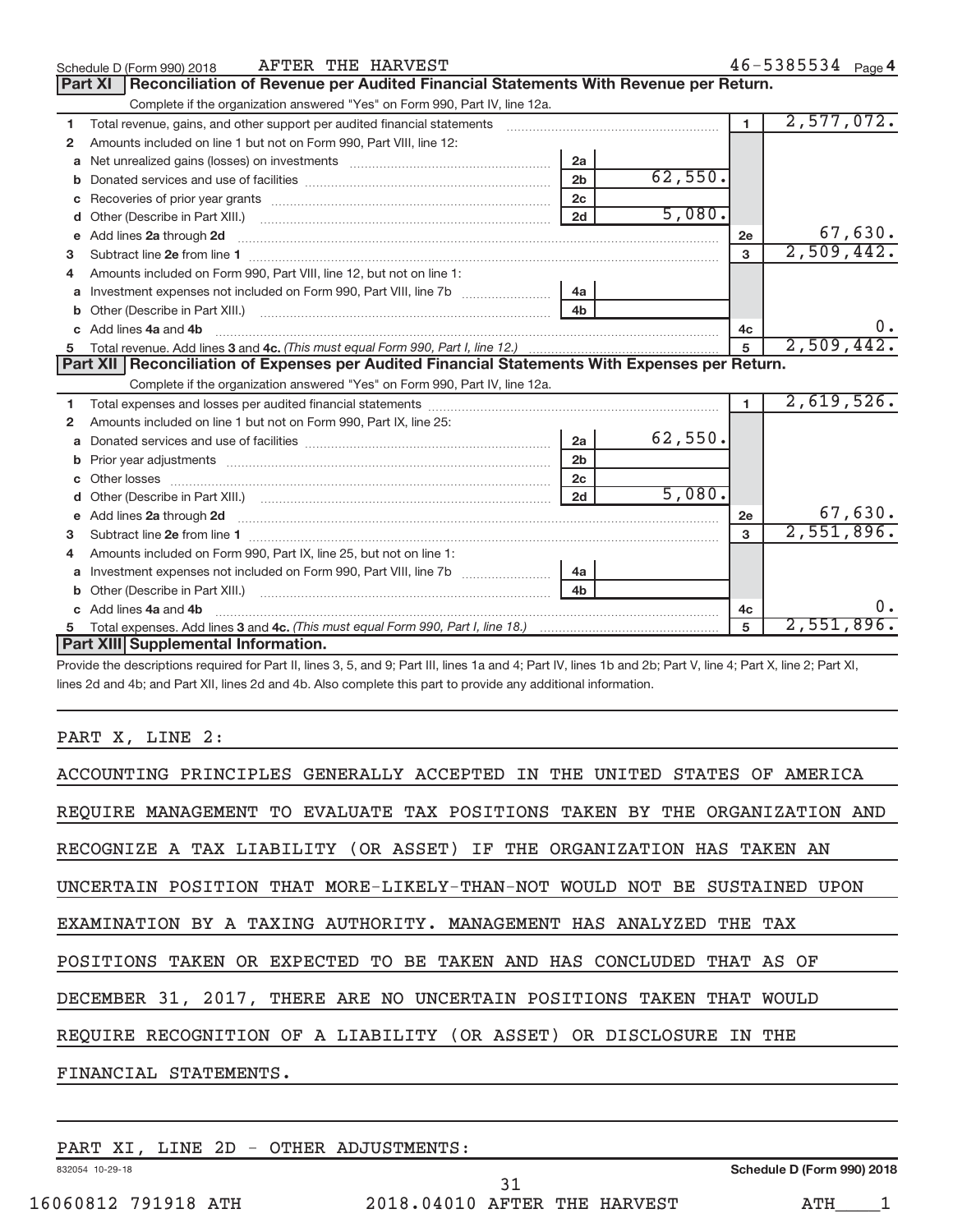|              | AFTER THE HARVEST<br>Schedule D (Form 990) 2018                                                                                                                                                                                      |                |         |                | $46 - 5385534$ Page 4 |
|--------------|--------------------------------------------------------------------------------------------------------------------------------------------------------------------------------------------------------------------------------------|----------------|---------|----------------|-----------------------|
|              | Reconciliation of Revenue per Audited Financial Statements With Revenue per Return.<br>Part XI                                                                                                                                       |                |         |                |                       |
|              | Complete if the organization answered "Yes" on Form 990, Part IV, line 12a.                                                                                                                                                          |                |         |                |                       |
| 1            | Total revenue, gains, and other support per audited financial statements [[[[[[[[[[[[[[[[[[[[[[]]]]]]]]]]]]]]                                                                                                                        |                |         | $\blacksquare$ | 2,577,072.            |
| $\mathbf{2}$ | Amounts included on line 1 but not on Form 990, Part VIII, line 12:                                                                                                                                                                  |                |         |                |                       |
| a            |                                                                                                                                                                                                                                      | 2a             |         |                |                       |
| b            |                                                                                                                                                                                                                                      | 2 <sub>b</sub> | 62,550. |                |                       |
| C            | Recoveries of prior year grants [11] matter contracts and prior year grants [11] matter contracts and a recover                                                                                                                      | 2c             |         |                |                       |
| d            |                                                                                                                                                                                                                                      | 2d             | 5,080.  |                |                       |
| e            | Add lines 2a through 2d <b>Martin Martin Martin Martin Martin Martin Martin Martin Martin Martin Martin Martin Martin Martin Martin Martin Martin Martin Martin Martin Martin Martin Martin Martin Martin Martin Martin Martin M</b> |                |         | 2e             | 67,630.               |
| з            |                                                                                                                                                                                                                                      |                |         | 3              | 2,509,442.            |
|              | Amounts included on Form 990, Part VIII, line 12, but not on line 1:                                                                                                                                                                 |                |         |                |                       |
| a            |                                                                                                                                                                                                                                      | 4a             |         |                |                       |
| b            | Other (Describe in Part XIII.) <b>Construction Contract Construction</b> Chemical Construction Chemical Chemical Chemical Chemical Chemical Chemical Chemical Chemical Chemical Chemical Chemical Chemical Chemical Chemical Chemic  | 4 <sub>b</sub> |         |                |                       |
|              | Add lines 4a and 4b                                                                                                                                                                                                                  |                |         | 4с             | $0 \cdot$             |
| 5            |                                                                                                                                                                                                                                      |                |         | 5              | 2,509,442.            |
|              | Part XII Reconciliation of Expenses per Audited Financial Statements With Expenses per Return.                                                                                                                                       |                |         |                |                       |
|              | Complete if the organization answered "Yes" on Form 990, Part IV, line 12a.                                                                                                                                                          |                |         |                |                       |
| 1            | Total expenses and losses per audited financial statements [11] contained and according to the statements [11] contained and according to the statements and experimental according to the statement of the statement of the s       |                |         | $\blacksquare$ | 2,619,526.            |
| $\mathbf{2}$ | Amounts included on line 1 but not on Form 990, Part IX, line 25:                                                                                                                                                                    |                |         |                |                       |
| a            |                                                                                                                                                                                                                                      | 2a             | 62,550. |                |                       |
| b            |                                                                                                                                                                                                                                      | 2 <sub>b</sub> |         |                |                       |
|              |                                                                                                                                                                                                                                      | 2c             |         |                |                       |
|              |                                                                                                                                                                                                                                      | 2d             | 5,080.  |                |                       |
| e            | Add lines 2a through 2d <b>contract and all anomalisation</b> and all anomalisation of the state of the state of the state of the state of the state of the state of the state of the state of the state of the state of the state   |                |         | 2e             | 67,630.               |
| 3            |                                                                                                                                                                                                                                      |                |         | 3              | 2,551,896.            |
| 4            | Amounts included on Form 990, Part IX, line 25, but not on line 1:                                                                                                                                                                   |                |         |                |                       |
| a            |                                                                                                                                                                                                                                      | 4a             |         |                |                       |
| b            |                                                                                                                                                                                                                                      | 4 <sub>h</sub> |         |                |                       |
|              | Add lines 4a and 4b                                                                                                                                                                                                                  |                |         | 4c             | 0.                    |
|              |                                                                                                                                                                                                                                      |                |         | 5              | 2,551,896.            |
|              | Part XIII Supplemental Information.                                                                                                                                                                                                  |                |         |                |                       |

Provide the descriptions required for Part II, lines 3, 5, and 9; Part III, lines 1a and 4; Part IV, lines 1b and 2b; Part V, line 4; Part X, line 2; Part XI, lines 2d and 4b; and Part XII, lines 2d and 4b. Also complete this part to provide any additional information.

#### PART X, LINE 2:

| ACCOUNTING PRINCIPLES GENERALLY ACCEPTED IN THE UNITED STATES OF AMERICA   |
|----------------------------------------------------------------------------|
| REOUIRE MANAGEMENT TO EVALUATE TAX POSITIONS TAKEN BY THE ORGANIZATION AND |
| RECOGNIZE A TAX LIABILITY (OR ASSET) IF THE ORGANIZATION HAS TAKEN AN      |
| UNCERTAIN POSITION THAT MORE-LIKELY-THAN-NOT WOULD NOT BE SUSTAINED UPON   |
| EXAMINATION BY A TAXING AUTHORITY. MANAGEMENT HAS ANALYZED THE TAX         |
| POSITIONS TAKEN OR EXPECTED TO BE TAKEN AND HAS CONCLUDED THAT AS OF       |
| DECEMBER 31, 2017, THERE ARE NO UNCERTAIN POSITIONS TAKEN THAT WOULD       |
| REQUIRE RECOGNITION OF A LIABILITY (OR ASSET) OR DISCLOSURE IN THE         |
| FINANCIAL STATEMENTS.                                                      |
|                                                                            |

832054 10-29-18 PART XI, LINE 2D - OTHER ADJUSTMENTS:

**Schedule D (Form 990) 2018**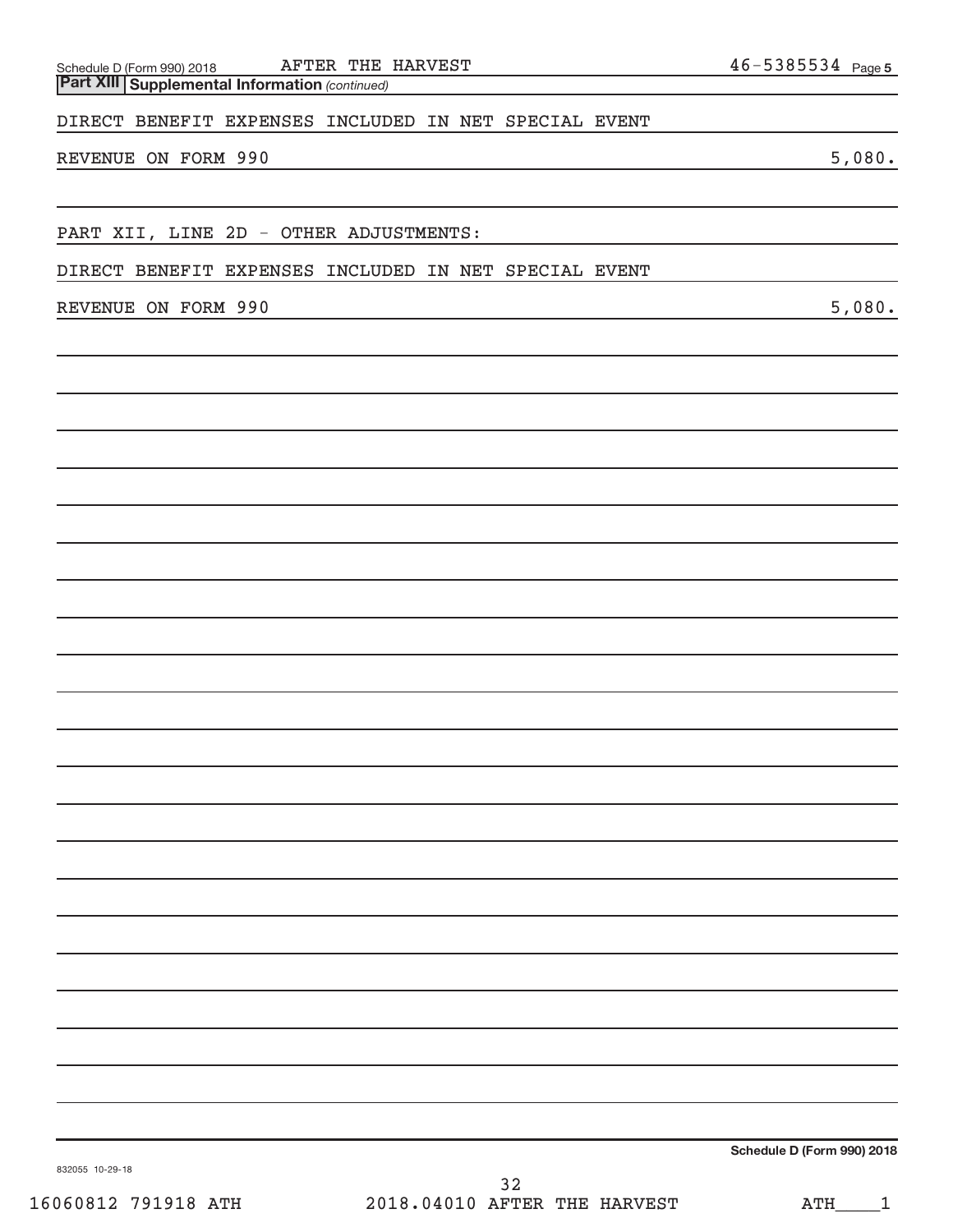#### DIRECT BENEFIT EXPENSES INCLUDED IN NET SPECIAL EVENT

#### REVENUE ON FORM 990 5,080.

PART XII, LINE 2D - OTHER ADJUSTMENTS:

DIRECT BENEFIT EXPENSES INCLUDED IN NET SPECIAL EVENT

REVENUE ON FORM 990 5,080.

**Schedule D (Form 990) 2018**

832055 10-29-18

46-5385534 Page 5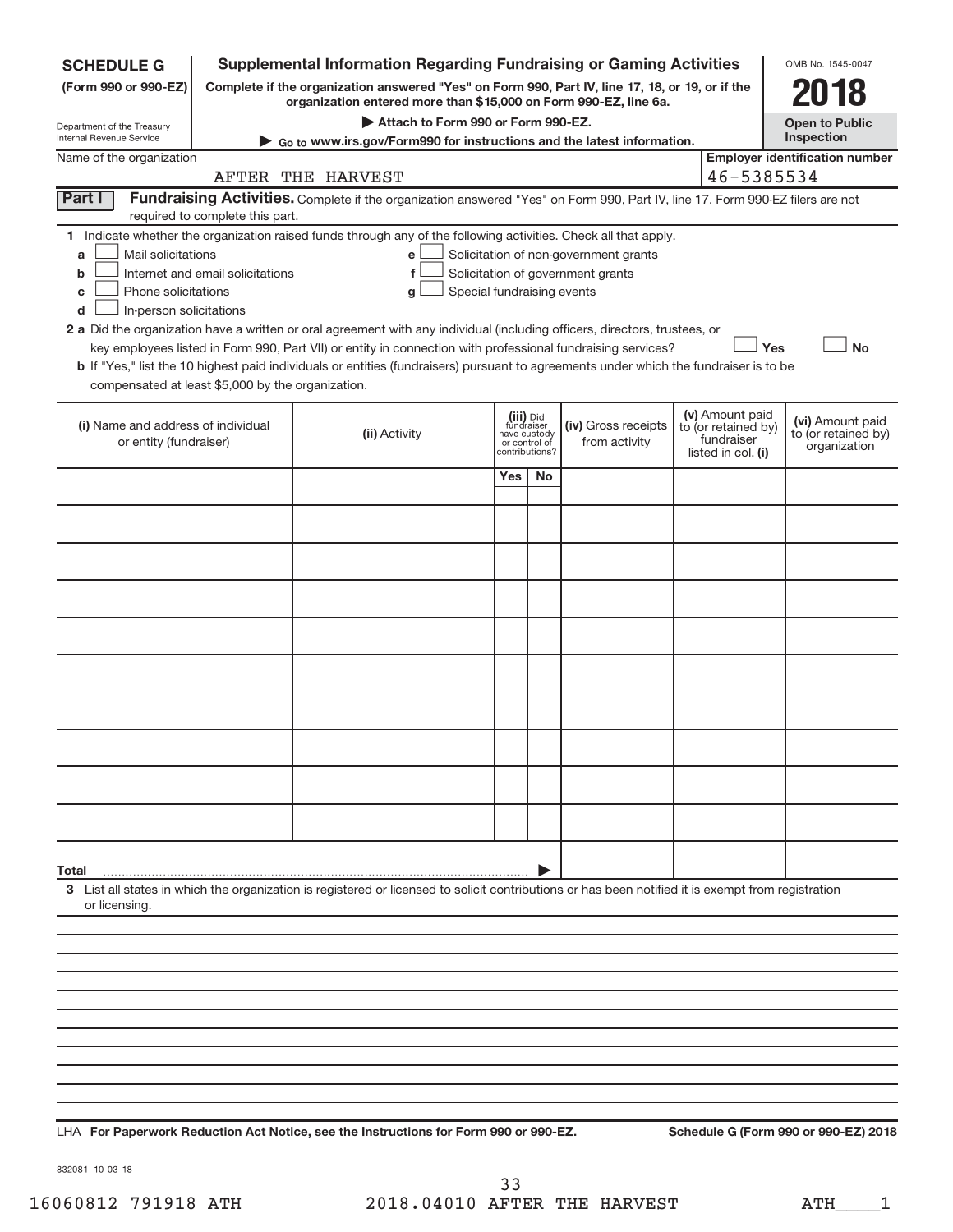| <b>SCHEDULE G</b>                                                                                                                                   |                                  | <b>Supplemental Information Regarding Fundraising or Gaming Activities</b>                                                                                                                                                                                                                                                                                                                                                                                                                                                                              |                                             |                             |                                                                            |                                                                            | OMB No. 1545-0047                                       |
|-----------------------------------------------------------------------------------------------------------------------------------------------------|----------------------------------|---------------------------------------------------------------------------------------------------------------------------------------------------------------------------------------------------------------------------------------------------------------------------------------------------------------------------------------------------------------------------------------------------------------------------------------------------------------------------------------------------------------------------------------------------------|---------------------------------------------|-----------------------------|----------------------------------------------------------------------------|----------------------------------------------------------------------------|---------------------------------------------------------|
| (Form 990 or 990-EZ)                                                                                                                                |                                  | Complete if the organization answered "Yes" on Form 990, Part IV, line 17, 18, or 19, or if the<br>organization entered more than \$15,000 on Form 990-EZ, line 6a.                                                                                                                                                                                                                                                                                                                                                                                     |                                             |                             |                                                                            |                                                                            |                                                         |
| Department of the Treasury<br>Internal Revenue Service                                                                                              |                                  | Attach to Form 990 or Form 990-EZ.                                                                                                                                                                                                                                                                                                                                                                                                                                                                                                                      |                                             |                             |                                                                            |                                                                            | <b>Open to Public</b><br>Inspection                     |
| Name of the organization                                                                                                                            |                                  | Go to www.irs.gov/Form990 for instructions and the latest information.                                                                                                                                                                                                                                                                                                                                                                                                                                                                                  |                                             |                             |                                                                            |                                                                            | <b>Employer identification number</b>                   |
|                                                                                                                                                     |                                  | AFTER THE HARVEST                                                                                                                                                                                                                                                                                                                                                                                                                                                                                                                                       |                                             |                             |                                                                            | 46-5385534                                                                 |                                                         |
| Part I                                                                                                                                              | required to complete this part.  | Fundraising Activities. Complete if the organization answered "Yes" on Form 990, Part IV, line 17. Form 990-EZ filers are not                                                                                                                                                                                                                                                                                                                                                                                                                           |                                             |                             |                                                                            |                                                                            |                                                         |
| 1.<br>Mail solicitations<br>a<br>b<br>Phone solicitations<br>c<br>In-person solicitations<br>d<br>compensated at least \$5,000 by the organization. | Internet and email solicitations | Indicate whether the organization raised funds through any of the following activities. Check all that apply.<br>e<br>f<br>Special fundraising events<br>g<br>2 a Did the organization have a written or oral agreement with any individual (including officers, directors, trustees, or<br>key employees listed in Form 990, Part VII) or entity in connection with professional fundraising services?<br><b>b</b> If "Yes," list the 10 highest paid individuals or entities (fundraisers) pursuant to agreements under which the fundraiser is to be |                                             |                             | Solicitation of non-government grants<br>Solicitation of government grants | Yes                                                                        | <b>No</b>                                               |
| (i) Name and address of individual<br>or entity (fundraiser)                                                                                        |                                  | (ii) Activity                                                                                                                                                                                                                                                                                                                                                                                                                                                                                                                                           | fundraiser<br>have custody<br>or control of | (iii) Did<br>contributions? | (iv) Gross receipts<br>from activity                                       | (v) Amount paid<br>to (or retained by)<br>fundraiser<br>listed in col. (i) | (vi) Amount paid<br>to (or retained by)<br>organization |
|                                                                                                                                                     |                                  |                                                                                                                                                                                                                                                                                                                                                                                                                                                                                                                                                         | <b>Yes</b>                                  | <b>No</b>                   |                                                                            |                                                                            |                                                         |
|                                                                                                                                                     |                                  |                                                                                                                                                                                                                                                                                                                                                                                                                                                                                                                                                         |                                             |                             |                                                                            |                                                                            |                                                         |
|                                                                                                                                                     |                                  |                                                                                                                                                                                                                                                                                                                                                                                                                                                                                                                                                         |                                             |                             |                                                                            |                                                                            |                                                         |
|                                                                                                                                                     |                                  |                                                                                                                                                                                                                                                                                                                                                                                                                                                                                                                                                         |                                             |                             |                                                                            |                                                                            |                                                         |
|                                                                                                                                                     |                                  |                                                                                                                                                                                                                                                                                                                                                                                                                                                                                                                                                         |                                             |                             |                                                                            |                                                                            |                                                         |
|                                                                                                                                                     |                                  |                                                                                                                                                                                                                                                                                                                                                                                                                                                                                                                                                         |                                             |                             |                                                                            |                                                                            |                                                         |
|                                                                                                                                                     |                                  |                                                                                                                                                                                                                                                                                                                                                                                                                                                                                                                                                         |                                             |                             |                                                                            |                                                                            |                                                         |
|                                                                                                                                                     |                                  |                                                                                                                                                                                                                                                                                                                                                                                                                                                                                                                                                         |                                             |                             |                                                                            |                                                                            |                                                         |
|                                                                                                                                                     |                                  |                                                                                                                                                                                                                                                                                                                                                                                                                                                                                                                                                         |                                             |                             |                                                                            |                                                                            |                                                         |
|                                                                                                                                                     |                                  |                                                                                                                                                                                                                                                                                                                                                                                                                                                                                                                                                         |                                             |                             |                                                                            |                                                                            |                                                         |
|                                                                                                                                                     |                                  |                                                                                                                                                                                                                                                                                                                                                                                                                                                                                                                                                         |                                             |                             |                                                                            |                                                                            |                                                         |
| Total                                                                                                                                               |                                  | 3 List all states in which the organization is registered or licensed to solicit contributions or has been notified it is exempt from registration                                                                                                                                                                                                                                                                                                                                                                                                      |                                             |                             |                                                                            |                                                                            |                                                         |
| or licensing.                                                                                                                                       |                                  |                                                                                                                                                                                                                                                                                                                                                                                                                                                                                                                                                         |                                             |                             |                                                                            |                                                                            |                                                         |
|                                                                                                                                                     |                                  |                                                                                                                                                                                                                                                                                                                                                                                                                                                                                                                                                         |                                             |                             |                                                                            |                                                                            |                                                         |
|                                                                                                                                                     |                                  |                                                                                                                                                                                                                                                                                                                                                                                                                                                                                                                                                         |                                             |                             |                                                                            |                                                                            |                                                         |
|                                                                                                                                                     |                                  |                                                                                                                                                                                                                                                                                                                                                                                                                                                                                                                                                         |                                             |                             |                                                                            |                                                                            |                                                         |
|                                                                                                                                                     |                                  |                                                                                                                                                                                                                                                                                                                                                                                                                                                                                                                                                         |                                             |                             |                                                                            |                                                                            |                                                         |
|                                                                                                                                                     |                                  |                                                                                                                                                                                                                                                                                                                                                                                                                                                                                                                                                         |                                             |                             |                                                                            |                                                                            |                                                         |
|                                                                                                                                                     |                                  |                                                                                                                                                                                                                                                                                                                                                                                                                                                                                                                                                         |                                             |                             |                                                                            |                                                                            |                                                         |

LHA For Paperwork Reduction Act Notice, see the Instructions for Form 990 or 990-EZ. Schedule G (Form 990 or 990-EZ) 2018

832081 10-03-18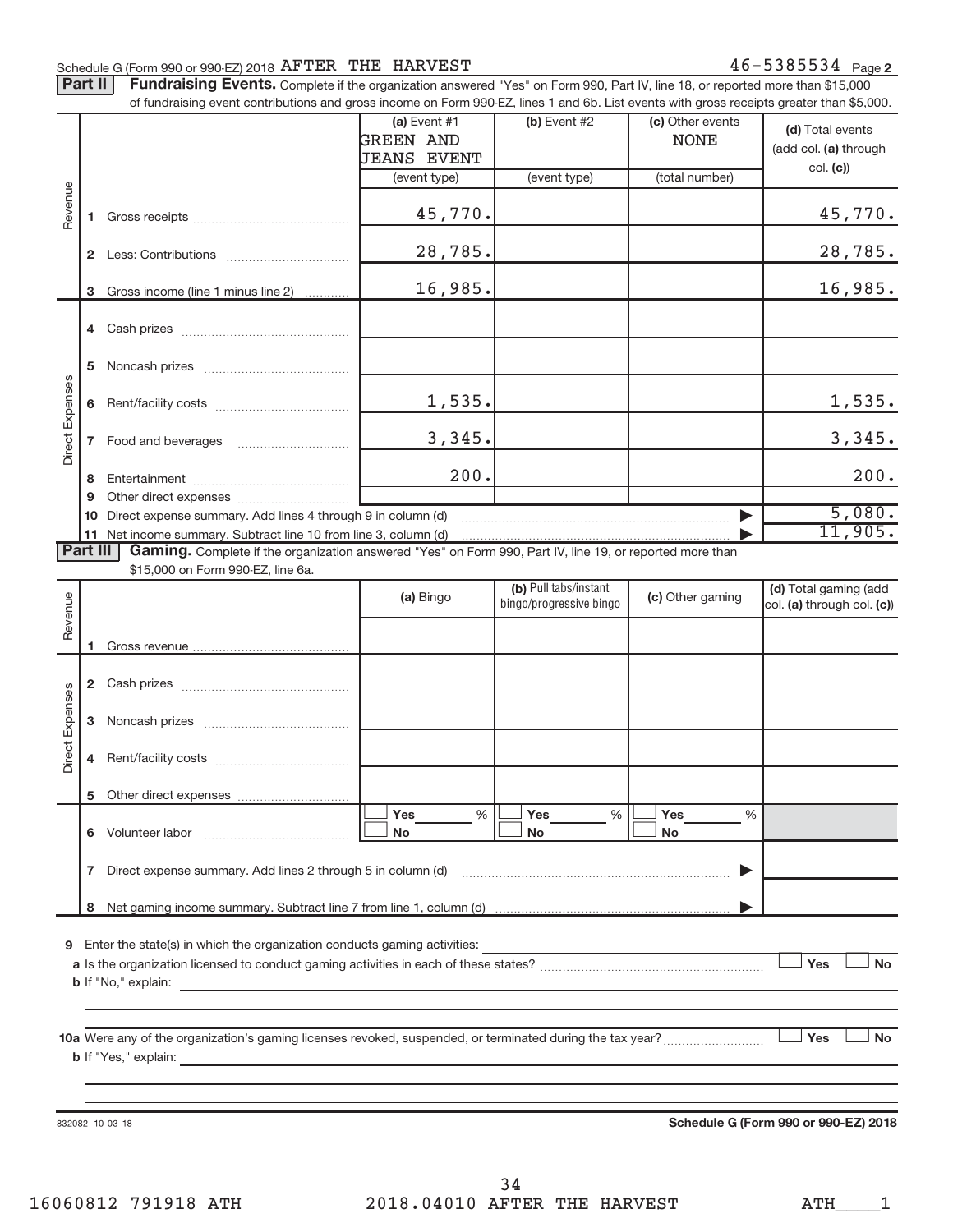#### Schedule G (Form 990 or 990-EZ) 2018  $\overline{\text{A}}$   $\overline{\text{A}}$   $\overline{\text{B}}$   $\overline{\text{B}}$   $\overline{\text{A}}$   $\overline{\text{B}}$   $\overline{\text{B}}$   $\overline{\text{B}}$   $\overline{\text{B}}$   $\overline{\text{B}}$   $\overline{\text{B}}$   $\overline{\text{B}}$   $\overline{\text{B}}$   $\overline{\text{B}}$   $\overline{\text{B}}$   $\overline{\text{B}}$   $\overline{\text{B$

Part II | Fundraising Events. Complete if the organization answered "Yes" on Form 990, Part IV, line 18, or reported more than \$15,000 of fundraising event contributions and gross income on Form 990-EZ, lines 1 and 6b. List events with gross receipts greater than \$5,000. **(a)** Event #1 **(b)** Event #2 (c) Other events **(d)** Total events GREEN AND | NONE (add col. (a) through JEANS EVENT **col. (c)**) (event type) (event type) (total number) Revenue 45,770. 45,770. **1**Gross receipts ~~~~~~~~~~~~~~ 28,785. 28,785. **2** Less: Contributions <u>..............................</u>.... 16,985. 16,985. **3**Gross income (line 1 minus line 2) . . . . . . . . . . . . **4** Cash prizes ~~~~~~~~~~~~~~~ **5** Noncash prizes ~~~~~~~~~~~~~ Direct Expenses Direct Expenses 1,535. 1,535. **6** Rent/facility costs ~~~~~~~~~~~~ 3,345. 3,345. **7** Food and beverages ~~~~~~~~~~ 200. 200. **8** Entertainment ~~~~~~~~~~~~~~ **9** Other direct expenses  $\ldots$  **............................** 5,080. **10** Direct expense summary. Add lines 4 through 9 in column (d) ~~~~~~~~~~~~~~~~~~~~~~~~ | 11,905. **11**Net income summary. Subtract line 10 from line 3, column (d) | Part III Gaming. Complete if the organization answered "Yes" on Form 990, Part IV, line 19, or reported more than \$15,000 on Form 990-EZ, line 6a. (b) Pull tabs/instant (d) Total gaming (add Revenue **(a)** Bingo **a b**ingo/progressive bingo **(c)** Other gaming bingo/progressive bingocol. (a) through col. (c)) Gross revenue **12** Cash prizes ~~~~~~~~~~~~~~~ ses Direct Expenses Direct Expen **3** Noncash prizes **www.community.org 3 4** Rent/facility costs ~~~~~~~~~~~~ **5**Other direct expenses ---Yes % |└──<sup>|</sup> Yes % |└──<sup>|</sup> Yes %%% **6** Volunteer labor ---No |└─**I** No |└─I No  $\ldots \ldots \ldots \ldots \ldots \ldots \ldots \ldots$ **7**Direct expense summary. Add lines 2 through 5 in column (d) ~~~~~~~~~~~~~~~~~~~~~~~~ | **8**Net gaming income summary. Subtract line 7 from line 1, column (d) | **9**Enter the state(s) in which the organization conducts gaming activities: - - $Y_{\text{es}}$   $\vert$   $\vert$  No **a**Is the organization licensed to conduct gaming activities in each of these states? ~~~~~~~~~~~~~~~~~~~~ **b** If "No," explain: **10aYes No**Were any of the organization's gaming licenses revoked, suspended, or terminated during the tax year? ~~~~~~~~~ - $\overline{\phantom{a}}$  No **b** If "Yes," explain:

832082 10-03-18

**Schedule G (Form 990 or 990-EZ) 2018**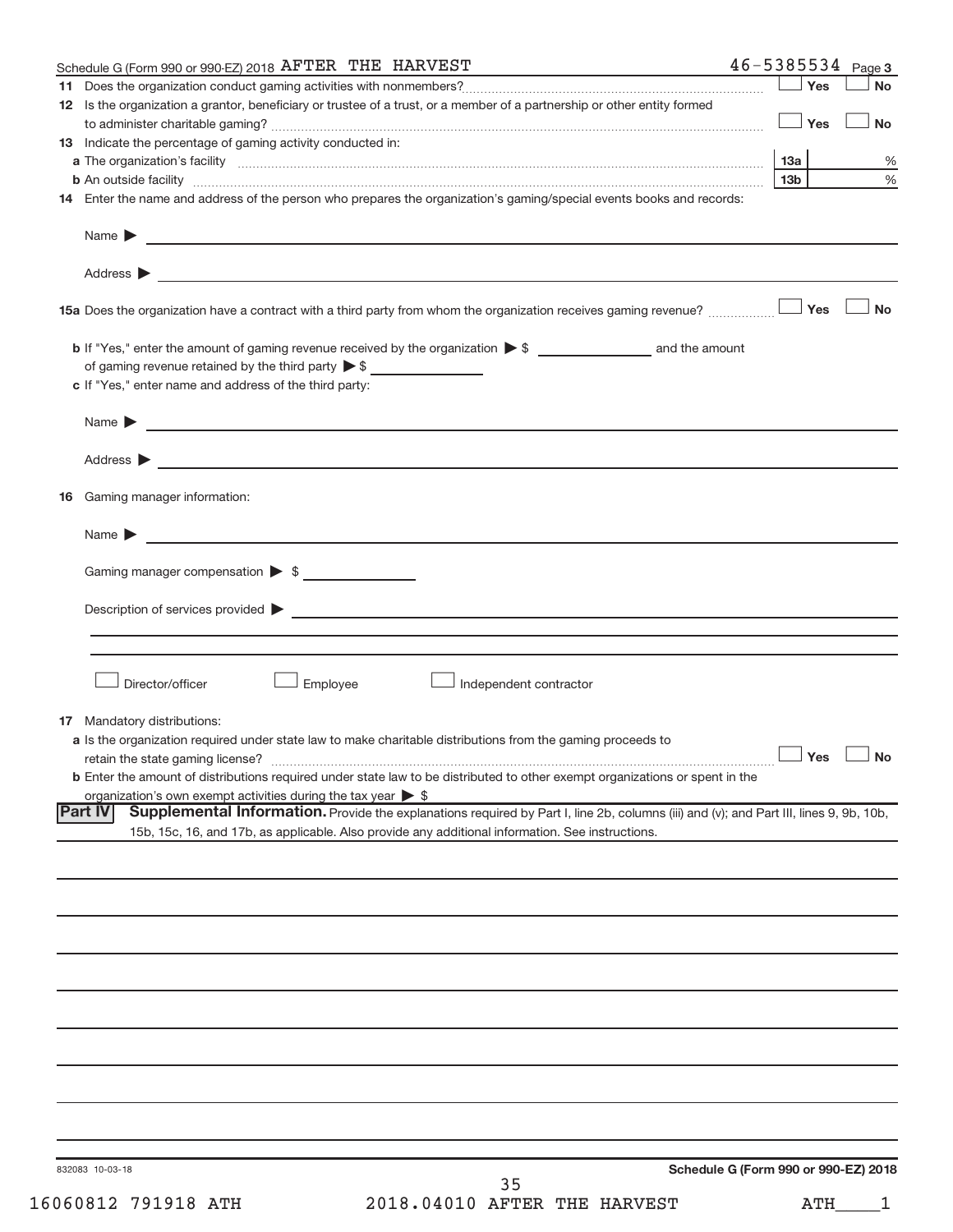|     | Schedule G (Form 990 or 990-EZ) 2018 AFTER THE HARVEST                                                                                                                                                                                    | $46 - 5385534$ Page 3                |           |
|-----|-------------------------------------------------------------------------------------------------------------------------------------------------------------------------------------------------------------------------------------------|--------------------------------------|-----------|
| 11. |                                                                                                                                                                                                                                           | Yes                                  | <b>No</b> |
|     | 12 Is the organization a grantor, beneficiary or trustee of a trust, or a member of a partnership or other entity formed                                                                                                                  | $\Box$ Yes                           | <b>No</b> |
|     | 13 Indicate the percentage of gaming activity conducted in:                                                                                                                                                                               |                                      |           |
|     |                                                                                                                                                                                                                                           | 13а                                  | %         |
|     |                                                                                                                                                                                                                                           | 13 <sub>b</sub>                      | $\%$      |
|     | 14 Enter the name and address of the person who prepares the organization's gaming/special events books and records:                                                                                                                      |                                      |           |
|     |                                                                                                                                                                                                                                           |                                      |           |
|     |                                                                                                                                                                                                                                           |                                      |           |
|     |                                                                                                                                                                                                                                           |                                      | No        |
|     | <b>b</b> If "Yes," enter the amount of gaming revenue received by the organization $\triangleright$ \$ and the amount                                                                                                                     |                                      |           |
|     | of gaming revenue retained by the third party $\triangleright$ \$<br>c If "Yes," enter name and address of the third party:                                                                                                               |                                      |           |
|     |                                                                                                                                                                                                                                           |                                      |           |
|     | Address > the contract of the contract of the contract of the contract of the contract of the contract of the contract of the contract of the contract of the contract of the contract of the contract of the contract of the             |                                      |           |
| 16  | Gaming manager information:                                                                                                                                                                                                               |                                      |           |
|     | <u> 1989 - Johann John Stein, mars and de British Stein Berlin and de British Stein Berlin and de British Stein B</u><br>Name $\blacktriangleright$                                                                                       |                                      |           |
|     |                                                                                                                                                                                                                                           |                                      |           |
|     | Gaming manager compensation $\triangleright$ \$                                                                                                                                                                                           |                                      |           |
|     | Description of services provided <b>by the contract of the contract of the contract of services</b> provided <b>by the contract of the contract of the contract of the contract of the contract of the contract of the contract of th</b> |                                      |           |
|     |                                                                                                                                                                                                                                           |                                      |           |
|     | Director/officer<br>Employee<br>Independent contractor                                                                                                                                                                                    |                                      |           |
|     | <b>17</b> Mandatory distributions:                                                                                                                                                                                                        |                                      |           |
|     | a Is the organization required under state law to make charitable distributions from the gaming proceeds to                                                                                                                               | $\Box$ Yes $\Box$ No                 |           |
|     | retain the state gaming license?<br><b>b</b> Enter the amount of distributions required under state law to be distributed to other exempt organizations or spent in the                                                                   |                                      |           |
|     | organization's own exempt activities during the tax year $\triangleright$ \$                                                                                                                                                              |                                      |           |
|     | Supplemental Information. Provide the explanations required by Part I, line 2b, columns (iii) and (v); and Part III, lines 9, 9b, 10b,<br><b>Part IV</b>                                                                                  |                                      |           |
|     | 15b, 15c, 16, and 17b, as applicable. Also provide any additional information. See instructions.                                                                                                                                          |                                      |           |
|     |                                                                                                                                                                                                                                           |                                      |           |
|     |                                                                                                                                                                                                                                           |                                      |           |
|     |                                                                                                                                                                                                                                           |                                      |           |
|     |                                                                                                                                                                                                                                           |                                      |           |
|     |                                                                                                                                                                                                                                           |                                      |           |
|     |                                                                                                                                                                                                                                           |                                      |           |
|     |                                                                                                                                                                                                                                           |                                      |           |
|     |                                                                                                                                                                                                                                           |                                      |           |
|     |                                                                                                                                                                                                                                           |                                      |           |
|     | 832083 10-03-18                                                                                                                                                                                                                           | Schedule G (Form 990 or 990-EZ) 2018 |           |
|     | 35                                                                                                                                                                                                                                        |                                      |           |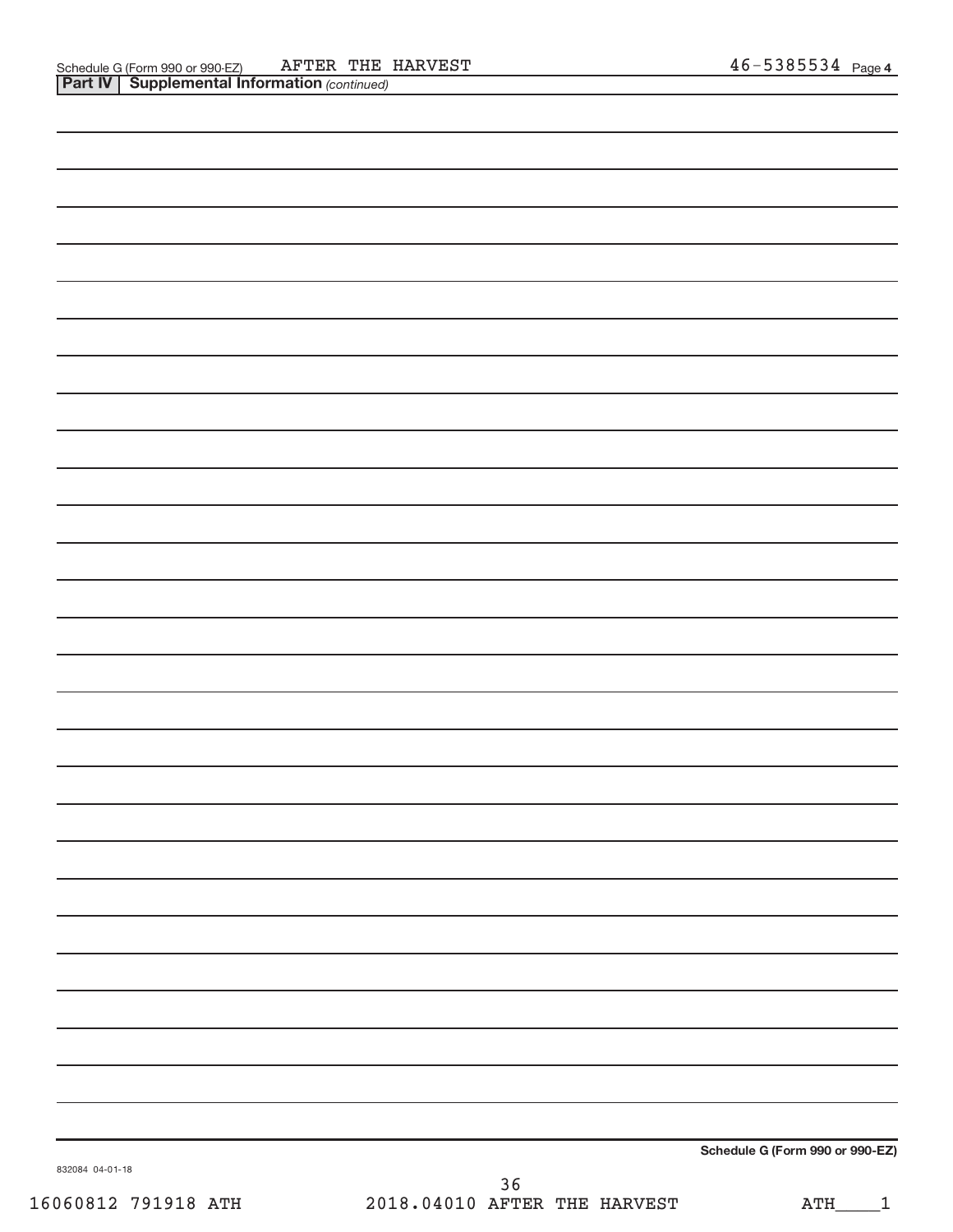| Schedule G (Form 990 or 990-EZ) |  |
|---------------------------------|--|
|                                 |  |

832084 04-01-18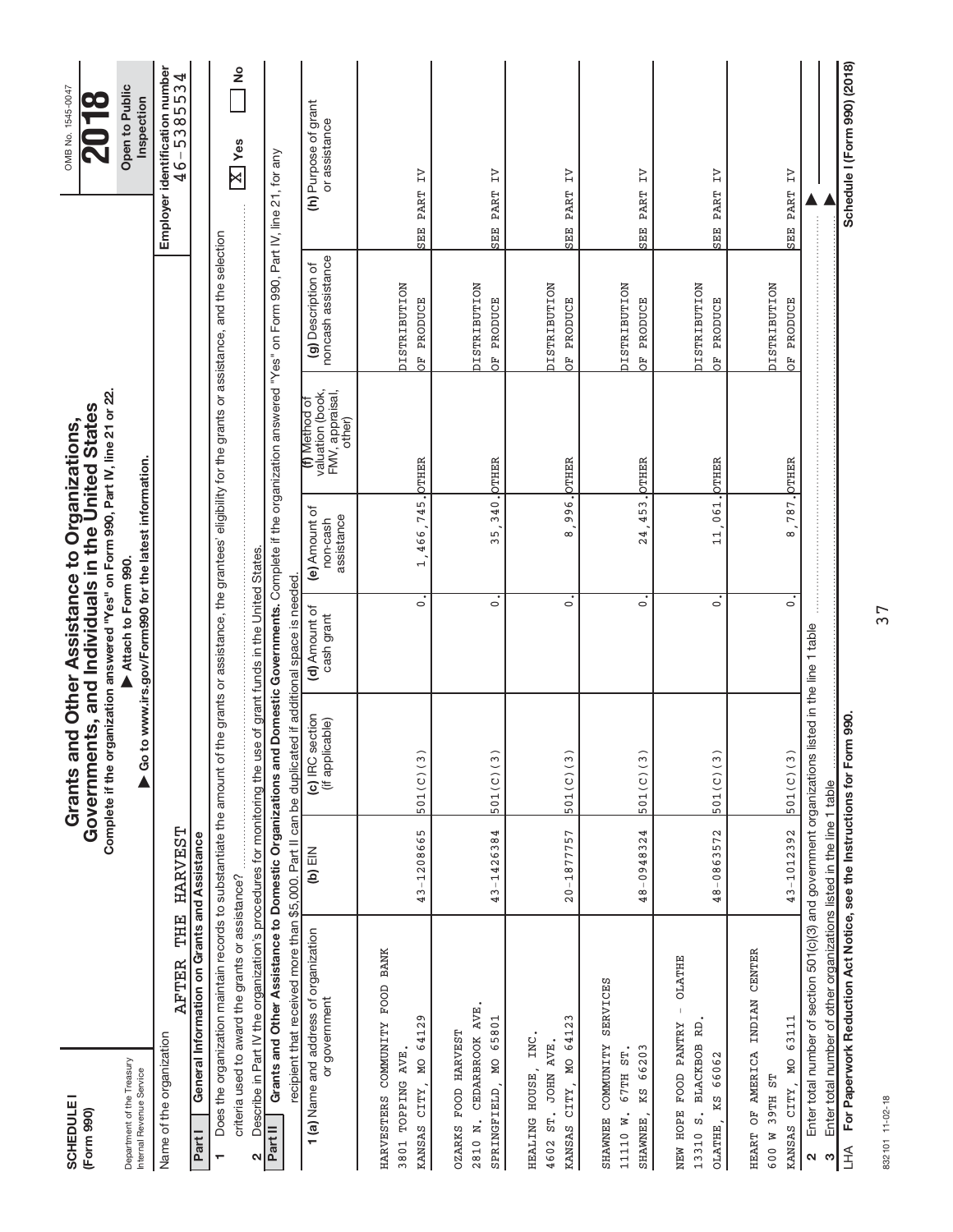| <b>SCHEDULE1</b><br>(Form 990)                                                                                                                                |                   | Complete if the organization answered "Yes" on Form 990, Part IV, line 21 or 22.<br>Governments, and Individuals in the United States<br>Grants an | d Other Assistance to Organizations,                                         |                                         |                                                                |                                                                                                          | OMB No. 1545-0047                                |
|---------------------------------------------------------------------------------------------------------------------------------------------------------------|-------------------|----------------------------------------------------------------------------------------------------------------------------------------------------|------------------------------------------------------------------------------|-----------------------------------------|----------------------------------------------------------------|----------------------------------------------------------------------------------------------------------|--------------------------------------------------|
| Department of the Treasury<br>Internal Revenue Service                                                                                                        |                   |                                                                                                                                                    | Go to www.irs.gov/Form990 for the latest information.<br>Attach to Form 990. |                                         |                                                                |                                                                                                          | Open to Public<br>Inspection                     |
| Name of the organization                                                                                                                                      | AFTER THE HARVEST |                                                                                                                                                    |                                                                              |                                         |                                                                |                                                                                                          | Employer identification number<br>$46 - 5385534$ |
| General Information on Grants and Assistance<br>Part I                                                                                                        |                   |                                                                                                                                                    |                                                                              |                                         |                                                                |                                                                                                          |                                                  |
| Does the organization maintain records to substantiate the amount of th<br>÷                                                                                  |                   |                                                                                                                                                    |                                                                              |                                         |                                                                | ne grants or assistance, the grantees' eligibility for the grants or assistance, and the selection       |                                                  |
| criteria used to award the grants or assistance?                                                                                                              |                   |                                                                                                                                                    |                                                                              |                                         |                                                                |                                                                                                          | ş<br>Yes<br>$\boxtimes$                          |
| Describe in Part IV the organization's procedures for monitoring the use of grant funds in the United States<br>N                                             |                   |                                                                                                                                                    |                                                                              |                                         |                                                                |                                                                                                          |                                                  |
| Grants and Other Assistance to Domestic Organizations and<br>Part II                                                                                          |                   |                                                                                                                                                    |                                                                              |                                         |                                                                | Domestic Governments. Complete if the organization answered "Yes" on Form 990, Part IV, line 21, for any |                                                  |
| recipient that received more than \$5,000. Part II can be duplicated if additional space is needed<br>1 (a) Name and address of organization<br>or government | $(b)$ $EIN$       | (c) IRC section<br>(if applicable)                                                                                                                 | (d) Amount of<br>cash grant                                                  | (e) Amount of<br>assistance<br>non-cash | valuation (book,<br>FMV, appraisal,<br>(f) Method of<br>other) | noncash assistance<br>(g) Description of                                                                 | (h) Purpose of grant<br>or assistance            |
| HARVESTERS COMMUNITY FOOD BANK<br>3801 TOPPING AVE                                                                                                            |                   |                                                                                                                                                    |                                                                              |                                         |                                                                | <b>DISTRIBUTION</b>                                                                                      |                                                  |
| 64129<br>KANSAS CITY, MO                                                                                                                                      | 43-1208665        | 501(C)(3)                                                                                                                                          | $\circ$                                                                      | 1,466,745.                              | <b>OTHER</b>                                                   | PRODUCE<br>FO <sub>D</sub>                                                                               | Z<br>PART<br><b>SER</b>                          |
| CEDARBROOK AVE<br>65801<br>OZARKS FOOD HARVEST<br>SPRINGFIELD, MO<br>2810 N.                                                                                  | 43-1426384        | 501(C)(3)                                                                                                                                          | $\circ$                                                                      | 340.<br>35                              | <b>DTHER</b>                                                   | <b>DISTRIBUTION</b><br><b>PRODUCE</b><br>FO.                                                             | Z<br>PART<br><b>SERE</b>                         |
| 64123<br>HEALING HOUSE, INC.<br><b>JOHN AVE.</b><br>KANSAS CITY, MO<br>ST.<br>4602                                                                            | $20 - 1877757$    | 501(C)(3)                                                                                                                                          | $\circ$                                                                      | 996.<br>$\infty$                        | <b>OTHER</b>                                                   | <b>PISTRIBUTION</b><br>PRODUCE<br>Fo<br>O                                                                | $\overline{L}$<br>PART<br><b>SER</b>             |
| SERVICES<br>SHAWNER COMMUNITY<br>KS 66203<br>67TH ST<br>11110 W.<br><b>SHAWNEE</b>                                                                            | 48-0948324        | 501(C)(3)                                                                                                                                          | $\circ$                                                                      | 453.<br>24                              | OTHER                                                          | <b>DISTRIBUTION</b><br>PRODUCE<br>FO.                                                                    | $\overline{L}$<br>SEE PART                       |
| <b>OLATHE</b><br>NEW HOPE FOOD PANTRY<br>RD<br><b>BLACKBOB</b><br>66062<br>KS<br>$\ddot{\mathbf{a}}$<br>OLATHE,<br>13310                                      | 48-0863572        | 501(C)(3)                                                                                                                                          | $\circ$                                                                      | 11,061. ОТНЕВ                           |                                                                | <b>DISTRIBUTION</b><br>PRODUCE<br>B <sub>D</sub>                                                         | $\overline{L}$<br>PART<br><b>SER</b>             |
| HEART OF AMERICA INDIAN CENTER<br>63111<br>KANSAS CITY, MO<br>39TH ST<br>600 W                                                                                | 43-1012392        | 501(C)(3)                                                                                                                                          | $\overline{\cdot}$                                                           | $\infty$                                | 787. OTHER                                                     | <b>DISTRIBUTION</b><br>OF PRODUCE                                                                        | $\overline{z}$<br><b>SEE PART</b>                |
| Enter total number of section 501(c)(3) and government organizations listed in the line 1 table<br>$\mathbf{\Omega}$                                          |                   |                                                                                                                                                    |                                                                              |                                         |                                                                |                                                                                                          |                                                  |
| Enter total number of other organizations listed in the line 1 table<br>ო                                                                                     |                   |                                                                                                                                                    |                                                                              |                                         |                                                                |                                                                                                          |                                                  |
| For Paperwork Reduction Act Notice, see the Instructions for Form 990.<br>$H_{\square}$                                                                       |                   |                                                                                                                                                    |                                                                              |                                         |                                                                |                                                                                                          | Schedule I (Form 990) (2018)                     |

832101 11-02-18 832101 11-02-18

37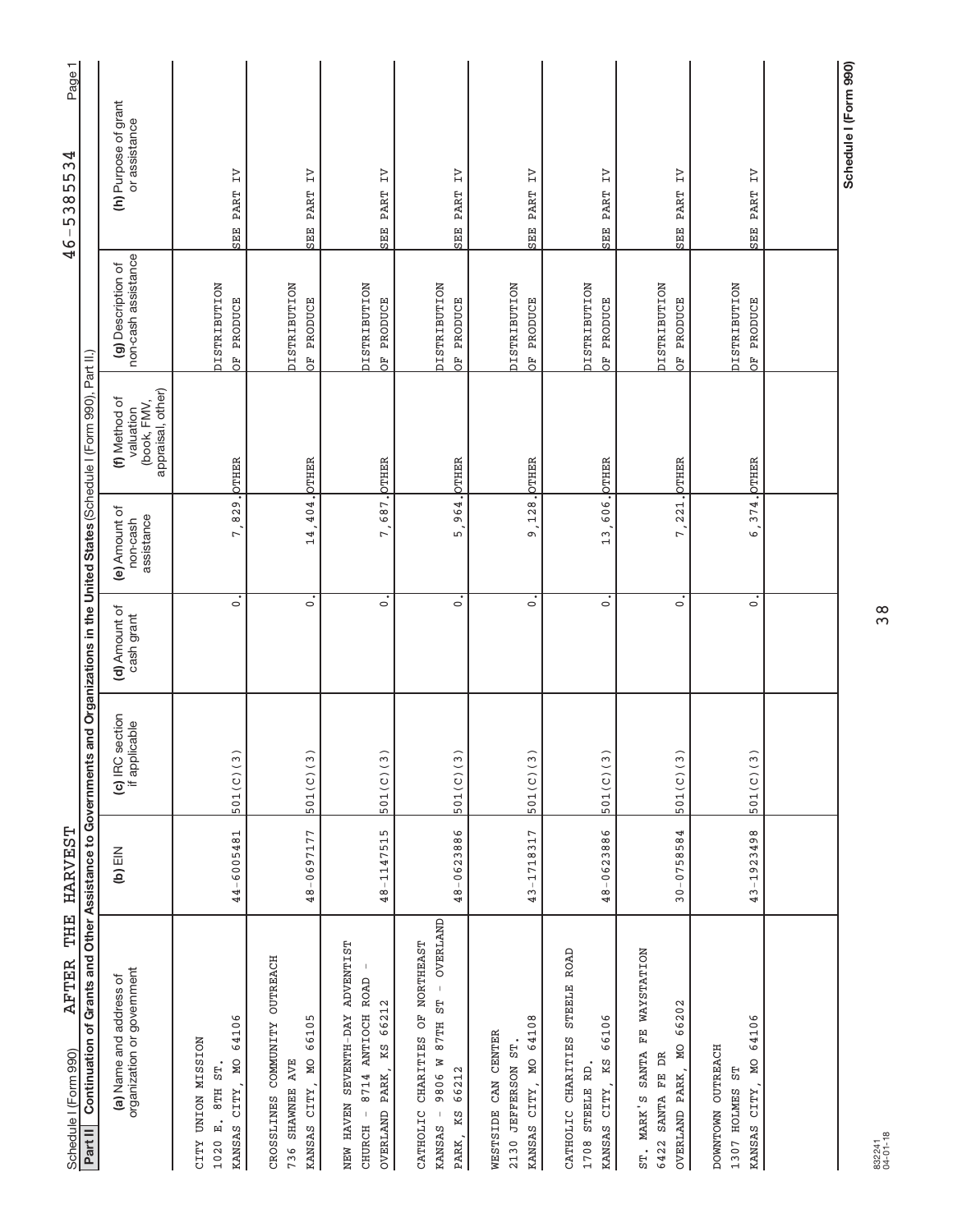| THE<br><b>AFTER</b><br>Schedule I (Form 990)                                                                           | <b>HARVEST</b> |                                  |                             |                                         |                                                                          | 4                                         | Page <sup>-</sup><br>◅<br>3<br>Г.<br>5<br>$\frac{8}{3}$<br>5<br>$\overline{\phantom{a}}$<br>G |
|------------------------------------------------------------------------------------------------------------------------|----------------|----------------------------------|-----------------------------|-----------------------------------------|--------------------------------------------------------------------------|-------------------------------------------|-----------------------------------------------------------------------------------------------|
| Continuation of Grants and Other Assistance to Governments<br>Part II                                                  |                |                                  |                             |                                         | and Organizations in the United States (Schedule I (Form 990), Part II.) |                                           |                                                                                               |
| organization or government<br>(a) Name and address of                                                                  | $(b)$ EIN      | (c) IRC section<br>if applicable | (d) Amount of<br>cash grant | (e) Amount of<br>assistance<br>non-cash | appraisal, other)<br>(f) Method of<br>(book, FMV,<br>valuation           | non-cash assistance<br>(g) Description of | (h) Purpose of grant<br>or assistance                                                         |
| 64106<br><b>NOISSIM NOINLA ALIS</b><br>KANSAS CITY, MO<br>8TH ST.<br>1020 E.                                           | 44-6005481     | 501(C)(3)                        | $\circ$                     | 829.<br>7.                              | <b>OTHER</b>                                                             | <b>DISTRIBUTION</b><br>OF PRODUCE         | $\overline{z}$<br>PART<br>SEE                                                                 |
| CROSSLINES COMMUNITY OUTREACH<br>66105<br>KANSAS CITY, MO<br>736 SHAWNEE AVE                                           | 48-0697177     | 501(C)(3)                        | $\circ$                     | 14,404. OTHER                           |                                                                          | <b>NOTELERITSIC</b><br>OF PRODUCE         | $\overline{L}$<br>SEE PART                                                                    |
| NEW HAVEN SEVENTH-DAY ADVENTIST<br>8714 ANTIOCH ROAD<br>OVERLAND PARK, KS 66212<br>CHURCH -                            | 48-1147515     | 501(C)(3)                        | $\circ$                     | 687.<br>7.                              | <b>DTHER</b>                                                             | <b>NOTALBETRIST</b><br>OF PRODUCE         | $\overline{z}$<br>SEE PART                                                                    |
| <b>OVERLAND</b><br>CATHOLIC CHARITIES OF NORTHEAST<br>$\bar{1}$<br>57<br>87TH<br>9806 W<br>66212<br>PARK, KS<br>KANSAS | 48-0623886     | 501(C)(3)                        | $\circ$                     | .<br>ດ                                  | 964. OTHER                                                               | <b>DISTRIBUTION</b><br>OF PRODUCE         | SEE PART IV                                                                                   |
| 64108<br>WESTSIDE CAN CENTER<br>2130 JEFFERSON ST<br>KANSAS CITY, MO                                                   | 43-1718317     | 501(C)(3)                        | $\circ$                     | 128.<br>ഐ                               | <b>DTHER</b>                                                             | <b>DISTRIBUTION</b><br>OF PRODUCE         | Z<br>PART<br><b>SEEE</b>                                                                      |
| STEELE ROAD<br>66106<br>CATHOLIC CHARITIES<br>KANSAS CITY, KS<br>1708 STEELE RD.                                       | 48-0623886     | 501(C)(3)                        | $\circ$                     | 13,606. OTHER                           |                                                                          | <b>DISTRIBUTION</b><br>OF PRODUCE         | $\overline{z}$<br><b>SEE PART</b>                                                             |
| FE WAYSTATION<br>66202<br><b>DN</b><br>SANTA<br>SANTA FE DR<br>OVERLAND PARK,<br>ST. MARK'S<br>6422                    | $30 - 0758584$ | 501(C)(3)                        | $\circ$                     | 7,221.                                  | <b>DTHER</b>                                                             | <b>DISTRIBUTION</b><br>OF PRODUCE         | $\overline{z}$<br><b>PART</b><br>SEE                                                          |
| 64106<br>DOWNTOWN OUTREACH<br>M <sub>O</sub><br>5L<br>CITY,<br>1307 HOLMES<br>KANSAS                                   | 43-1923498     | 501(C)(3)                        | $\circ$                     | 374.<br>.<br>ما                         | <b>PTHER</b>                                                             | <b>DISTRIBUTION</b><br>OF PRODUCE         | $\overline{z}$<br><b>PART</b><br><b>SEEE</b>                                                  |
|                                                                                                                        |                |                                  |                             |                                         |                                                                          |                                           |                                                                                               |

38

# 832241 04-01-18

Schedule I (Form 990) **Schedule I (Form 990)**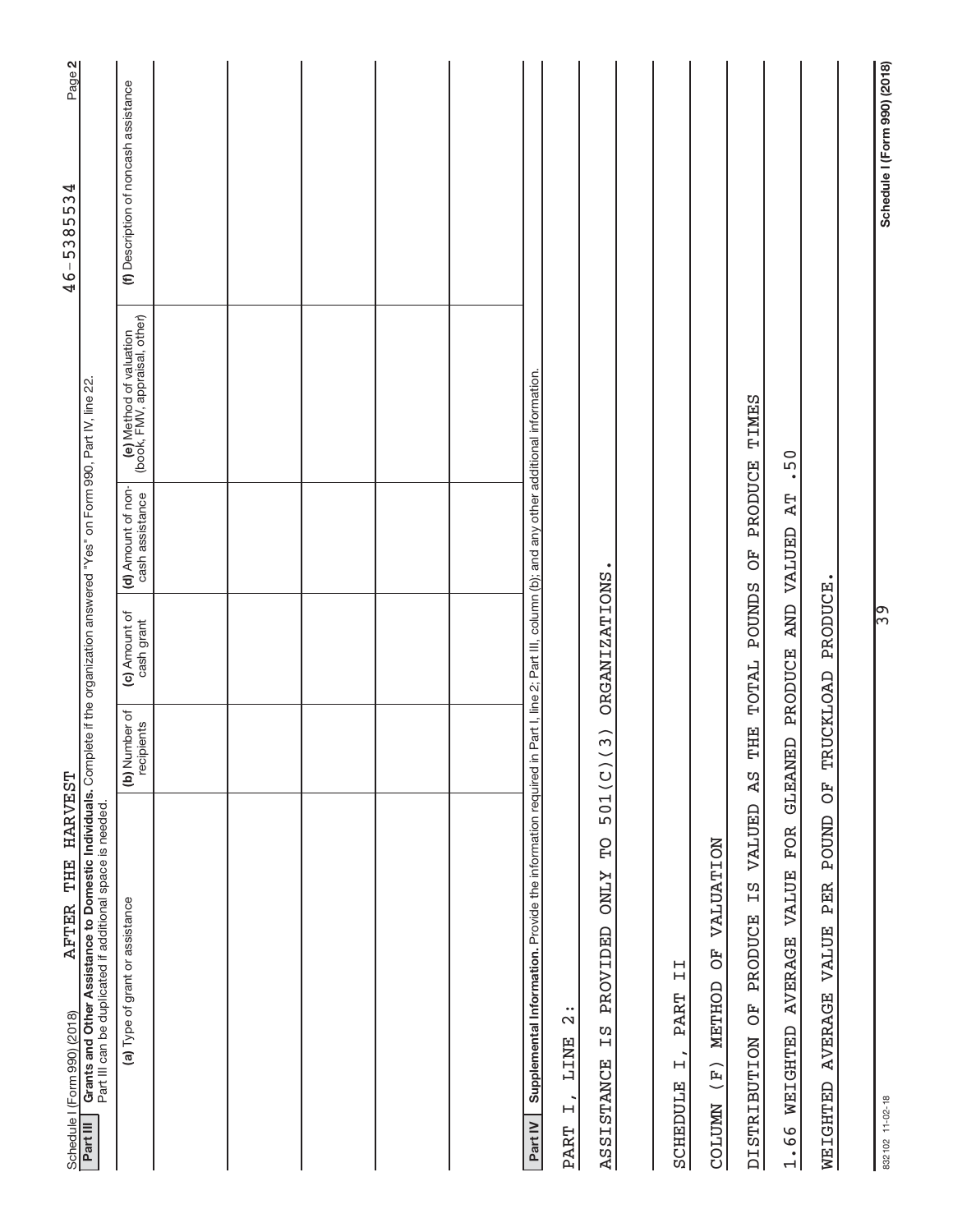| AFTER THE HARVEST                                                                                                                                                                                                                                              |                             |                             |                                                                             |                                                          | Page 2<br>$46 - 5385534$              |
|----------------------------------------------------------------------------------------------------------------------------------------------------------------------------------------------------------------------------------------------------------------|-----------------------------|-----------------------------|-----------------------------------------------------------------------------|----------------------------------------------------------|---------------------------------------|
| Grants and Other Assistance to Domestic Individuals. Complete if the organization answered "Yes" on Form 990, Part IV, line 22.<br>Part III can be duplicated if additional space is needed<br>Schedule I (Form 990) (2018)<br><b>Part III</b> Grants and Othe |                             |                             |                                                                             |                                                          |                                       |
| (a) Type of grant or assistance                                                                                                                                                                                                                                | (b) Number of<br>recipients | (c) Amount of<br>cash grant | (d) Amount of non-<br>cash assistance                                       | (e) Method of valuation<br>(book, FMV, appraisal, other) | (f) Description of noncash assistance |
|                                                                                                                                                                                                                                                                |                             |                             |                                                                             |                                                          |                                       |
|                                                                                                                                                                                                                                                                |                             |                             |                                                                             |                                                          |                                       |
|                                                                                                                                                                                                                                                                |                             |                             |                                                                             |                                                          |                                       |
|                                                                                                                                                                                                                                                                |                             |                             |                                                                             |                                                          |                                       |
|                                                                                                                                                                                                                                                                |                             |                             |                                                                             |                                                          |                                       |
| Supplemental Information. Provide the information required in<br>Part IV                                                                                                                                                                                       |                             |                             | Part I, line 2; Part III, column (b); and any other additional information. |                                                          |                                       |
| $\frac{1}{2}$<br><b>TINE</b><br>$\overline{a}$<br><b>PART</b>                                                                                                                                                                                                  |                             |                             |                                                                             |                                                          |                                       |
| 501(C)<br><b>DL</b><br><b>ZTNO</b><br>PROVIDED<br>ΩH<br><b>ASSISTANCE</b>                                                                                                                                                                                      | $\widehat{3}$               | ORGANIZATIONS.              |                                                                             |                                                          |                                       |
|                                                                                                                                                                                                                                                                |                             |                             |                                                                             |                                                          |                                       |
| $\frac{1}{2}$<br><b>PART</b><br>$\overline{a}$<br>SCHEDULE                                                                                                                                                                                                     |                             |                             |                                                                             |                                                          |                                       |
| <b>VALUATION</b><br>FO<br>O<br>METHOD<br>COLUMN (F)                                                                                                                                                                                                            |                             |                             |                                                                             |                                                          |                                       |
| VALUED<br>ΣT<br><b>PRODUCE</b><br>FO<br>O<br><b>DISTRIBUTION</b>                                                                                                                                                                                               | THE<br>A <sub>S</sub>       | <b>POUNDS</b><br>TOTAL      | <b>PRODUCE</b><br>FO <sub>D</sub>                                           | <b>TIMES</b>                                             |                                       |
| <b>FOR</b><br>VALUE<br><b>AVERAGE</b><br>WEIGHTED<br>1.66                                                                                                                                                                                                      | GLEANED PRODUCE             |                             | $\mathbb{R}^{\mathbb{T}}$<br>AND VALUED                                     | .50                                                      |                                       |
| FO<br>POUND<br>PER<br>WEIGHTED AVERAGE VALUE                                                                                                                                                                                                                   |                             | TRUCKLOAD PRODUCE.          |                                                                             |                                                          |                                       |
|                                                                                                                                                                                                                                                                |                             |                             |                                                                             |                                                          |                                       |
| 832102 11-02-18                                                                                                                                                                                                                                                |                             | ြွက်                        |                                                                             |                                                          | Schedule I (Form 990) (2018)          |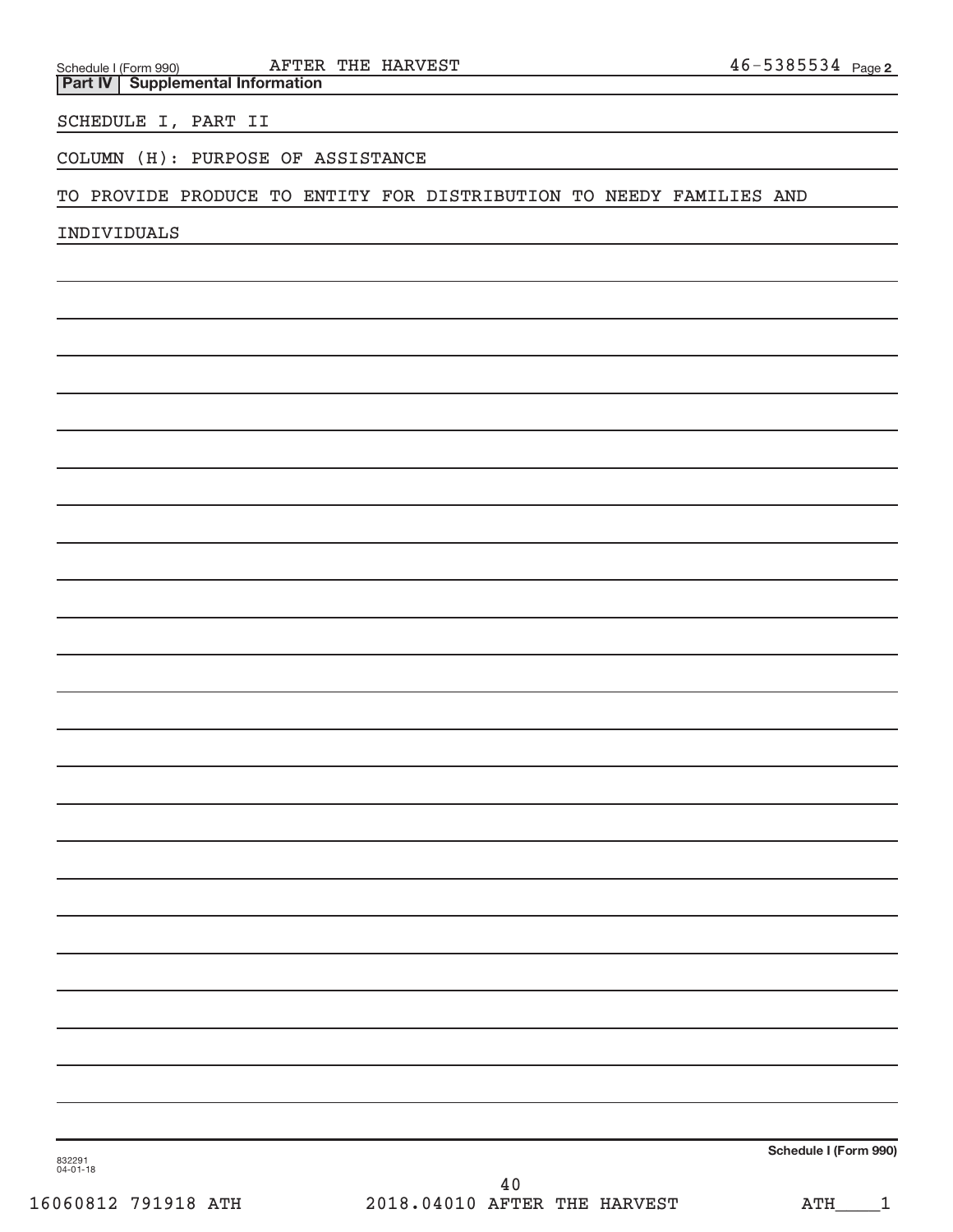| Schedule I (Form 990) <b>AFTER THE HARVEST</b><br><b>Part IV   Supplemental Information</b> | $46 - 5385534$ Page 2 |  |
|---------------------------------------------------------------------------------------------|-----------------------|--|
| SCHEDULE I, PART II                                                                         |                       |  |
| COLUMN (H): PURPOSE OF ASSISTANCE                                                           |                       |  |
| TO PROVIDE PRODUCE TO ENTITY FOR DISTRIBUTION TO NEEDY FAMILIES AND                         |                       |  |
| INDIVIDUALS                                                                                 |                       |  |
|                                                                                             |                       |  |
|                                                                                             |                       |  |
|                                                                                             |                       |  |
|                                                                                             |                       |  |
|                                                                                             |                       |  |
|                                                                                             |                       |  |
|                                                                                             |                       |  |
|                                                                                             |                       |  |
|                                                                                             |                       |  |
|                                                                                             |                       |  |
|                                                                                             |                       |  |
|                                                                                             |                       |  |
|                                                                                             |                       |  |
|                                                                                             |                       |  |
|                                                                                             |                       |  |
|                                                                                             |                       |  |
|                                                                                             |                       |  |
|                                                                                             |                       |  |
|                                                                                             |                       |  |
|                                                                                             |                       |  |
|                                                                                             |                       |  |
|                                                                                             |                       |  |
|                                                                                             |                       |  |
|                                                                                             |                       |  |
| 832291<br>04-01-18                                                                          | Schedule I (Form 990) |  |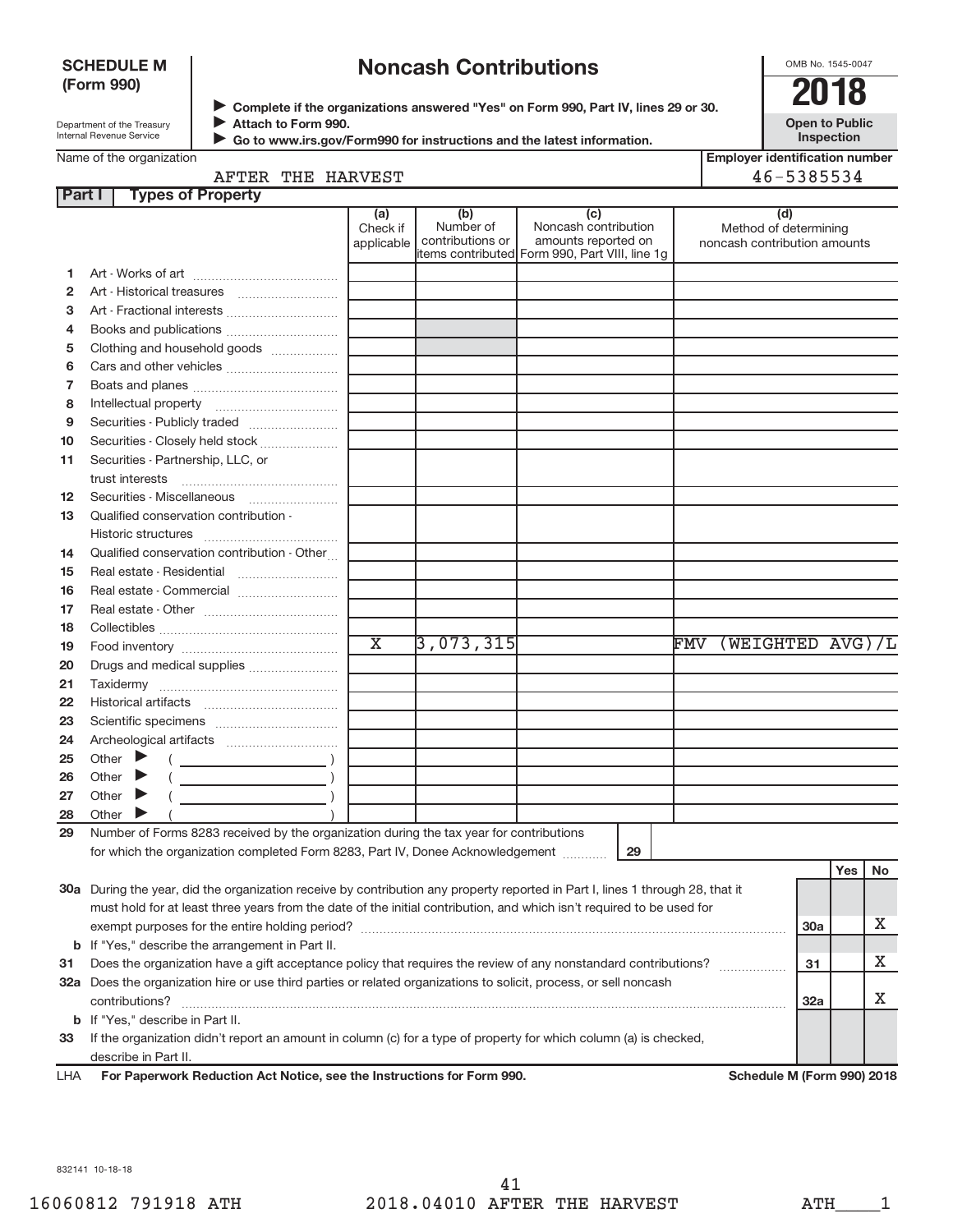#### **SCHEDULE M(Form 990)**

# **Noncash Contributions**

OMB No. 1545-0047

Department of the Treasury Internal Revenue Service

**Complete if the organizations answered "Yes" on Form 990, Part IV, lines 29 or 30.**<br>Complete if the organizations answered "Yes" on Form 990, Part IV, lines 29 or 30. **Attach to Form 990.**J

**Open to PublicInspection**

 $\blacktriangleright$ 

 **Go to www.irs.gov/Form990 for instructions and the latest information.**

| <b>Employer identification number</b> |
|---------------------------------------|
| 46-5385534                            |

| AFTER THE HARVEST |  |
|-------------------|--|
|-------------------|--|

| Part I | <b>Types of Property</b>                                                                                                       |                        |                               |                                                |                                                       |     |     |    |
|--------|--------------------------------------------------------------------------------------------------------------------------------|------------------------|-------------------------------|------------------------------------------------|-------------------------------------------------------|-----|-----|----|
|        |                                                                                                                                | (a)                    | (b)                           | (c)                                            | (d)                                                   |     |     |    |
|        |                                                                                                                                | Check if<br>applicable | Number of<br>contributions or | Noncash contribution<br>amounts reported on    | Method of determining<br>noncash contribution amounts |     |     |    |
|        |                                                                                                                                |                        |                               | items contributed Form 990, Part VIII, line 1g |                                                       |     |     |    |
| 1      |                                                                                                                                |                        |                               |                                                |                                                       |     |     |    |
| 2      |                                                                                                                                |                        |                               |                                                |                                                       |     |     |    |
| з      |                                                                                                                                |                        |                               |                                                |                                                       |     |     |    |
| 4      |                                                                                                                                |                        |                               |                                                |                                                       |     |     |    |
| 5      | Clothing and household goods                                                                                                   |                        |                               |                                                |                                                       |     |     |    |
| 6      |                                                                                                                                |                        |                               |                                                |                                                       |     |     |    |
| 7      |                                                                                                                                |                        |                               |                                                |                                                       |     |     |    |
| 8      |                                                                                                                                |                        |                               |                                                |                                                       |     |     |    |
| 9      | Securities - Publicly traded                                                                                                   |                        |                               |                                                |                                                       |     |     |    |
| 10     | Securities - Closely held stock                                                                                                |                        |                               |                                                |                                                       |     |     |    |
| 11     | Securities - Partnership, LLC, or                                                                                              |                        |                               |                                                |                                                       |     |     |    |
|        | trust interests                                                                                                                |                        |                               |                                                |                                                       |     |     |    |
| 12     |                                                                                                                                |                        |                               |                                                |                                                       |     |     |    |
| 13     | Qualified conservation contribution -                                                                                          |                        |                               |                                                |                                                       |     |     |    |
|        |                                                                                                                                |                        |                               |                                                |                                                       |     |     |    |
| 14     | Qualified conservation contribution - Other                                                                                    |                        |                               |                                                |                                                       |     |     |    |
| 15     |                                                                                                                                |                        |                               |                                                |                                                       |     |     |    |
| 16     |                                                                                                                                |                        |                               |                                                |                                                       |     |     |    |
| 17     |                                                                                                                                |                        |                               |                                                |                                                       |     |     |    |
| 18     |                                                                                                                                |                        |                               |                                                |                                                       |     |     |    |
| 19     |                                                                                                                                | $\overline{\text{x}}$  | 3,073,315                     |                                                | (WEIGHTED AVG)/L<br>${\rm \overline{F}MV}$            |     |     |    |
| 20     | Drugs and medical supplies                                                                                                     |                        |                               |                                                |                                                       |     |     |    |
| 21     |                                                                                                                                |                        |                               |                                                |                                                       |     |     |    |
| 22     |                                                                                                                                |                        |                               |                                                |                                                       |     |     |    |
| 23     |                                                                                                                                |                        |                               |                                                |                                                       |     |     |    |
| 24     |                                                                                                                                |                        |                               |                                                |                                                       |     |     |    |
| 25     | Other $\blacktriangleright$                                                                                                    |                        |                               |                                                |                                                       |     |     |    |
| 26     | $\overline{\phantom{a}}$ )<br>Other                                                                                            |                        |                               |                                                |                                                       |     |     |    |
| 27     | Other                                                                                                                          |                        |                               |                                                |                                                       |     |     |    |
| 28     | Other $\triangleright$                                                                                                         |                        |                               |                                                |                                                       |     |     |    |
| 29     | Number of Forms 8283 received by the organization during the tax year for contributions                                        |                        |                               |                                                |                                                       |     |     |    |
|        | for which the organization completed Form 8283, Part IV, Donee Acknowledgement                                                 |                        |                               | 29                                             |                                                       |     |     |    |
|        |                                                                                                                                |                        |                               |                                                |                                                       |     | Yes | No |
|        | 30a During the year, did the organization receive by contribution any property reported in Part I, lines 1 through 28, that it |                        |                               |                                                |                                                       |     |     |    |
|        | must hold for at least three years from the date of the initial contribution, and which isn't required to be used for          |                        |                               |                                                |                                                       |     |     |    |
|        |                                                                                                                                |                        |                               |                                                |                                                       | 30a |     | Х  |
|        | <b>b</b> If "Yes," describe the arrangement in Part II.                                                                        |                        |                               |                                                |                                                       |     |     |    |
| 31     | Does the organization have a gift acceptance policy that requires the review of any nonstandard contributions?                 |                        |                               |                                                |                                                       | 31  |     | х  |
|        | 32a Does the organization hire or use third parties or related organizations to solicit, process, or sell noncash              |                        |                               |                                                |                                                       |     |     |    |
|        | contributions?                                                                                                                 |                        |                               |                                                |                                                       | 32a |     | Х  |
|        | <b>b</b> If "Yes," describe in Part II.                                                                                        |                        |                               |                                                |                                                       |     |     |    |

**33**If the organization didn't report an amount in column (c) for a type of property for which column (a) is checked, describe in Part II.

For Paperwork Reduction Act Notice, see the Instructions for Form 990. LHA

Schedule M (Form 990) 2018

832141 10-18-18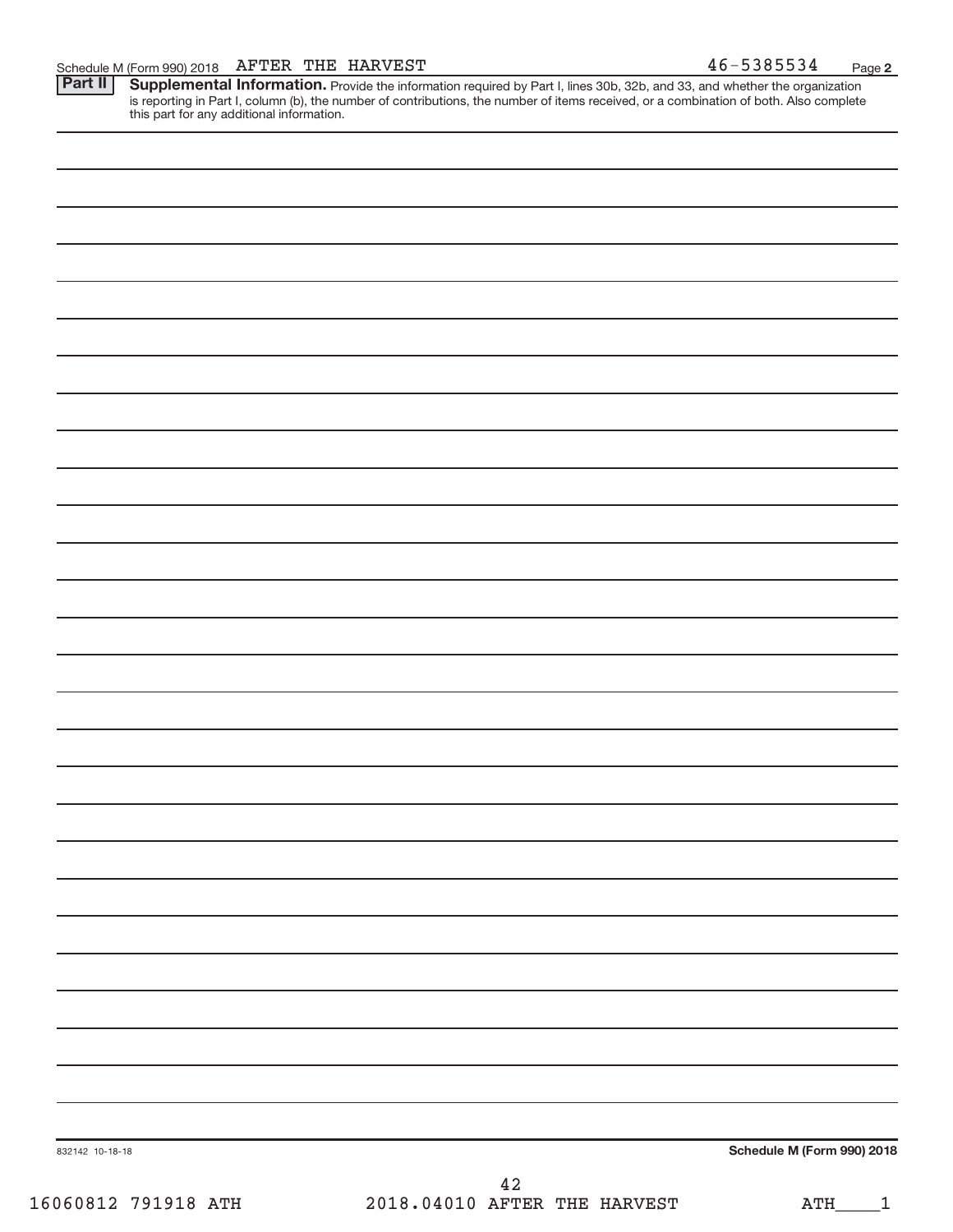Provide the information required by Part I, lines 30b, 32b, and 33, and whether the organization is reporting in Part I, column (b), the number of contributions, the number of items received, or a combination of both. Also complete this part for any additional information. **Supplemental Information.** 

| 832142 10-18-18 | Schedule M (Form 990) 2018 |
|-----------------|----------------------------|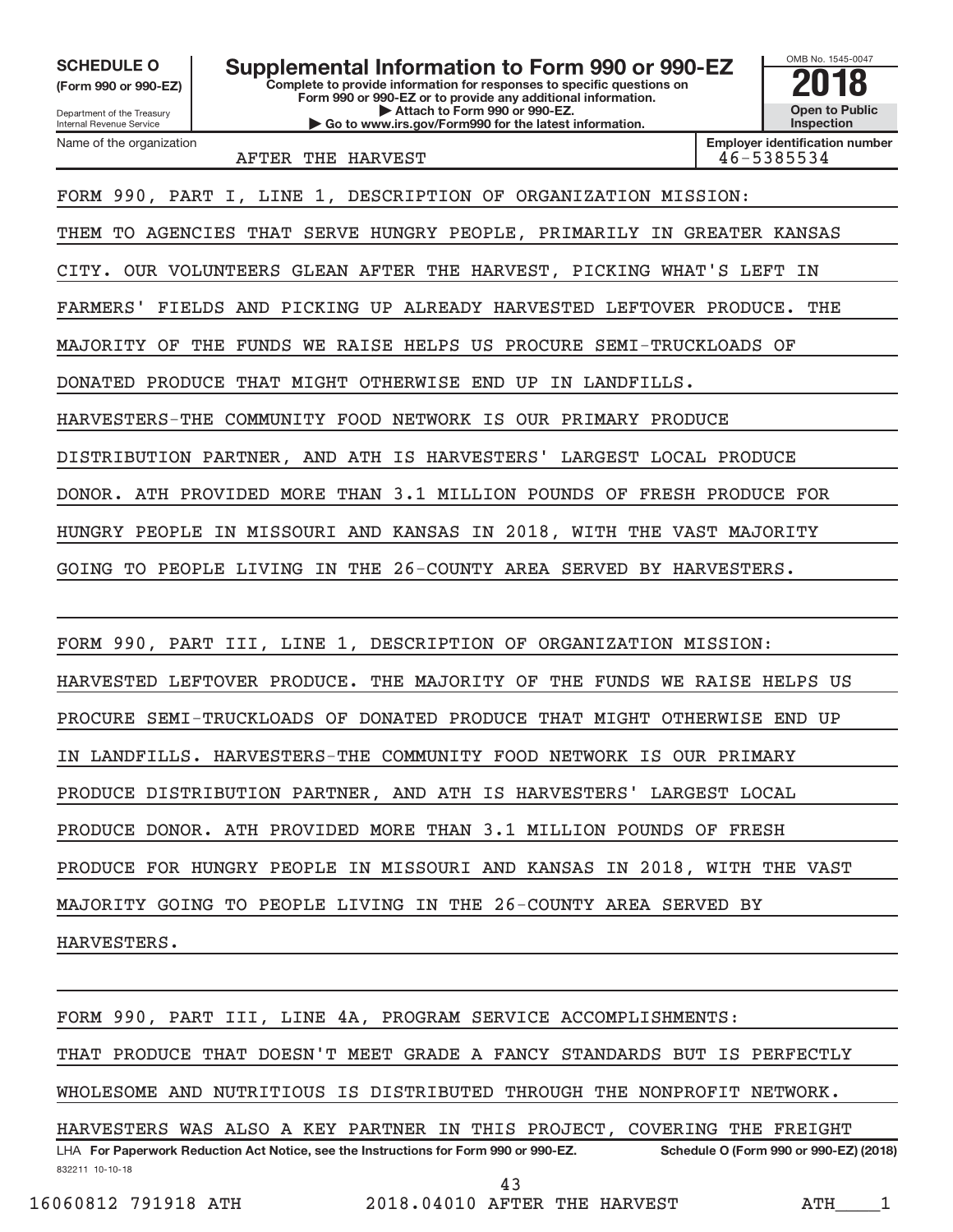**SCHEDULE O**

Department of the Treasury **(Form 990 or 990-EZ)**

Name of the organization

Internal Revenue Service

**Complete to provide information for responses to specific questions on Form 990 or 990-EZ or to provide any additional information.| Attach to Form 990 or 990-EZ. | Go to www.irs.gov/Form990 for the latest information. Supplemental Information to Form 990 or 990-EZ**



**Employer identification number**AFTER THE HARVEST 46-5385534

FORM 990, PART I, LINE 1, DESCRIPTION OF ORGANIZATION MISSION: THEM TO AGENCIES THAT SERVE HUNGRY PEOPLE, PRIMARILY IN GREATER KANSAS

CITY. OUR VOLUNTEERS GLEAN AFTER THE HARVEST, PICKING WHAT'S LEFT IN

FARMERS' FIELDS AND PICKING UP ALREADY HARVESTED LEFTOVER PRODUCE. THE

MAJORITY OF THE FUNDS WE RAISE HELPS US PROCURE SEMI-TRUCKLOADS OF

DONATED PRODUCE THAT MIGHT OTHERWISE END UP IN LANDFILLS.

HARVESTERS-THE COMMUNITY FOOD NETWORK IS OUR PRIMARY PRODUCE

DISTRIBUTION PARTNER, AND ATH IS HARVESTERS' LARGEST LOCAL PRODUCE

DONOR. ATH PROVIDED MORE THAN 3.1 MILLION POUNDS OF FRESH PRODUCE FOR

HUNGRY PEOPLE IN MISSOURI AND KANSAS IN 2018, WITH THE VAST MAJORITY

GOING TO PEOPLE LIVING IN THE 26-COUNTY AREA SERVED BY HARVESTERS.

FORM 990, PART III, LINE 1, DESCRIPTION OF ORGANIZATION MISSION:

HARVESTED LEFTOVER PRODUCE. THE MAJORITY OF THE FUNDS WE RAISE HELPS US

PROCURE SEMI-TRUCKLOADS OF DONATED PRODUCE THAT MIGHT OTHERWISE END UP

IN LANDFILLS. HARVESTERS-THE COMMUNITY FOOD NETWORK IS OUR PRIMARY

PRODUCE DISTRIBUTION PARTNER, AND ATH IS HARVESTERS' LARGEST LOCAL

PRODUCE DONOR. ATH PROVIDED MORE THAN 3.1 MILLION POUNDS OF FRESH

PRODUCE FOR HUNGRY PEOPLE IN MISSOURI AND KANSAS IN 2018, WITH THE VAST

MAJORITY GOING TO PEOPLE LIVING IN THE 26-COUNTY AREA SERVED BY

HARVESTERS.

FORM 990, PART III, LINE 4A, PROGRAM SERVICE ACCOMPLISHMENTS:

THAT PRODUCE THAT DOESN'T MEET GRADE A FANCY STANDARDS BUT IS PERFECTLY

WHOLESOME AND NUTRITIOUS IS DISTRIBUTED THROUGH THE NONPROFIT NETWORK.

832211 10-10-18 **For Paperwork Reduction Act Notice, see the Instructions for Form 990 or 990-EZ. Schedule O (Form 990 or 990-EZ) (2018)**LHA HARVESTERS WAS ALSO A KEY PARTNER IN THIS PROJECT, COVERING THE FREIGHT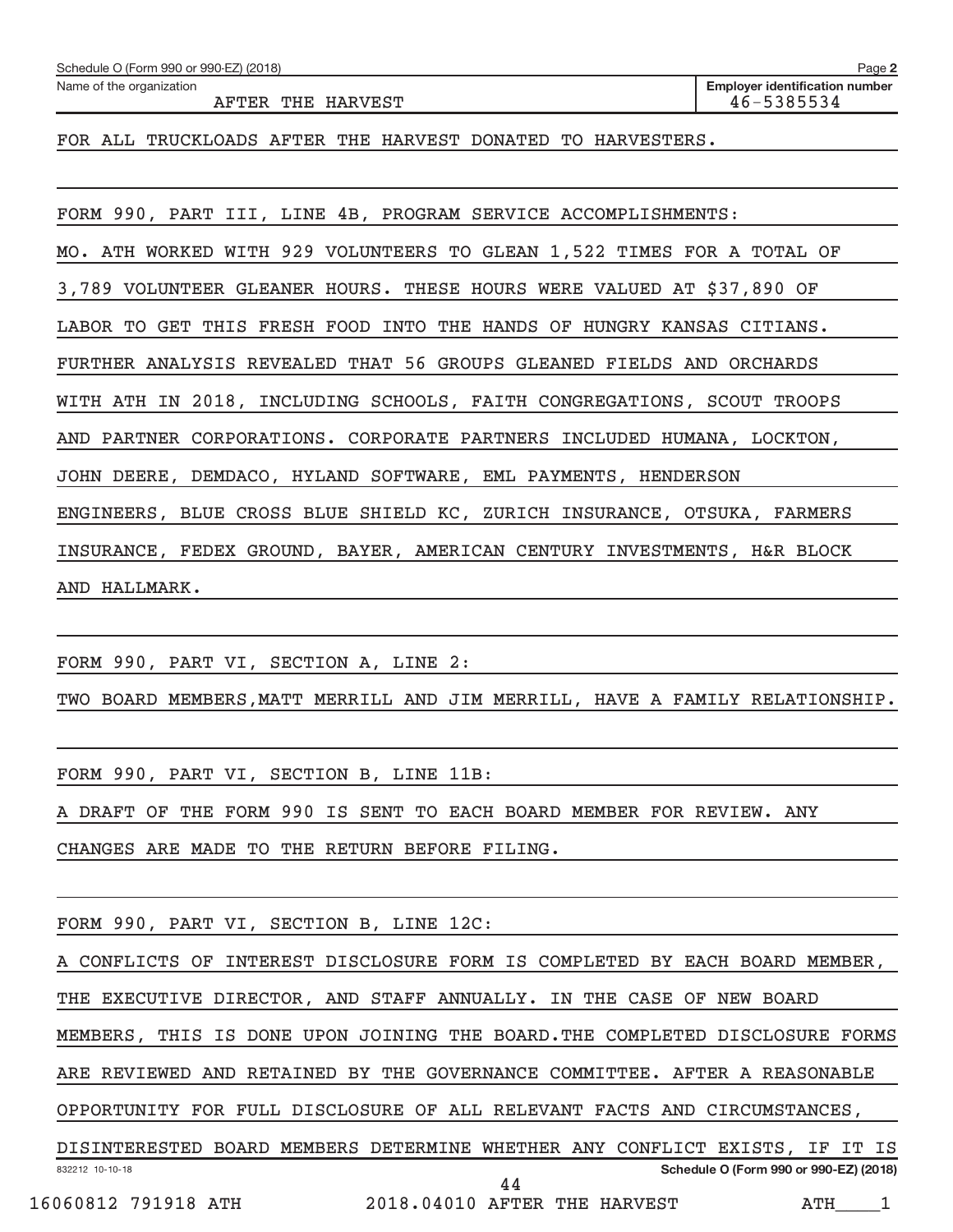| Schedule O (Form 990 or 990-EZ) (2018)                                  | Page 2                                              |  |  |  |  |  |
|-------------------------------------------------------------------------|-----------------------------------------------------|--|--|--|--|--|
| Name of the organization<br>AFTER THE HARVEST                           | <b>Employer identification number</b><br>46-5385534 |  |  |  |  |  |
| FOR ALL TRUCKLOADS AFTER THE HARVEST DONATED TO HARVESTERS.             |                                                     |  |  |  |  |  |
|                                                                         |                                                     |  |  |  |  |  |
| FORM 990, PART III, LINE 4B, PROGRAM SERVICE ACCOMPLISHMENTS:           |                                                     |  |  |  |  |  |
| MO. ATH WORKED WITH 929 VOLUNTEERS TO GLEAN 1,522 TIMES FOR A TOTAL OF  |                                                     |  |  |  |  |  |
| 3,789 VOLUNTEER GLEANER HOURS. THESE HOURS WERE VALUED AT \$37,890 OF   |                                                     |  |  |  |  |  |
| LABOR TO GET THIS FRESH FOOD INTO THE HANDS OF HUNGRY KANSAS CITIANS.   |                                                     |  |  |  |  |  |
| FURTHER ANALYSIS REVEALED THAT 56 GROUPS GLEANED FIELDS AND ORCHARDS    |                                                     |  |  |  |  |  |
| WITH ATH IN 2018, INCLUDING SCHOOLS, FAITH CONGREGATIONS, SCOUT TROOPS  |                                                     |  |  |  |  |  |
| AND PARTNER CORPORATIONS. CORPORATE PARTNERS INCLUDED HUMANA, LOCKTON,  |                                                     |  |  |  |  |  |
| JOHN DEERE, DEMDACO, HYLAND SOFTWARE, EML PAYMENTS, HENDERSON           |                                                     |  |  |  |  |  |
| ENGINEERS, BLUE CROSS BLUE SHIELD KC, ZURICH INSURANCE, OTSUKA, FARMERS |                                                     |  |  |  |  |  |
| INSURANCE, FEDEX GROUND, BAYER, AMERICAN CENTURY INVESTMENTS, H&R BLOCK |                                                     |  |  |  |  |  |
| AND HALLMARK.                                                           |                                                     |  |  |  |  |  |
|                                                                         |                                                     |  |  |  |  |  |

FORM 990, PART VI, SECTION A, LINE 2:

TWO BOARD MEMBERS,MATT MERRILL AND JIM MERRILL, HAVE A FAMILY RELATIONSHIP.

FORM 990, PART VI, SECTION B, LINE 11B:

A DRAFT OF THE FORM 990 IS SENT TO EACH BOARD MEMBER FOR REVIEW. ANY

CHANGES ARE MADE TO THE RETURN BEFORE FILING.

FORM 990, PART VI, SECTION B, LINE 12C:

832212 10-10-18 **Schedule O (Form 990 or 990-EZ) (2018)**A CONFLICTS OF INTEREST DISCLOSURE FORM IS COMPLETED BY EACH BOARD MEMBER, THE EXECUTIVE DIRECTOR, AND STAFF ANNUALLY. IN THE CASE OF NEW BOARD MEMBERS, THIS IS DONE UPON JOINING THE BOARD.THE COMPLETED DISCLOSURE FORMS ARE REVIEWED AND RETAINED BY THE GOVERNANCE COMMITTEE. AFTER A REASONABLE OPPORTUNITY FOR FULL DISCLOSURE OF ALL RELEVANT FACTS AND CIRCUMSTANCES, DISINTERESTED BOARD MEMBERS DETERMINE WHETHER ANY CONFLICT EXISTS, IF IT IS

16060812 791918 ATH 2018.04010 AFTER THE HARVEST ATH 1